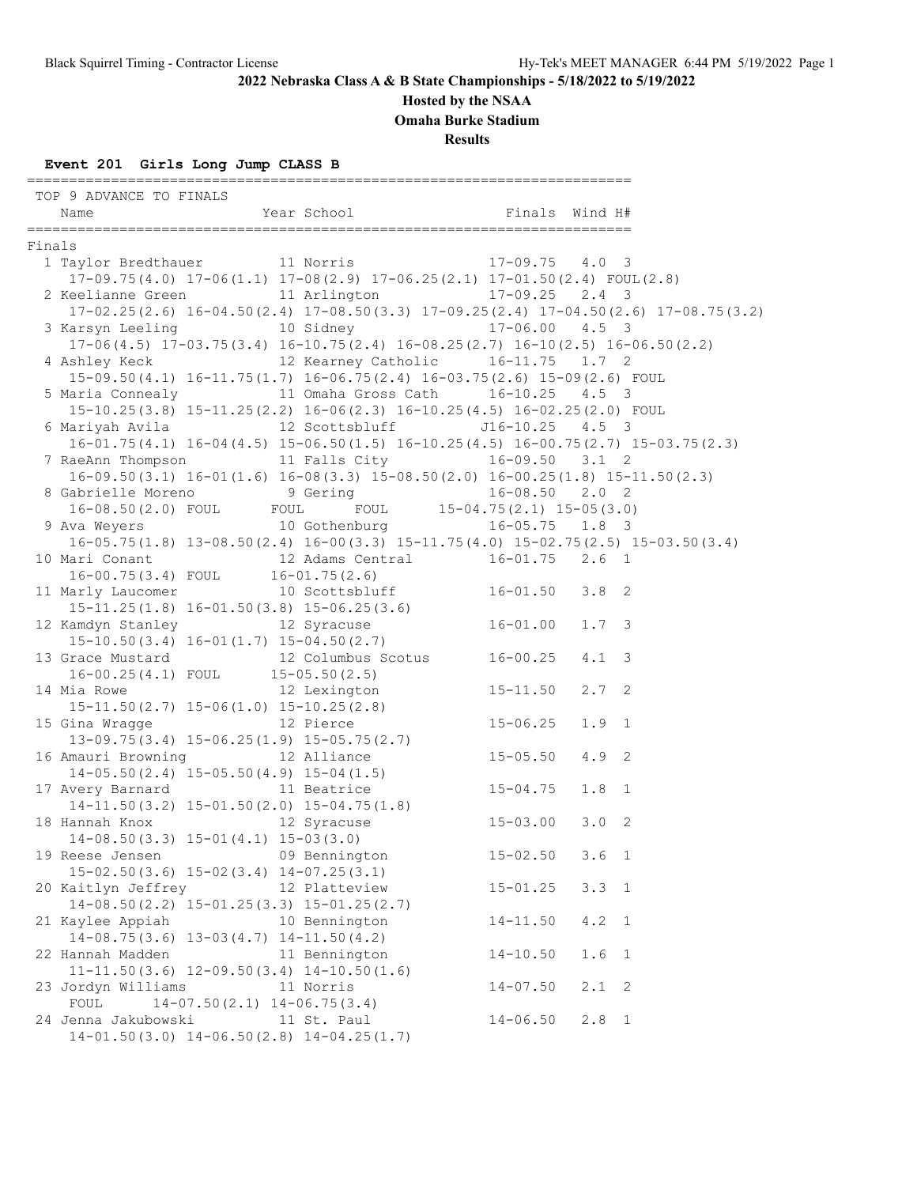### **Hosted by the NSAA**

**Omaha Burke Stadium**

**Results**

### **Event 201 Girls Long Jump CLASS B**

|        | TOP 9 ADVANCE TO FINALS                                                                         |                               |              |                                   |  |
|--------|-------------------------------------------------------------------------------------------------|-------------------------------|--------------|-----------------------------------|--|
|        | Name                                                                                            | Year School                   |              | Finals Wind H#                    |  |
| Finals |                                                                                                 |                               |              |                                   |  |
|        | 1 Taylor Bredthauer 11 Norris 17-09.75 4.0 3                                                    |                               |              |                                   |  |
|        | $17-09.75(4.0)$ $17-06(1.1)$ $17-08(2.9)$ $17-06.25(2.1)$ $17-01.50(2.4)$ $FOUT(2.8)$           |                               |              |                                   |  |
|        | 2 Keelianne Green 11 Arlington 17-09.25 2.4 3                                                   |                               |              |                                   |  |
|        | $17-02.25(2.6)$ $16-04.50(2.4)$ $17-08.50(3.3)$ $17-09.25(2.4)$ $17-04.50(2.6)$ $17-08.75(3.2)$ |                               |              |                                   |  |
|        | 3 Karsyn Leeling 10 Sidney 17-06.00 4.5 3                                                       |                               |              |                                   |  |
|        | $17-06(4.5)$ $17-03.75(3.4)$ $16-10.75(2.4)$ $16-08.25(2.7)$ $16-10(2.5)$ $16-06.50(2.2)$       |                               |              |                                   |  |
|        | 4 Ashley Keck 12 Kearney Catholic 16-11.75 1.7 2                                                |                               |              |                                   |  |
|        | 15-09.50(4.1) 16-11.75(1.7) 16-06.75(2.4) 16-03.75(2.6) 15-09(2.6) FOUL                         |                               |              |                                   |  |
|        | 5 Maria Connealy 11 Omaha Gross Cath 16-10.25 4.5 3                                             |                               |              |                                   |  |
|        | 15-10.25(3.8) 15-11.25(2.2) 16-06(2.3) 16-10.25(4.5) 16-02.25(2.0) FOUL                         |                               |              |                                   |  |
|        | 6 Mariyah Avila $12$ Scottsbluff $J16-10.25$ 4.5 3                                              |                               |              |                                   |  |
|        | $16-01.75(4.1)$ $16-04(4.5)$ $15-06.50(1.5)$ $16-10.25(4.5)$ $16-00.75(2.7)$ $15-03.75(2.3)$    |                               |              |                                   |  |
|        | 7 RaeAnn Thompson 11 Falls City 16-09.50 3.1 2                                                  |                               |              |                                   |  |
|        | $16-09.50(3.1)$ $16-01(1.6)$ $16-08(3.3)$ $15-08.50(2.0)$ $16-00.25(1.8)$ $15-11.50(2.3)$       |                               |              |                                   |  |
|        | 8 Gabrielle Moreno 9 Gering 16-08.50 2.0 2                                                      |                               |              |                                   |  |
|        | 16-08.50(2.0) FOUL FOUL FOUL 15-04.75(2.1) 15-05(3.0)                                           |                               |              |                                   |  |
|        | 9 Ava Weyers 10 Gothenburg 16-05.75 1.8 3                                                       |                               |              |                                   |  |
|        | $16-05.75(1.8)$ $13-08.50(2.4)$ $16-00(3.3)$ $15-11.75(4.0)$ $15-02.75(2.5)$ $15-03.50(3.4)$    |                               |              |                                   |  |
|        | 10 Mari Conant 12 Adams Central 16-01.75 2.6 1<br>16-00.75(3.4) FOUL 16-01.75(2.6)              |                               |              |                                   |  |
|        |                                                                                                 |                               |              |                                   |  |
|        | 11 Marly Laucomer                                                                               | 10 Scottsbluff 16-01.50 3.8 2 |              |                                   |  |
|        | $15-11.25(1.8)$ $16-01.50(3.8)$ $15-06.25(3.6)$                                                 |                               |              |                                   |  |
|        | 12 Kamdyn Stanley 12 Syracuse                                                                   |                               | $16 - 01.00$ | $1.7-3$                           |  |
|        | $15-10.50(3.4)$ $16-01(1.7)$ $15-04.50(2.7)$                                                    |                               |              |                                   |  |
|        | 13 Grace Mustard 12 Columbus Scotus 16-00.25<br>16-00.25(4.1) FOUL 15-05.50(2.5)                |                               |              | $4.1 \quad 3$                     |  |
|        |                                                                                                 |                               |              |                                   |  |
|        | 14 Mia Rowe                                                                                     | 12 Lexington                  | $15 - 11.50$ | $2.7-2$                           |  |
|        | $15-11.50(2.7)$ $15-06(1.0)$ $15-10.25(2.8)$                                                    |                               |              |                                   |  |
|        | 15 Gina Wragge 12 Pierce                                                                        |                               | $15 - 06.25$ | $1.9 \quad 1$                     |  |
|        | $13-09.75(3.4)$ $15-06.25(1.9)$ $15-05.75(2.7)$                                                 |                               |              |                                   |  |
|        | 16 Amauri Browning                                                                              | 12 Alliance                   | $15 - 05.50$ | $4.9$ 2                           |  |
|        | mauri Browning<br>14-05.50(2.4) 15-05.50(4.9) 15-04(1.5)                                        |                               |              |                                   |  |
|        | 17 Avery Barnard 11 Beatrice                                                                    |                               | $15 - 04.75$ | $1.8 \quad 1$                     |  |
|        | $14-11.50(3.2)$ $15-01.50(2.0)$ $15-04.75(1.8)$                                                 |                               |              |                                   |  |
|        | 18 Hannah Knox 12 Syracuse                                                                      | $15 - 03.00$                  |              | $3.0\quad2$                       |  |
|        | $14-08.50(3.3)$ $15-01(4.1)$ $15-03(3.0)$                                                       |                               |              |                                   |  |
|        | 19 Reese Jensen                                                                                 | 09 Bennington                 | $15 - 02.50$ | 3.6 <sub>1</sub>                  |  |
|        | $15-02.50(3.6)$ $15-02(3.4)$ $14-07.25(3.1)$                                                    |                               |              |                                   |  |
|        | 20 Kaitlyn Jeffrey                                                                              | 12 Platteview                 | $15 - 01.25$ | $3.3 \quad 1$                     |  |
|        | $14-08.50(2.2)$ $15-01.25(3.3)$ $15-01.25(2.7)$                                                 |                               |              |                                   |  |
|        | 21 Kaylee Appiah                                                                                | 10 Bennington                 | $14 - 11.50$ | 4.2 1                             |  |
|        | $14-08.75(3.6)$ $13-03(4.7)$ $14-11.50(4.2)$                                                    |                               |              |                                   |  |
|        | 22 Hannah Madden                                                                                | 11 Bennington                 | $14 - 10.50$ | 1.6<br>$\overline{1}$             |  |
|        | $11-11.50(3.6)$ $12-09.50(3.4)$ $14-10.50(1.6)$                                                 |                               |              |                                   |  |
|        | 23 Jordyn Williams                                                                              | 11 Norris                     | $14 - 07.50$ | 2.1<br>$\overline{\phantom{0}}^2$ |  |
|        | FOUL<br>$14-07.50(2.1)$ $14-06.75(3.4)$                                                         |                               |              |                                   |  |
|        | 24 Jenna Jakubowski                                                                             | 11 St. Paul                   | $14 - 06.50$ | $2.8 \quad 1$                     |  |
|        | $14-01.50(3.0)$ $14-06.50(2.8)$ $14-04.25(1.7)$                                                 |                               |              |                                   |  |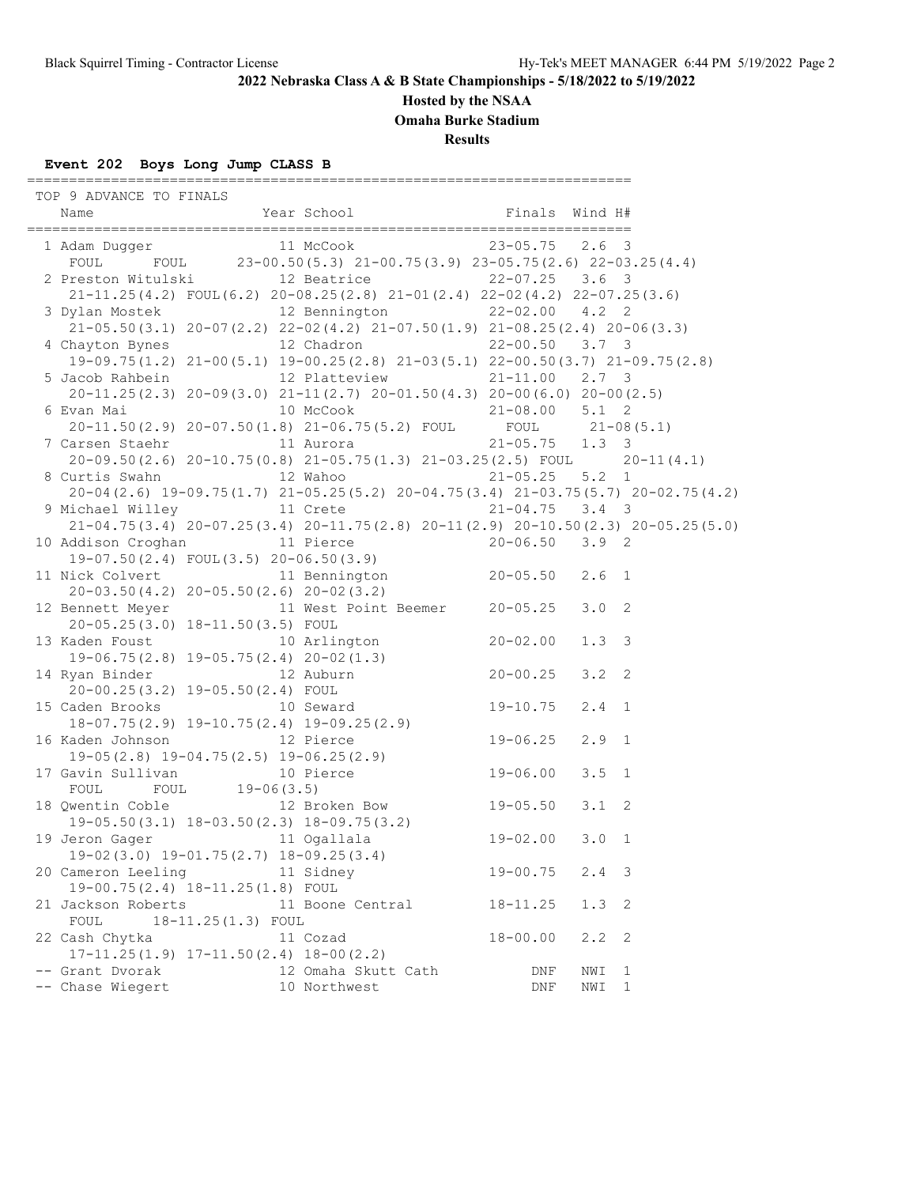**Hosted by the NSAA**

**Omaha Burke Stadium**

**Results**

# **Event 202 Boys Long Jump CLASS B**

========================================================================

| TOP 9 ADVANCE TO FINALS    |                                              |                                                                                                                                             |                    |               |   |
|----------------------------|----------------------------------------------|---------------------------------------------------------------------------------------------------------------------------------------------|--------------------|---------------|---|
|                            |                                              |                                                                                                                                             |                    |               |   |
|                            |                                              |                                                                                                                                             |                    |               |   |
|                            |                                              | 1 Adam Dugger<br>FOUL FOUL 23-00.50(5.3) 21-00.75(3.9) 23-05.75(2.6) 22-03.25(4.4)                                                          |                    |               |   |
|                            |                                              |                                                                                                                                             |                    |               |   |
|                            |                                              | 2 Preston Witulski 12 Beatrice 22-07.25 3.6 3                                                                                               |                    |               |   |
|                            |                                              | $21-11.25(4.2)$ FOUL(6.2) $20-08.25(2.8)$ $21-01(2.4)$ $22-02(4.2)$ $22-07.25(3.6)$                                                         |                    |               |   |
|                            |                                              | 3 Dylan Mostek 12 Bennington 22-02.00 4.2 2                                                                                                 |                    |               |   |
|                            |                                              | $21-05.50(3.1)$ 20-07(2.2) 22-02(4.2) 21-07.50(1.9) 21-08.25(2.4) 20-06(3.3)                                                                |                    |               |   |
|                            |                                              | 4 Chayton Bynes 12 Chadron 22-00.50 3.7 3                                                                                                   |                    |               |   |
|                            |                                              | 19-09.75 (1.2) 21-00 (5.1) 19-00.25 (2.8) 21-03 (5.1) 22-00.50 (3.7) 21-09.75 (2.8)                                                         |                    |               |   |
|                            |                                              | 5 Jacob Rahbein 12 Platteview 21-11.00 2.7 3                                                                                                |                    |               |   |
|                            |                                              | $20-11.25(2.3)$ $20-09(3.0)$ $21-11(2.7)$ $20-01.50(4.3)$ $20-00(6.0)$ $20-00(2.5)$                                                         |                    |               |   |
|                            |                                              | 6 Evan Mai<br>20-11.50(2.9) 20-07.50(1.8) 21-06.75(5.2) FOUL 21-08.00 5.1 2<br>7 Carsen Staehr 11 Aurora 21-05.75 1.3 3                     |                    |               |   |
|                            |                                              |                                                                                                                                             |                    |               |   |
|                            |                                              |                                                                                                                                             |                    |               |   |
|                            |                                              | $20-09.50(2.6)$ $20-10.75(0.8)$ $21-05.75(1.3)$ $21-03.25(2.5)$ FOUL $20-11(4.1)$                                                           |                    |               |   |
|                            |                                              | 8 Curtis Swahn 12 Wahoo 21-05.25 5.2 1<br>20-04 (2.6) 19-09.75 (1.7) 21-05.25 (5.2) 20-04.75 (3.4) 21-03.75 (5.7) 20-02.75 (4.2)            |                    |               |   |
|                            |                                              |                                                                                                                                             |                    |               |   |
|                            |                                              | 9 Michael Willey 11 Crete 21-04.75 3.4 3<br>21-04.75 3.4 20-07.25 (3.4) 20-11.75 (2.8) 20-11 (2.9) 20-10.50 (2.3) 20-05.25 (5.0)            |                    |               |   |
|                            |                                              |                                                                                                                                             |                    |               |   |
|                            |                                              | 10 Addison Croghan 11 Pierce 20-06.50 3.9 2<br>19-07.50(2.4) FOUL(3.5) 20-06.50(3.9)                                                        |                    |               |   |
|                            |                                              |                                                                                                                                             |                    |               |   |
|                            |                                              | 11 Nick Colvert 11 Bennington 20-05.50 2.6 1                                                                                                |                    |               |   |
|                            |                                              | $20-03.50(4.2)$ $20-05.50(2.6)$ $20-02(3.2)$                                                                                                |                    |               |   |
|                            |                                              | 12 Bennett Meyer 11 West Point Beemer 20-05.25                                                                                              |                    | $3.0 \quad 2$ |   |
|                            | 20-05.25(3.0) 18-11.50(3.5) FOUL             |                                                                                                                                             |                    |               |   |
|                            |                                              | 13 Kaden Foust 10 Arlington 20-02.00                                                                                                        |                    | $1.3 \quad 3$ |   |
|                            |                                              | 19-06.75(2.8) $19-05.75(2.4)$ $20-02(1.3)$<br>14 Ryan Binder 12 Auburn 20-00.25                                                             |                    |               |   |
|                            |                                              |                                                                                                                                             |                    | $3.2 \quad 2$ |   |
|                            |                                              | $20-00.25(3.2)$ 19-05.50(2.4) FOUL<br>15 Caden Brooks 10 Seward 19-10.75<br>18-07.75(2.9) 19-10.75(2.4) 19-09.25(2.9)                       |                    |               |   |
|                            |                                              |                                                                                                                                             |                    | $2.4$ 1       |   |
|                            |                                              |                                                                                                                                             |                    |               |   |
|                            |                                              |                                                                                                                                             | $19 - 06.25$       | $2.9$ 1       |   |
|                            |                                              |                                                                                                                                             |                    |               |   |
|                            |                                              |                                                                                                                                             |                    | $3.5 \quad 1$ |   |
|                            | FOUL FOUL 19-06(3.5)                         | 16 Kaden Johnson 12 Pierce 19-06.25<br>19-05(2.8) 19-04.75(2.5) 19-06.25(2.9)<br>17 Gavin Sullivan 10 Pierce 19-06.00<br>FOUL FOUL 19-06.25 |                    |               |   |
|                            |                                              | 18 Qwentin Coble 12 Broken Bow 19-05.50                                                                                                     |                    | $3.1 \quad 2$ |   |
|                            |                                              |                                                                                                                                             |                    |               |   |
| 19 Jeron Gager 11 Ogallala |                                              | 19–05.50(3.1) 18–03.50(2.3) 18–09.75(3.2)<br>Teron Gager 11 Ogallala 19–02.00 3.0 1                                                         |                    |               |   |
|                            |                                              | 19-02 (3.0) 19-01.75 (2.7) 18-09.25 (3.4)                                                                                                   |                    |               |   |
| 20 Cameron Leeling         |                                              | 11 Sidney                                                                                                                                   | $19 - 00.75$       | $2.4 - 3$     |   |
|                            | 19-00.75(2.4) 18-11.25(1.8) FOUL             |                                                                                                                                             |                    |               |   |
| 21 Jackson Roberts         |                                              | 11 Boone Central                                                                                                                            | $18 - 11.25$       | $1.3 \quad 2$ |   |
| FOUL                       | 18-11.25(1.3) FOUL                           |                                                                                                                                             |                    |               |   |
| 22 Cash Chytka             |                                              | 11 Cozad                                                                                                                                    | $18 - 00.00$       | 2.2           | 2 |
|                            | $17-11.25(1.9)$ $17-11.50(2.4)$ $18-00(2.2)$ |                                                                                                                                             |                    |               |   |
| -- Grant Dvorak            |                                              | 12 Omaha Skutt Cath                                                                                                                         | DNF                | NWI           | 1 |
| -- Chase Wiegert           |                                              | 10 Northwest                                                                                                                                | $\mathop{\rm DNF}$ | NWI           | 1 |
|                            |                                              |                                                                                                                                             |                    |               |   |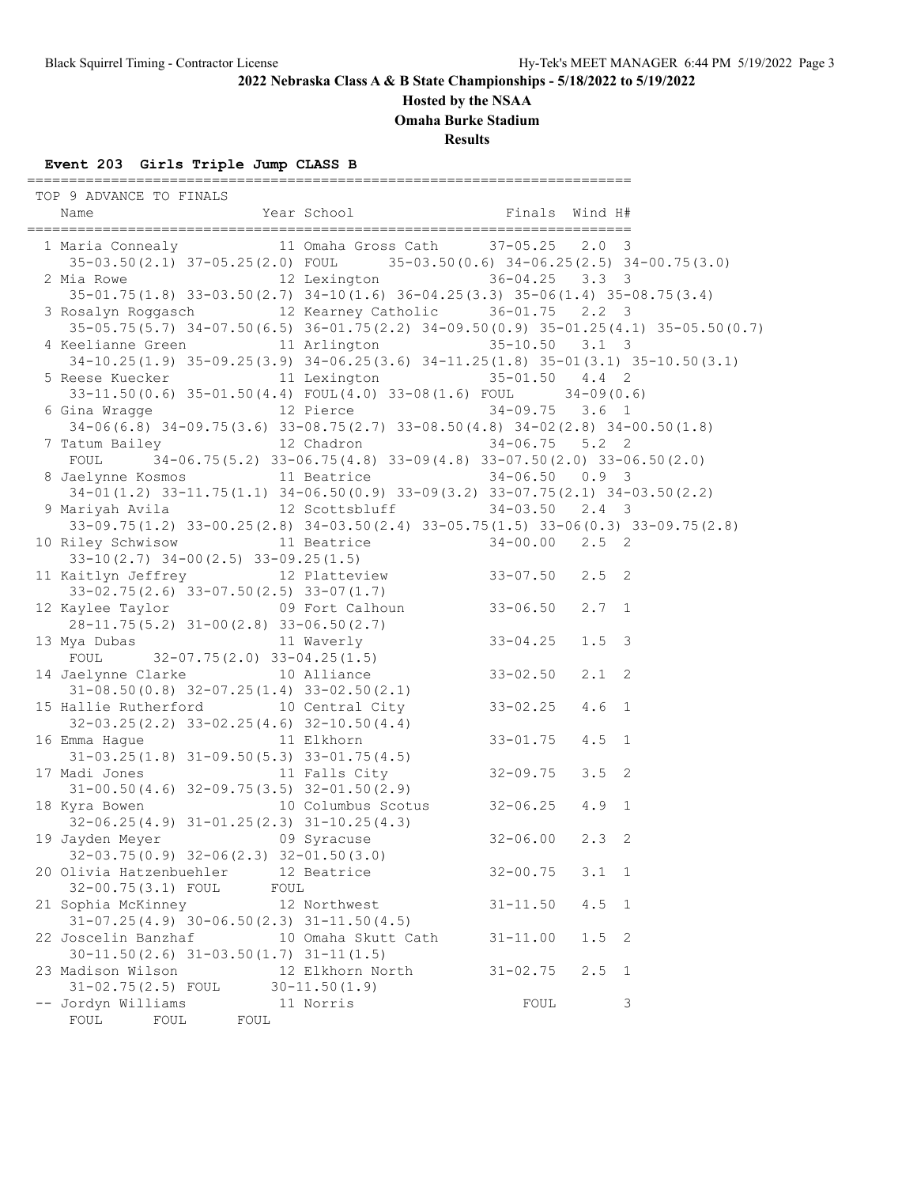**Hosted by the NSAA**

**Omaha Burke Stadium**

**Results**

# **Event 203 Girls Triple Jump CLASS B**

========================================================================

| TOP 9 ADVANCE TO FINALS                                                                                                                                           |      |                                                                              |              |                  |   |
|-------------------------------------------------------------------------------------------------------------------------------------------------------------------|------|------------------------------------------------------------------------------|--------------|------------------|---|
| 1 Maria Connealy 11 Omaha Gross Cath 37-05.25 2.0 3                                                                                                               |      |                                                                              |              |                  |   |
| 35-03.50(2.1) 37-05.25(2.0) FOUL 35-03.50(0.6) 34-06.25(2.5) 34-00.75(3.0)                                                                                        |      |                                                                              |              |                  |   |
| 2 Mia Rowe 12 Lexington 36-04.25 3.3 3                                                                                                                            |      |                                                                              |              |                  |   |
| 35-01.75 (1.8) 33-03.50 (2.7) 34-10 (1.6) 36-04.25 (3.3) 35-06 (1.4) 35-08.75 (3.4)                                                                               |      |                                                                              |              |                  |   |
| 3 Rosalyn Roggasch 12 Kearney Catholic 36-01.75 2.2 3                                                                                                             |      |                                                                              |              |                  |   |
| 35-05.75(5.7) 34-07.50(6.5) 36-01.75(2.2) 34-09.50(0.9) 35-01.25(4.1) 35-05.50(0.7)                                                                               |      |                                                                              |              |                  |   |
| 4 Keelianne Green 11 Arlington 35-10.50 3.1 3                                                                                                                     |      |                                                                              |              |                  |   |
| 34-10.25(1.9) 35-09.25(3.9) 34-06.25(3.6) 34-11.25(1.8) 35-01(3.1) 35-10.50(3.1)                                                                                  |      |                                                                              |              |                  |   |
| 5 Reese Kuecker 11 Lexington 35-01.50 4.4 2                                                                                                                       |      |                                                                              |              |                  |   |
| $33-11.50(0.6)$ $35-01.50(4.4)$ $FOUL(4.0)$ $33-08(1.6)$ $FOUL$ $34-09(0.6)$                                                                                      |      |                                                                              |              |                  |   |
| 6 Gina Wragge 12 Pierce 34-09.75 3.6 1                                                                                                                            |      |                                                                              |              |                  |   |
| $34-06(6.8)$ $34-09.75(3.6)$ $33-08.75(2.7)$ $33-08.50(4.8)$ $34-02(2.8)$ $34-00.50(1.8)$                                                                         |      |                                                                              |              |                  |   |
| 7 Tatum Bailey 12 Chadron 34-06.75 5.2 2                                                                                                                          |      |                                                                              |              |                  |   |
| FOUL                                                                                                                                                              |      | $34-06.75(5.2)$ $33-06.75(4.8)$ $33-09(4.8)$ $33-07.50(2.0)$ $33-06.50(2.0)$ |              |                  |   |
| 8 Jaelynne Kosmos 11 Beatrice 34-06.50 0.9 3                                                                                                                      |      |                                                                              |              |                  |   |
| $34-01(1.2)$ $33-11.75(1.1)$ $34-06.50(0.9)$ $33-09(3.2)$ $33-07.75(2.1)$ $34-03.50(2.2)$                                                                         |      |                                                                              |              |                  |   |
| 9 Mariyah Avila               12 Scottsbluff             34-03.50     2.4   3<br>33-09.75(1.2) 33-00.25(2.8) 34-03.50(2.4) 33-05.75(1.5) 33-06(0.3) 33-09.75(2.8) |      |                                                                              |              |                  |   |
| 10 Riley Schwisow 11 Beatrice 34-00.00 2.5 2                                                                                                                      |      |                                                                              |              |                  |   |
|                                                                                                                                                                   |      |                                                                              |              |                  |   |
| $33-10(2.7)$ $34-00(2.5)$ $33-09.25(1.5)$<br>11 Kaitlyn Jeffrey 12 Platteview 33-07.50 2.5 2                                                                      |      |                                                                              |              |                  |   |
| $33-02.75(2.6)$ $33-07.50(2.5)$ $33-07(1.7)$                                                                                                                      |      |                                                                              |              |                  |   |
| 12 Kaylee Taylor 69 Fort Calhoun 33-06.50 2.7 1                                                                                                                   |      |                                                                              |              |                  |   |
|                                                                                                                                                                   |      |                                                                              |              |                  |   |
| $28-11.75(5.2)$ $31-00(2.8)$ $33-06.50(2.7)$<br>13 Mya Dubas 11 Waverly 33-04.25                                                                                  |      |                                                                              |              | $1.5 \quad 3$    |   |
| FOUL $32-07.75(2.0) 33-04.25(1.5)$                                                                                                                                |      |                                                                              |              |                  |   |
| 14 Jaelynne Clarke 10 Alliance 33-02.50                                                                                                                           |      |                                                                              |              | $2.1$ 2          |   |
| $31-08.50(0.8)$ $32-07.25(1.4)$ $33-02.50(2.1)$                                                                                                                   |      |                                                                              |              |                  |   |
| 15 Hallie Rutherford 10 Central City 33-02.25                                                                                                                     |      |                                                                              |              | 4.6 <sub>1</sub> |   |
|                                                                                                                                                                   |      |                                                                              |              |                  |   |
| 32-03.25(2.2) 33-02.25(4.6) 32-10.50(4.4)<br>16 Emma Hague 11 Elkhorn                                                                                             |      |                                                                              | $33 - 01.75$ | $4.5$ 1          |   |
| $31-03.25(1.8)$ $31-09.50(5.3)$ $33-01.75(4.5)$                                                                                                                   |      |                                                                              |              |                  |   |
| 17 Madi Jones 11 Falls City 32-09.75                                                                                                                              |      |                                                                              |              | $3.5 \quad 2$    |   |
| $31-00.50(4.6)$ $32-09.75(3.5)$ $32-01.50(2.9)$                                                                                                                   |      |                                                                              |              |                  |   |
| 18 Kyra Bowen                                                                                                                                                     |      | 10 Columbus Scotus 32-06.25                                                  |              | $4.9 \quad 1$    |   |
| 32-06.25(4.9) 31-01.25(2.3) 31-10.25(4.3)<br>32-06.25(4.9) 31-01.25(2.3) 31-10.25(4.3)<br>32-06.00 2.3 2                                                          |      |                                                                              |              |                  |   |
| 19 Jayden Meyer 69 Syracuse                                                                                                                                       |      |                                                                              |              |                  |   |
| $32-03.75(0.9)$ $32-06(2.3)$ $32-01.50(3.0)$                                                                                                                      |      |                                                                              |              |                  |   |
| 20 Olivia Hatzenbuehler 12 Beatrice                                                                                                                               |      |                                                                              | $32 - 00.75$ | $3.1 \quad 1$    |   |
| 32-00.75(3.1) FOUL                                                                                                                                                | FOUL |                                                                              |              |                  |   |
| 21 Sophia McKinney 12 Northwest                                                                                                                                   |      |                                                                              | $31 - 11.50$ | $4.5 \quad 1$    |   |
| $31-07.25(4.9)$ $30-06.50(2.3)$ $31-11.50(4.5)$                                                                                                                   |      |                                                                              |              |                  |   |
| 22 Joscelin Banzhaf 10 Omaha Skutt Cath                                                                                                                           |      |                                                                              | $31 - 11.00$ | $1.5$ 2          |   |
| $30-11.50(2.6)$ $31-03.50(1.7)$ $31-11(1.5)$                                                                                                                      |      |                                                                              |              |                  |   |
| 23 Madison Wilson                                                                                                                                                 |      | 12 Elkhorn North                                                             | $31 - 02.75$ | $2.5 \quad 1$    |   |
| $31 - 02.75(2.5)$ FOUL                                                                                                                                            |      | $30 - 11.50(1.9)$                                                            |              |                  |   |
| -- Jordyn Williams                                                                                                                                                |      | 11 Norris                                                                    | FOUL         |                  | 3 |
| FOUL<br>FOUL<br>FOUL                                                                                                                                              |      |                                                                              |              |                  |   |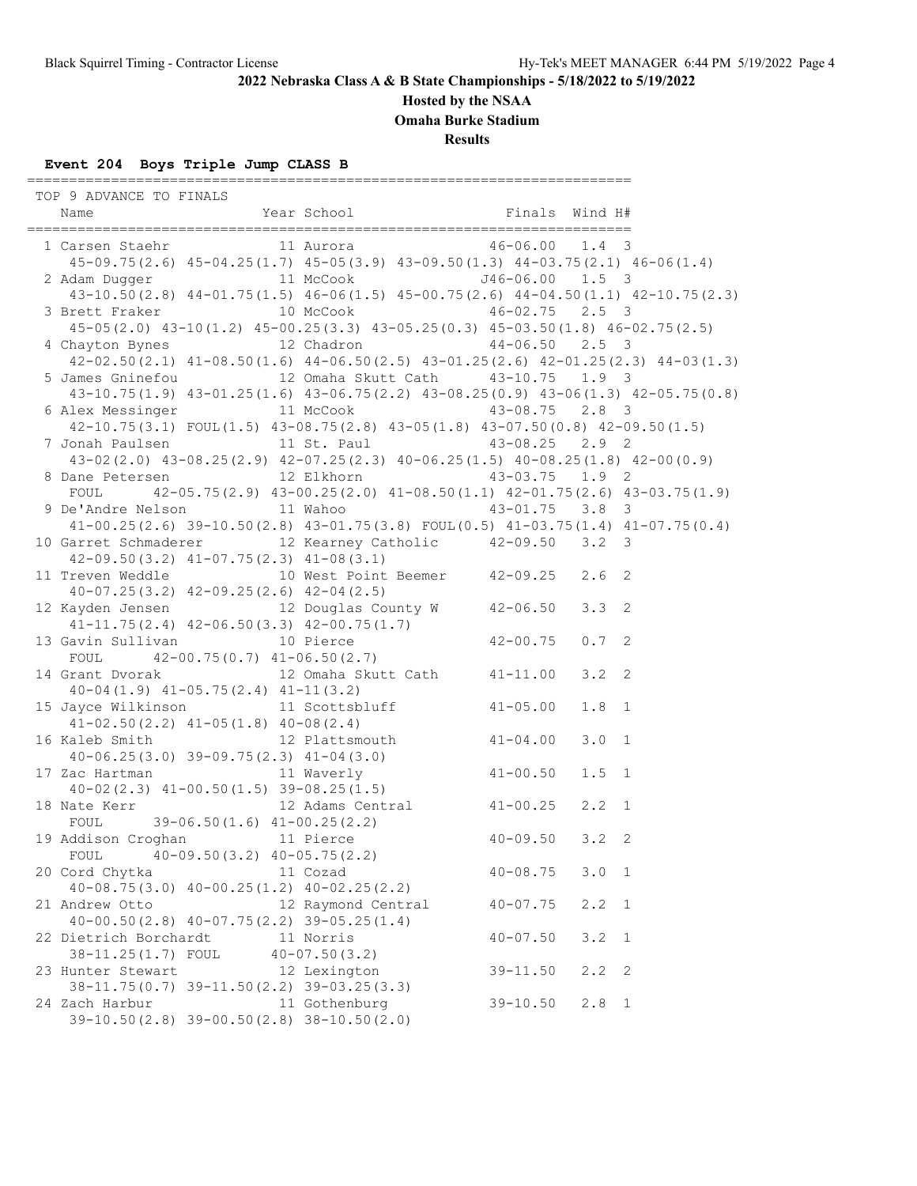**Hosted by the NSAA**

**Omaha Burke Stadium**

**Results**

# **Event 204 Boys Triple Jump CLASS B**

========================================================================

| TOP 9 ADVANCE TO FINALS<br>Name Finals Mundum Hear School Finals Mind H#<br>Finals Mind H# Year School Finals Mind H#                                                                           |                                                    |                              |                        |                |
|-------------------------------------------------------------------------------------------------------------------------------------------------------------------------------------------------|----------------------------------------------------|------------------------------|------------------------|----------------|
| 1 Carsen Staehr 11 Aurora 11 August 16-06.00 1.4 3<br>$45-09.75(2.6)$ $45-04.25(1.7)$ $45-05(3.9)$ $43-09.50(1.3)$ $44-03.75(2.1)$ $46-06(1.4)$                                                 |                                                    |                              |                        |                |
| 2 Adam Dugger 11 McCook 546-06.00 1.5 3<br>43-10.50(2.8) 44-01.75(1.5) 46-06(1.5) 45-00.75(2.6) 44-04.50(1.1) 42-10.75(2.3)                                                                     |                                                    |                              |                        |                |
| 3 Brett Fraker 10 McCook 46-02.75 2.5 3<br>$45-05(2.0)$ $43-10(1.2)$ $45-00.25(3.3)$ $43-05.25(0.3)$ $45-03.50(1.8)$ $46-02.75(2.5)$                                                            |                                                    |                              |                        |                |
| 4 Chayton Bynes 12 Chadron 12 44-06.50 2.5 3<br>$42-02.50(2.1)$ $41-08.50(1.6)$ $44-06.50(2.5)$ $43-01.25(2.6)$ $42-01.25(2.3)$ $44-03(1.3)$                                                    |                                                    |                              |                        |                |
| 5 James Gninefou 12 Omaha Skutt Cath 43-10.75 1.9 3<br>43-10.75 (1.9) 43-01.25 (1.6) 43-06.75 (2.2) 43-08.25 (0.9) 43-06 (1.3) 42-05.75 (0.8)                                                   |                                                    |                              |                        |                |
| 6 Alex Messinger 11 McCook 43-08.75 2.8 3<br>$42-10.75(3.1)$ FOUL $(1.5)$ $43-08.75(2.8)$ $43-05(1.8)$ $43-07.50(0.8)$ $42-09.50(1.5)$                                                          |                                                    |                              |                        |                |
| 7 Jonah Paulsen 11 St. Paul 43-08.25 2.9 2<br>$43-02(2.0)$ $43-08.25(2.9)$ $42-07.25(2.3)$ $40-06.25(1.5)$ $40-08.25(1.8)$ $42-00(0.9)$                                                         |                                                    |                              |                        |                |
| 8 Dane Petersen 12 Elkhorn 43-03.75 1.9 2<br>FOUL 42-05.75 (2.9) $43-00.25(2.0)$ $41-08.50(1.1)$ $42-01.75(2.6)$ $43-03.75(1.9)$                                                                |                                                    |                              |                        |                |
| 9 De'Andre Nelson 11 Wahoo 43-01.75 3.8 3<br>$41-00.25(2.6)$ 39-10.50(2.8) $43-01.75(3.8)$ FOUL(0.5) $41-03.75(1.4)$ $41-07.75(0.4)$<br>10 Garret Schmaderer 12 Kearney Catholic 42-09.50 3.2 3 |                                                    |                              |                        |                |
| $42-09.50(3.2)$ $41-07.75(2.3)$ $41-08(3.1)$<br>11 Treven Weddle 10 West Point Beemer 42-09.25 2.6 2                                                                                            |                                                    |                              |                        |                |
| $40-07.25(3.2)$ $42-09.25(2.6)$ $42-04(2.5)$<br>12 Kayden Jensen 12 Douglas County W 42-06.50                                                                                                   |                                                    |                              | $3.3 \quad 2$          |                |
| 41-11.75(2.4) 42-06.50(3.3) 42-00.75(1.7)<br>13 Gavin Sullivan 10 Pierce 42-00.75                                                                                                               |                                                    |                              | $0.7-2$                |                |
| FOUL $42-00.75(0.7)$ $41-06.50(2.7)$<br>14 Grant Dvorak 12 Omaha Skutt Cath 41-11.00                                                                                                            |                                                    |                              | $3.2 \quad 2$          |                |
| $40-04(1.9)$ $41-05.75(2.4)$ $41-11(3.2)$<br>15 Jayce Wilkinson 11 Scottsbluff 41-05.00<br>$41-02.50(2.2)$ $41-05(1.8)$ $40-08(2.4)$                                                            |                                                    |                              | $1.8 \quad 1$          |                |
| $41-02.50(2.2)$ $41-05(1.8)$ $40-08(2.4)$<br>16 Kaleb Smith 12 Plattsmouth $41-04.00$                                                                                                           |                                                    |                              | 3.0 1                  |                |
| $40-06.25(3.0)$ 39-09.75(2.3) $41-04(3.0)$<br>17 Zac Hartman 11 Waverly $41-00.50$<br>$40-02(2.3)$ $41-00.50(1.5)$ $39-08.25(1.5)$                                                              |                                                    |                              | $1.5 \quad 1$          |                |
| 18 Nate Kerr<br>FOUL 39-06.50 $(1.6)$ 41-00.25 $(2.2)$                                                                                                                                          | 12 Adams Central 41-00.25<br>2) $40-09.50$ $3.2$ 2 |                              | $2, 2 \quad 1$         |                |
| 19 Addison Croghan 11 Pierce<br>FOUL $40-09.50(3.2)$ $40-05.75(2.2)$                                                                                                                            |                                                    |                              |                        |                |
| 20 Cord Chytka<br>$40-08.75(3.0)$ $40-00.25(1.2)$ $40-02.25(2.2)$<br>21 Andrew Otto                                                                                                             | 11 Cozad<br>12 Raymond Central                     | $40 - 08.75$<br>$40 - 07.75$ | 3.0 1<br>$2.2 \quad 1$ |                |
| $40-00.50(2.8)$ $40-07.75(2.2)$ $39-05.25(1.4)$<br>22 Dietrich Borchardt 11 Norris                                                                                                              |                                                    | $40 - 07.50$                 | 3.2                    | $\overline{1}$ |
| 38-11.25(1.7) FOUL 40-07.50(3.2)<br>23 Hunter Stewart 12 Lexington                                                                                                                              |                                                    | $39 - 11.50$                 | $2.2$ 2                |                |
| 38-11.75(0.7) 39-11.50(2.2) 39-03.25(3.3)<br>24 Zach Harbur<br>$39-10.50(2.8)$ 39-00.50(2.8) 38-10.50(2.0)                                                                                      | 11 Gothenburg                                      | $39 - 10.50$                 | $2.8 \quad 1$          |                |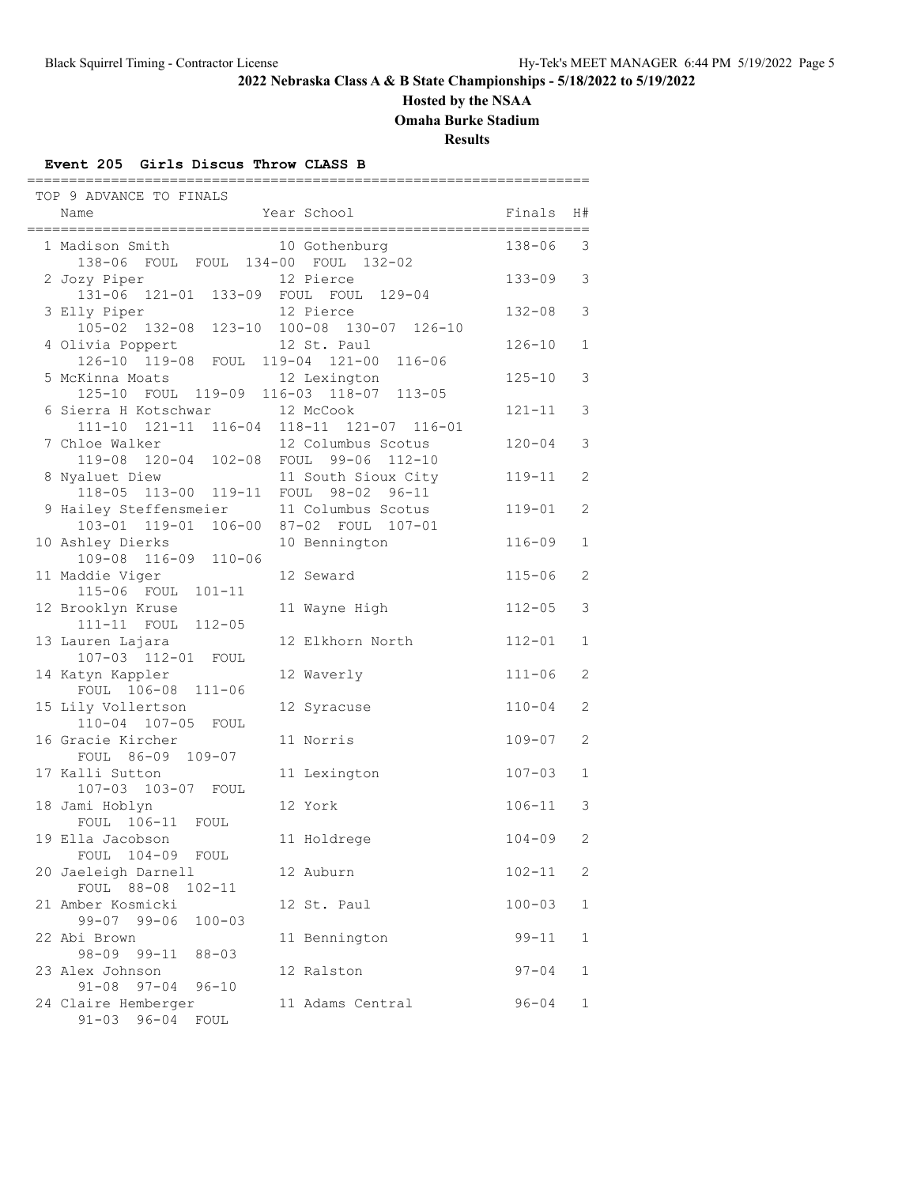**Hosted by the NSAA**

**Omaha Burke Stadium**

**Results**

#### **Event 205 Girls Discus Throw CLASS B**

| TOP 9 ADVANCE TO FINALS                                                                                                  |                         |            |    |
|--------------------------------------------------------------------------------------------------------------------------|-------------------------|------------|----|
| Name                                                                                                                     | Year School             | Finals     | H# |
| _____________________________________<br>1 Madison Smith                                                                 | 10 Gothenburg           | 138-06     | 3  |
| 138-06 FOUL FOUL 134-00 FOUL 132-02<br>2 Jozy Piper                                                                      | 12 Pierce               | $133 - 09$ | 3  |
| 131-06 121-01 133-09 FOUL FOUL<br>3 Elly Piper                                                                           | $129 - 04$<br>12 Pierce | 132-08     | 3  |
| 105-02 132-08 123-10 100-08 130-07 126-10<br>4 Olivia Poppert                                                            | 12 St. Paul             | $126 - 10$ | 1  |
| 126-10 119-08 FOUL 119-04 121-00 116-06<br>5 McKinna Moats<br>125-10 FOUL 119-09 116-03 118-07 113-05                    | 12 Lexington            | $125 - 10$ | 3  |
| 6 Sierra H Kotschwar 12 McCook                                                                                           |                         | $121 - 11$ | 3  |
| 111-10 121-11 116-04 118-11 121-07 116-01<br>7 Chloe Walker 12 Columbus Scotus<br>119-08 120-04 102-08 FOUL 99-06 112-10 |                         | $120 - 04$ | 3  |
| 8 Nyaluet Diew                                                                                                           | 11 South Sioux City     | $119 - 11$ | 2  |
| 118-05 113-00 119-11 FOUL 98-02 96-11<br>9 Hailey Steffensmeier                                                          | 11 Columbus Scotus      | $119 - 01$ | 2  |
| 103-01 119-01 106-00 87-02 FOUL 107-01<br>10 Ashley Dierks                                                               | 10 Bennington           | $116 - 09$ | 1  |
| 109-08 116-09 110-06<br>11 Maddie Viger                                                                                  | 12 Seward               | $115 - 06$ | 2  |
| 115-06 FOUL 101-11<br>12 Brooklyn Kruse                                                                                  | 11 Wayne High           | $112 - 05$ | 3  |
| 111-11 FOUL 112-05<br>13 Lauren Lajara                                                                                   | 12 Elkhorn North        | $112 - 01$ | 1  |
| 107-03 112-01 FOUL<br>14 Katyn Kappler                                                                                   | 12 Waverly              | $111 - 06$ | 2  |
| FOUL 106-08<br>$111 - 06$<br>15 Lily Vollertson                                                                          | 12 Syracuse             | 110-04     | 2  |
| 110-04 107-05<br>FOUL<br>16 Gracie Kircher                                                                               | 11 Norris               | $109 - 07$ | 2  |
| FOUL 86-09 109-07<br>17 Kalli Sutton                                                                                     | 11 Lexington            | $107 - 03$ | 1  |
| 107-03 103-07 FOUL<br>18 Jami Hoblyn                                                                                     | 12 York                 | $106 - 11$ | 3  |
| FOUL 106-11<br>FOUL<br>19 Ella Jacobson                                                                                  | 11 Holdrege             | $104 - 09$ | 2  |
| $104 - 09$<br>FOUL<br>FOUL<br>20 Jaeleigh Darnell                                                                        | 12 Auburn               | 102-11     | 2  |
| FOUL 88-08<br>$102 - 11$<br>21 Amber Kosmicki                                                                            | 12 St. Paul             | $100 - 03$ | 1  |
| $99 - 07$ 99-06<br>$100 - 03$<br>22 Abi Brown                                                                            | 11 Bennington           | $99 - 11$  | 1  |
| 98-09 99-11<br>$88 - 03$<br>23 Alex Johnson                                                                              | 12 Ralston              | $97 - 04$  | 1  |
| $91 - 08$<br>$97 - 04$<br>$96 - 10$<br>24 Claire Hemberger<br>$91 - 03$ $96 - 04$<br>FOUL                                | 11 Adams Central        | $96 - 04$  | 1  |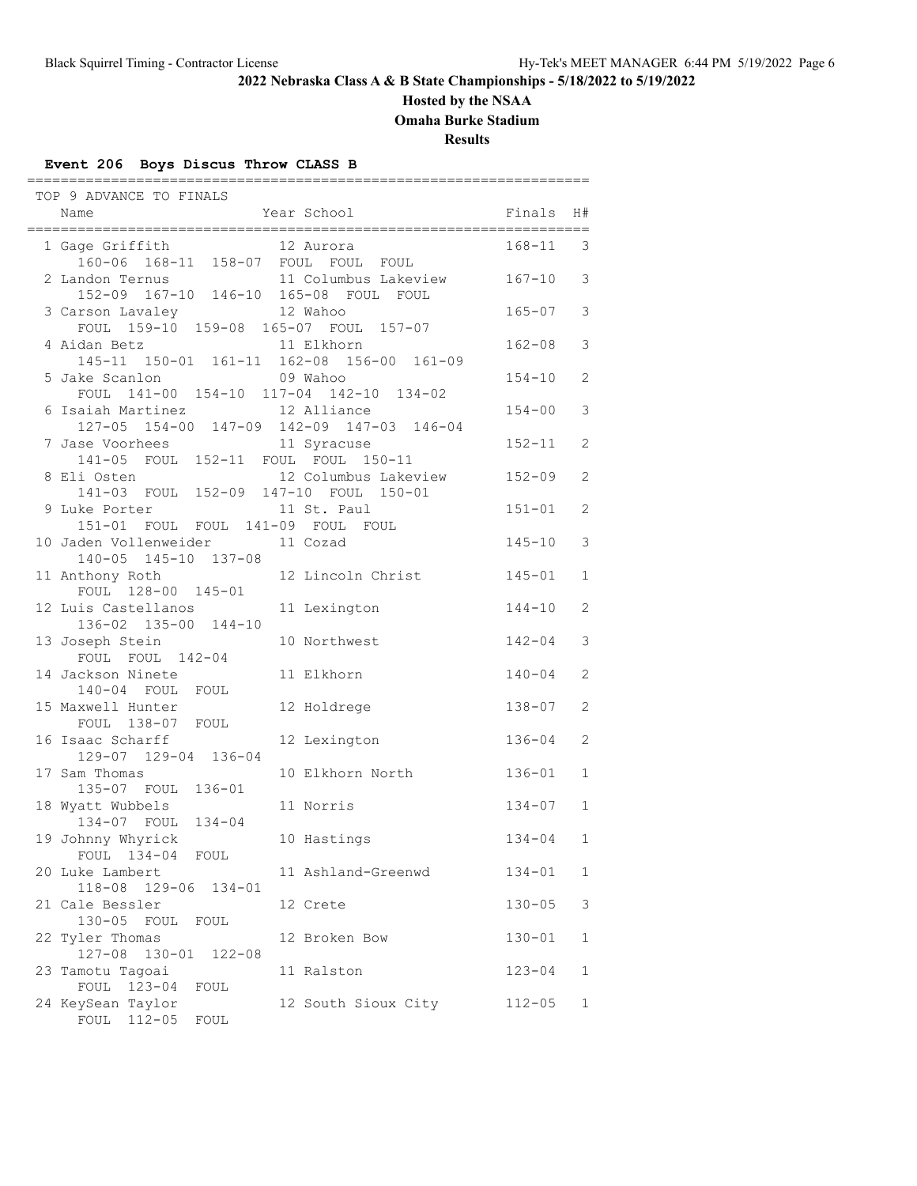### **Hosted by the NSAA**

**Omaha Burke Stadium**

**Results**

# **Event 206 Boys Discus Throw CLASS B**

| TOP 9 ADVANCE TO FINALS                                                                                                 |                          |              |              |
|-------------------------------------------------------------------------------------------------------------------------|--------------------------|--------------|--------------|
| Year School<br>Name                                                                                                     | <b>Example 18</b>        |              | H#           |
| 1 Gage Griffith 12 Aurora<br>160-06 168-11 158-07 FOUL FOUL FOUL                                                        |                          | $168 - 11$ 3 |              |
| 2 Landon Ternus 11 Columbus Lakeview 167-10 3<br>152-09 167-10 146-10 165-08 FOUL FOUL                                  |                          |              |              |
| 3 Carson Lavaley 12 Wahoo                                                                                               |                          | $165 - 07$   | 3            |
| FOUL $159-10$ $159-08$ $165-07$ FOUL $157-07$<br>4 Aidan Betz                                                           | 11 Elkhorn               | $162 - 08$   | 3            |
| 145-11 150-01 161-11 162-08 156-00 161-09<br>5 Jake Scanlon                                                             | 09 Wahoo                 | $154 - 10$   | 2            |
| FOUL 141-00 154-10 117-04 142-10 134-02<br>6 Isaiah Martinez 12 Alliance                                                |                          | $154 - 00$   | 3            |
| 127-05 154-00 147-09 142-09 147-03 146-04<br>7 Jase Voorhees 11 Syracuse                                                |                          | $152 - 11$   | 2            |
| 141-05 FOUL 152-11 FOUL FOUL 150-11<br>8 Eli Osten 12 Columbus Lakeview 152-09<br>141-03 FOUL 152-09 147-10 FOUL 150-01 |                          |              | 2            |
| 9 Luke Porter                                                                                                           | 11 St. Paul              | $151 - 01$   | 2            |
| 151-01 FOUL FOUL 141-09 FOUL FOUL<br>10 Jaden Vollenweider 11 Cozad                                                     |                          | $145 - 10$   | 3            |
| 140-05 145-10 137-08<br>11 Anthony Roth                                                                                 | 12 Lincoln Christ 145-01 |              | 1            |
| FOUL 128-00 145-01<br>12 Luis Castellanos                                                                               | 11 Lexington             | $144 - 10$   | 2            |
| 136-02 135-00 144-10<br>13 Joseph Stein                                                                                 | 10 Northwest             | $142 - 04$   | 3            |
| FOUL FOUL 142-04<br>14 Jackson Ninete                                                                                   | 11 Elkhorn               | $140 - 04$   | 2            |
| 140-04 FOUL FOUL<br>15 Maxwell Hunter                                                                                   | 12 Holdrege              | $138 - 07$   | 2            |
| FOUL 138-07 FOUL<br>16 Isaac Scharff                                                                                    | 12 Lexington             | $136 - 04$   | 2            |
| 129-07 129-04 136-04<br>17 Sam Thomas                                                                                   | 10 Elkhorn North         | $136 - 01$   | $\mathbf 1$  |
| 135-07 FOUL 136-01                                                                                                      |                          |              |              |
| 18 Wyatt Wubbels<br>134-07 FOUL 134-04                                                                                  | 11 Norris                | $134 - 07$   | $\mathbf{1}$ |
| 19 Johnny Whyrick 10 Hastings<br>FOUL 134-04 FOUL                                                                       |                          | $134 - 04$   | $\mathbf{1}$ |
| 20 Luke Lambert<br>118-08 129-06 134-01                                                                                 | 11 Ashland-Greenwd       | $134 - 01$   | 1            |
| 21 Cale Bessler<br>130-05 FOUL FOUL                                                                                     | 12 Crete                 | $130 - 05$   | 3            |
| 22 Tyler Thomas<br>$127 - 08$<br>130-01 122-08                                                                          | 12 Broken Bow            | $130 - 01$   | 1            |
| 23 Tamotu Tagoai<br>FOUL 123-04 FOUL                                                                                    | 11 Ralston               | $123 - 04$   | 1            |
| 24 KeySean Taylor<br>FOUL 112-05 FOUL                                                                                   | 12 South Sioux City      | $112 - 05$   | 1            |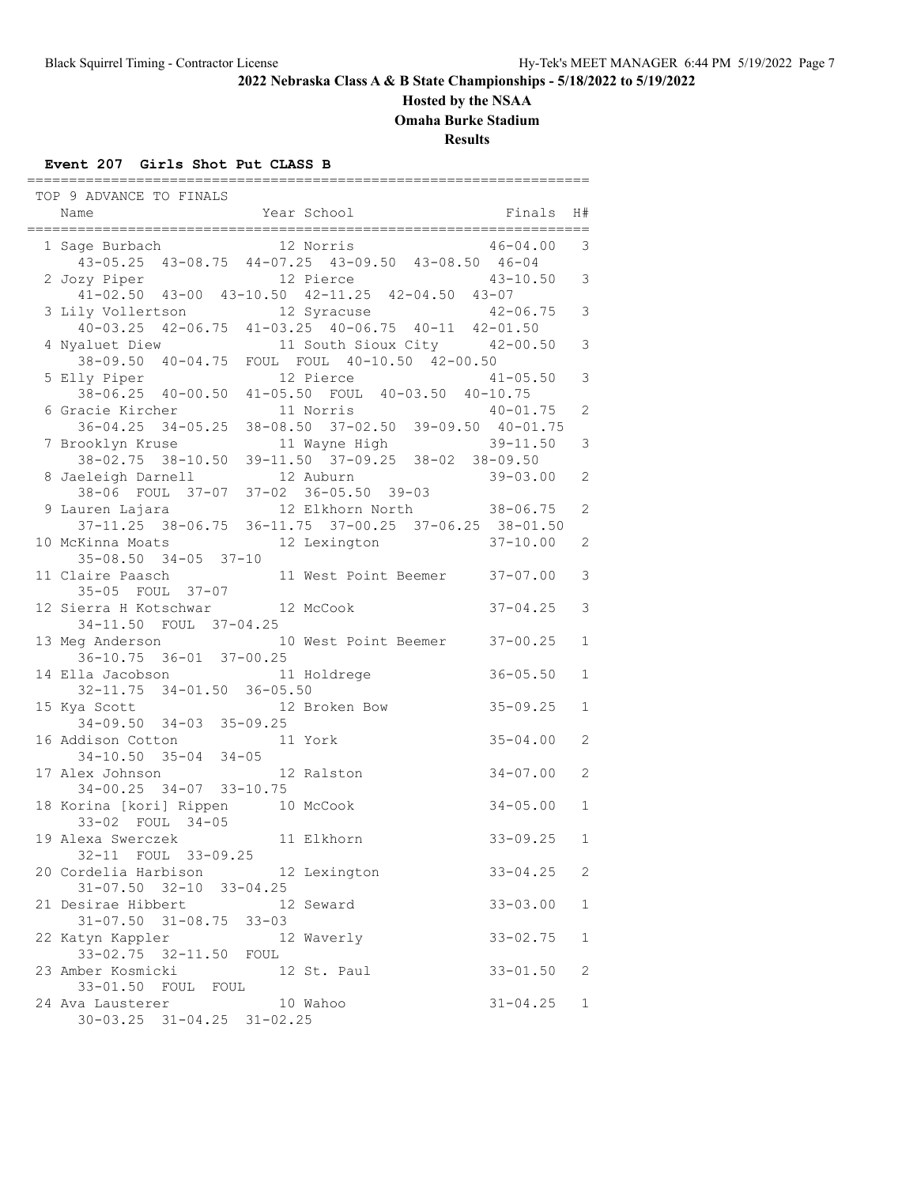### **Hosted by the NSAA**

**Omaha Burke Stadium**

**Results**

### **Event 207 Girls Shot Put CLASS B**

| TOP 9 ADVANCE TO FINALS                                                                                                     |         |                               |                          |               |
|-----------------------------------------------------------------------------------------------------------------------------|---------|-------------------------------|--------------------------|---------------|
| Name                                                                                                                        |         | Year School                   | <b>Example 18</b> Finals | H#            |
| 1 Sage Burbach                                                                                                              |         | 12 Norris                     | $46 - 04.00$             | 3             |
| 43-05.25 43-08.75 44-07.25 43-09.50 43-08.50 46-04                                                                          |         |                               |                          |               |
| 2 Jozy Piper 12 Pierce 43-10.50 3<br>41-02.50 43-00 43-10.50 42-11.25 42-04.50 43-07                                        |         |                               |                          |               |
| 3 Lily Vollertson 12 Syracuse                                                                                               |         |                               | $42 - 06.75$             | $\mathcal{E}$ |
| 1y Vollertson 12 Syracuse 42-06.75<br>40-03.25 42-06.75 41-03.25 40-06.75 40-11 42-01.50                                    |         |                               |                          |               |
| valuet Diew 11 South Sioux City 42-00.50<br>38-09.50 40-04.75 FOUL FOUL 40-10.50 42-00.50<br>4 Nyaluet Diew                 |         |                               |                          | $\mathsf 3$   |
| 5 Elly Piper                                                                                                                |         | 12 Pierce                     | $41 - 05.50$             | 3             |
| 38-06.25 40-00.50 41-05.50 FOUL 40-03.50 40-10.75                                                                           |         |                               |                          |               |
| 6 Gracie Kircher                                                                                                            |         | 11 Norris                     | $40 - 01.75$             | 2             |
| 36-04.25 34-05.25 38-08.50 37-02.50 39-09.50 40-01.75                                                                       |         |                               |                          |               |
| 7 Brooklyn Kruse                                                                                                            |         | 11 Wayne High 39-11.50        |                          | 3             |
| 38-02.75 38-10.50 39-11.50 37-09.25 38-02 38-09.50                                                                          |         |                               | 39-03.00                 | 2             |
| 8 Jaeleigh Darnell 12 Auburn 39-03.00<br>38-06 FOUL 37-07 37-02 36-05.50 39-03<br>9 Lauren Lajara 12 Elkhorn North 38-06.75 |         |                               |                          |               |
|                                                                                                                             |         |                               |                          | 2             |
| $37-11.25$ $38-06.75$ $36-11.75$ $37-00.25$ $37-06.25$ $38-01.50$                                                           |         |                               |                          |               |
| 10 McKinna Moats                                                                                                            |         | 12 Lexington 37-10.00         |                          | 2             |
| $35 - 08.50$ $34 - 05$ $37 - 10$<br>11 Claire Paasch                                                                        |         | 11 West Point Beemer 37-07.00 |                          | 3             |
| 35-05 FOUL 37-07                                                                                                            |         |                               |                          |               |
| 12 Sierra H Kotschwar 12 McCook                                                                                             |         |                               | $37 - 04.25$             | 3             |
| 34-11.50 FOUL 37-04.25                                                                                                      |         |                               |                          |               |
| 13 Meg Anderson 10 West Point Beemer 37-00.25<br>36-10.75 36-01 37-00.25                                                    |         |                               |                          | 1             |
|                                                                                                                             |         |                               | $36 - 05.50$             | $\mathbf{1}$  |
| 14 Ella Jacobson 11 Holdrege<br>32-11.75 34-01.50 36-05.50                                                                  |         |                               |                          |               |
| 15 Kya Scott 12 Broken Bow<br>34-09.50 34-03 35-09.25                                                                       |         |                               | $35 - 09.25$             | $\mathbf{1}$  |
|                                                                                                                             |         |                               |                          |               |
| 16 Addison Cotton<br>ldison Cotton 1<br>34-10.50 35-04 34-05                                                                | 11 York |                               | $35 - 04.00$             | 2             |
| 17 Alex Johnson                                                                                                             |         | 12 Ralston                    | $34 - 07.00$             | 2             |
| 34-00.25 34-07 33-10.75                                                                                                     |         |                               |                          |               |
| 18 Korina [kori] Rippen 10 McCook                                                                                           |         |                               | $34 - 05.00$             | $\mathbf{1}$  |
| 33-02 FOUL 34-05                                                                                                            |         |                               |                          |               |
| 19 Alexa Swerczek 11 Elkhorn                                                                                                |         |                               | $33 - 09.25$             | $\mathbf{1}$  |
| 32-11 FOUL 33-09.25<br>20 Cordelia Harbison 12 Lexington                                                                    |         |                               | $33 - 04.25$             | 2             |
| $31 - 07.50$ $32 - 10$ $33 - 04.25$                                                                                         |         |                               |                          |               |
| 21 Desirae Hibbert                                                                                                          |         | 12 Seward                     | $33 - 03.00$             | 1             |
| $31 - 07.50$ $31 - 08.75$ $33 - 03$                                                                                         |         |                               |                          |               |
| 22 Katyn Kappler<br>33-02.75 32-11.50 FOUL                                                                                  |         | 12 Waverly                    | $33 - 02.75$             | 1             |
| 23 Amber Kosmicki                                                                                                           |         | 12 St. Paul                   | $33 - 01.50$             | 2             |
| 33-01.50 FOUL FOUL                                                                                                          |         |                               |                          |               |
| 24 Ava Lausterer                                                                                                            |         | 10 Wahoo                      | $31 - 04.25$             | $\mathbf 1$   |
| $30 - 03.25$ $31 - 04.25$ $31 - 02.25$                                                                                      |         |                               |                          |               |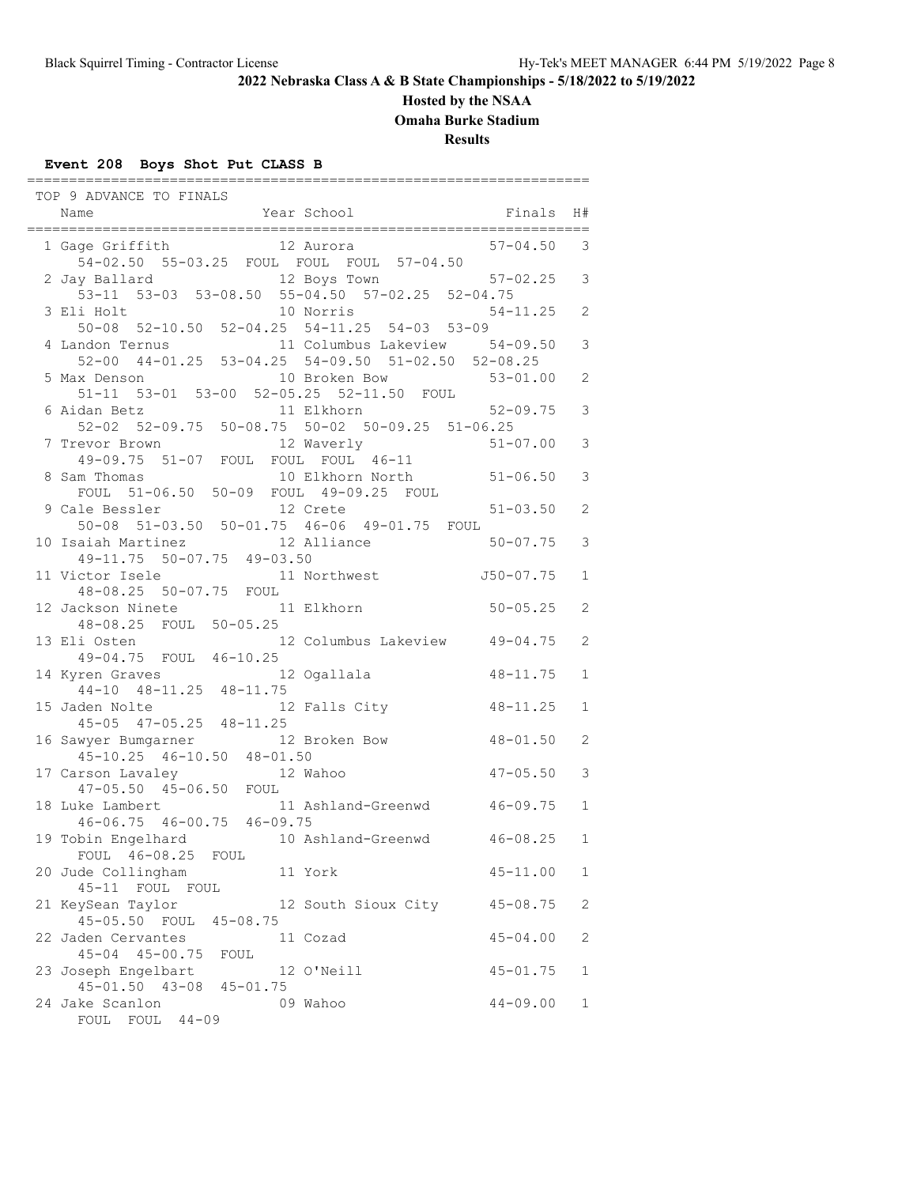# **Hosted by the NSAA**

**Omaha Burke Stadium**

**Results**

### **Event 208 Boys Shot Put CLASS B**

| TOP 9 ADVANCE TO FINALS                                                                             |                |              |
|-----------------------------------------------------------------------------------------------------|----------------|--------------|
| Year School<br>Name                                                                                 | Finals         | H#           |
| 1 Gage Griffith 12 Aurora                                                                           | $57 - 04.50$   | 3            |
| 54-02.50 55-03.25 FOUL FOUL FOUL 57-04.50<br>12 Boys Town<br>2 Jay Ballard                          | $57-02.25$ 3   |              |
| 53-11 53-03 53-08.50 55-04.50 57-02.25 52-04.75                                                     |                |              |
| 10 Norris<br>3 Eli Holt                                                                             | $54 - 11.25$ 2 |              |
| 50-08 52-10.50 52-04.25 54-11.25 54-03 53-09                                                        |                | 3            |
| 4 Landon Ternus 11 Columbus Lakeview 54-09.50<br>52-00 44-01.25 53-04.25 54-09.50 51-02.50 52-08.25 |                |              |
| 5 Max Denson 10 Broken Bow 53-01.00<br>51-11 53-01 53-00 52-05.25 52-11.50 FOUL                     |                | 2            |
| 6 Aidan Betz 11 Elkhorn 52-09.75<br>52-02 52-09.75 50-08.75 50-02 50-09.25 51-06.25                 |                | 3            |
|                                                                                                     |                |              |
| 7 Trevor Brown 12 Waverly 51-07.00<br>49-09.75 51-07 FOUL FOUL FOUL 46-11                           |                | 3            |
| 10 Elkhorn North 51-06.50<br>8 Sam Thomas<br>FOUL 51-06.50 50-09 FOUL 49-09.25 FOUL                 |                | 3            |
| 12 Crete<br>9 Cale Bessler                                                                          | $51 - 03.50$   | 2            |
| 50-08 51-03.50 50-01.75 46-06 49-01.75 FOUL                                                         |                |              |
| 12 Alliance<br>10 Isaiah Martinez                                                                   | $50 - 07.75$   | 3            |
| 49-11.75 50-07.75 49-03.50<br>11 Victor Isele 11 Northwest 50-07.75                                 |                | 1            |
| 48-08.25 50-07.75 FOUL                                                                              |                |              |
| 12 Jackson Ninete 11 Elkhorn                                                                        | $50 - 05.25$   | 2            |
| 48-08.25 FOUL 50-05.25<br>13 Eli Osten 12 Columbus Lakeview 49-04.75<br>49-04.75 FOUL 46-10.25      |                | 2            |
|                                                                                                     |                |              |
| 14 Kyren Graves 12 Ogallala<br>44-10 48-11.25 48-11.75                                              | $48 - 11.75$   | $\mathbf{1}$ |
| 12 Falls City<br>15 Jaden Nolte                                                                     | $48 - 11.25$   | $\mathbf{1}$ |
| 45-05 47-05.25 48-11.25                                                                             |                |              |
| 12 Broken Bow<br>16 Sawyer Bumgarner                                                                | 48-01.50       | 2            |
| 45-10.25 46-10.50 48-01.50<br>17 Carson Lavaley                                                     | $47 - 05.50$   | 3            |
| irson Lavaley 12 Wahoo<br>47-05.50 45-06.50 FOUL                                                    |                |              |
| 18 Luke Lambert 11 Ashland-Greenwd 46-09.75<br>46-06.75 46-00.75 46-09.75                           |                | 1            |
|                                                                                                     |                |              |
| 19 Tobin Engelhard 10 Ashland-Greenwd 46-08.25<br>FOUL 46-08.25<br>FOUL                             |                | $\mathbf{1}$ |
| 20 Jude Collingham<br>11 York<br>45-11<br>FOUL<br>FOUL                                              | $45 - 11.00$   | 1            |
| 21 KeySean Taylor<br>12 South Sioux City                                                            | $45 - 08.75$   | 2            |
| 45-05.50 FOUL 45-08.75<br>22 Jaden Cervantes<br>11 Cozad                                            | $45 - 04.00$   | 2            |
| 45-04 45-00.75 FOUL                                                                                 |                |              |
| 23 Joseph Engelbart<br>12 O'Neill<br>45-01.50 43-08 45-01.75                                        | $45 - 01.75$   | 1            |
| 24 Jake Scanlon<br>09 Wahoo<br>$44 - 09$<br>FOUL FOUL                                               | $44 - 09.00$   | 1            |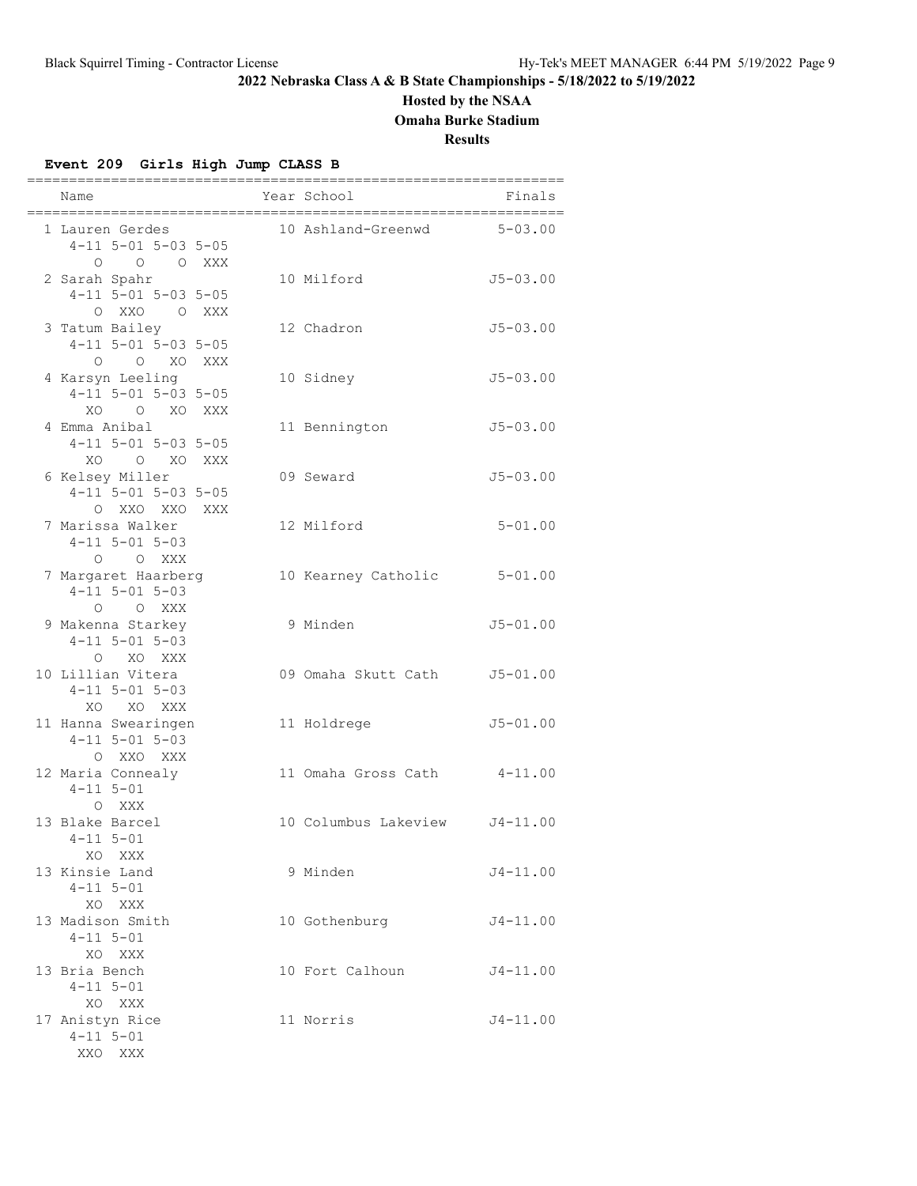# **Hosted by the NSAA**

**Omaha Burke Stadium**

**Results**

### **Event 209 Girls High Jump CLASS B**

| Name<br>=====================================                             | ----------------------------------<br>Year School<br>;===================== | Finals       |
|---------------------------------------------------------------------------|-----------------------------------------------------------------------------|--------------|
| 1 Lauren Gerdes<br>$4-11$ 5-01 5-03 5-05<br>O O XXX<br>$\Omega$           | 10 Ashland-Greenwd 5-03.00                                                  |              |
| 2 Sarah Spahr<br>$4-11$ 5-01 5-03 5-05<br>O XXO O XXX                     | 10 Milford                                                                  | $J5 - 03.00$ |
| 3 Tatum Bailey<br>$4 - 11$ 5-01 5-03 5-05<br>O O XO XXX                   | 12 Chadron                                                                  | $J5 - 03.00$ |
| 4 Karsyn Leeling<br>$4 - 11$ 5-01 5-03 5-05<br>O XO XXX<br>XO             | 10 Sidney                                                                   | $J5 - 03.00$ |
| 4 Emma Anibal<br>$4 - 11$ $5 - 01$ $5 - 03$ $5 - 05$<br>XO<br>O XO<br>XXX | 11 Bennington                                                               | $J5 - 03.00$ |
| 6 Kelsey Miller<br>$4 - 11$ 5-01 5-03 5-05<br>O XXO XXO XXX               | 09 Seward                                                                   | $J5 - 03.00$ |
| 7 Marissa Walker<br>$4 - 11$ $5 - 01$ $5 - 03$<br>O O XXX                 | 12 Milford                                                                  | $5 - 01.00$  |
| 7 Margaret Haarberg<br>$4 - 11$ $5 - 01$ $5 - 03$<br>O O XXX              | 10 Kearney Catholic                                                         | $5 - 01.00$  |
| 9 Makenna Starkey<br>$4 - 11$ 5-01 5-03<br>XO XXX<br>$\circ$              | 9 Minden                                                                    | $J5 - 01.00$ |
| 10 Lillian Vitera<br>$4 - 11$ 5-01 5-03<br>XO XO XXX                      | 09 Omaha Skutt Cath                                                         | $J5 - 01.00$ |
| 11 Hanna Swearingen<br>$4 - 11$ 5-01 5-03<br>O XXO XXX                    | 11 Holdrege                                                                 | $J5 - 01.00$ |
| 12 Maria Connealy<br>$4 - 11$ $5 - 01$<br>O XXX                           | 11 Omaha Gross Cath 4-11.00                                                 |              |
| 13 Blake Barcel<br>$4 - 11$ $5 - 01$<br>XO XXX                            | 10 Columbus Lakeview J4-11.00                                               |              |
| 13 Kinsie Land<br>$4 - 11$ $5 - 01$<br>XO XXX                             | 9 Minden                                                                    | $J4 - 11.00$ |
| 13 Madison Smith<br>$4 - 11$ $5 - 01$<br>XO XXX                           | 10 Gothenburg                                                               | $J4 - 11.00$ |
| 13 Bria Bench<br>$4 - 11$ $5 - 01$<br>XO XXX                              | 10 Fort Calhoun                                                             | $J4 - 11.00$ |
| 17 Anistyn Rice<br>$4 - 11$ $5 - 01$<br>XXO XXX                           | 11 Norris                                                                   | $J4 - 11.00$ |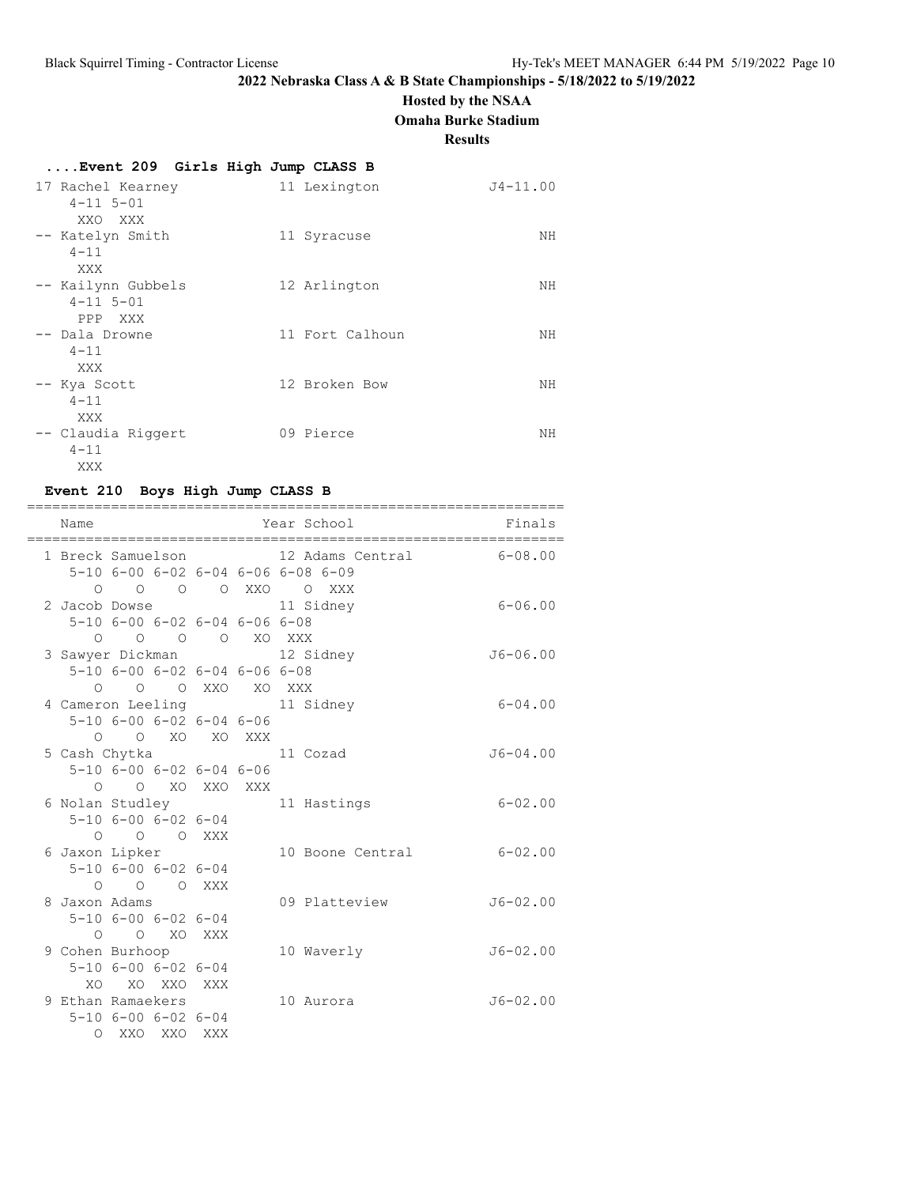### **Hosted by the NSAA**

**Omaha Burke Stadium**

**Results**

# **....Event 209 Girls High Jump CLASS B**

| 17 Rachel Kearney<br>$4 - 11$ $5 - 01$<br>XXO XXX  | 11 Lexington    | $J4 - 11.00$ |
|----------------------------------------------------|-----------------|--------------|
| -- Katelyn Smith<br>$4 - 11$<br>XXX                | 11 Syracuse     | NH           |
| -- Kailynn Gubbels<br>$4 - 11$ $5 - 01$<br>PPP XXX | 12 Arlington    | NН           |
| -- Dala Drowne<br>$4 - 11$<br>XXX                  | 11 Fort Calhoun | NH           |
| -- Kya Scott<br>$4 - 11$<br>XXX                    | 12 Broken Bow   | NΗ           |
| -- Claudia Riggert<br>$4 - 11$<br>XXX              | 09 Pierce       | NΗ           |

# **Event 210 Boys High Jump CLASS B**

| Name                     |                                                                    |          |  | Year School                                                                                   | Finals       |
|--------------------------|--------------------------------------------------------------------|----------|--|-----------------------------------------------------------------------------------------------|--------------|
|                          |                                                                    |          |  | 1 Breck Samuelson 12 Adams Central<br>5-10 6-00 6-02 6-04 6-06 6-08 6-09<br>0 0 0 0 XXO O XXX | $6 - 08.00$  |
| 2 Jacob Dowse            | 5-10 6-00 6-02 6-04 6-06 6-08<br>0 0 0 0 XO XXX                    |          |  | 11 Sidney                                                                                     | $6 - 06.00$  |
|                          | 5-10 6-00 6-02 6-04 6-06 6-08<br>O O O XXO XO XXX                  |          |  | 3 Sawyer Dickman 12 Sidney                                                                    | $J6 - 06.00$ |
|                          | $5 - 10$ 6-00 6-02 6-04 6-06<br>O O XO XO XXX                      |          |  | 4 Cameron Leeling 11 Sidney                                                                   | $6 - 04.00$  |
| 5 Cash Chytka            | $5 - 10$ $6 - 00$ $6 - 02$ $6 - 04$ $6 - 06$                       |          |  | 11 Cozad                                                                                      | $J6 - 04.00$ |
| 6 Nolan Studley          | 0 0 XO XXO XXX<br>$5 - 10$ $6 - 00$ $6 - 02$ $6 - 04$<br>O O O XXX |          |  | 11 Hastings                                                                                   | $6 - 02.00$  |
| 6 Jaxon Lipker           | $5 - 10$ $6 - 00$ $6 - 02$ $6 - 04$<br>O O O XXX                   |          |  | 10 Boone Central                                                                              | $6 - 02.00$  |
| 8 Jaxon Adams<br>$\circ$ | $5 - 10$ $6 - 00$ $6 - 02$ $6 - 04$                                | O XO XXX |  | 09 Platteview                                                                                 | $J6 - 02.00$ |
| 9 Cohen Burhoop          | $5 - 10$ $6 - 00$ $6 - 02$ $6 - 04$<br>XO XO XXO XXX               |          |  | 10 Waverly                                                                                    | $J6 - 02.00$ |
| 9 Ethan Ramaekers        | $5 - 10$ $6 - 00$ $6 - 02$ $6 - 04$<br>O XXO XXO XXX               |          |  | 10 Aurora                                                                                     | $J6 - 02.00$ |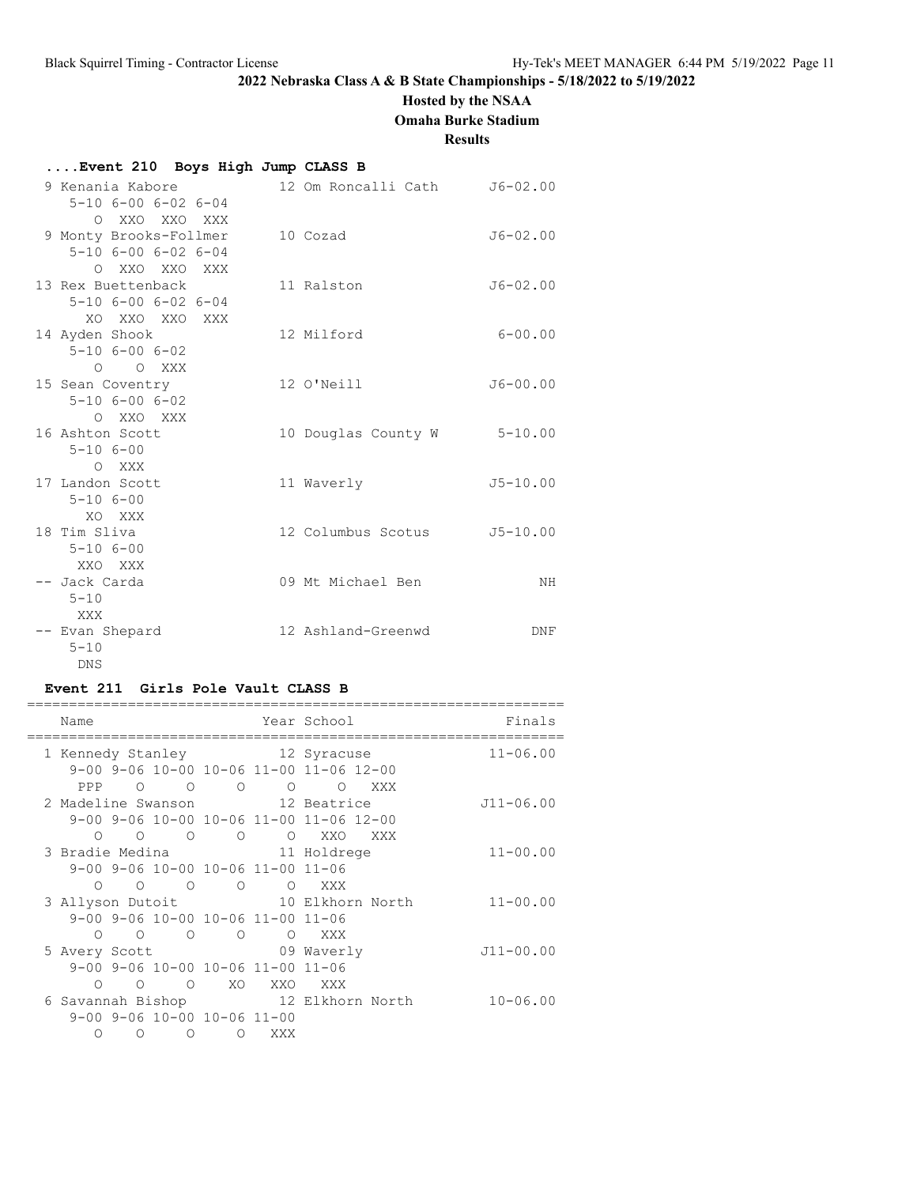# **Hosted by the NSAA**

**Omaha Burke Stadium**

### **Results**

### **....Event 210 Boys High Jump CLASS B**

| 9 Kenania Kabore                    |                    | 12 Om Roncalli Cath         | $J6 - 02.00$ |
|-------------------------------------|--------------------|-----------------------------|--------------|
| $5 - 10$ $6 - 00$ $6 - 02$ $6 - 04$ |                    |                             |              |
| O XXO XXO XXX                       |                    |                             |              |
| 9 Monty Brooks-Follmer              | 10 Cozad           |                             | $J6 - 02.00$ |
| $5 - 10$ $6 - 00$ $6 - 02$ $6 - 04$ |                    |                             |              |
| O XXO XXO XXX                       |                    |                             |              |
| 13 Rex Buettenback                  | 11 Ralston         |                             | $J6 - 02.00$ |
| $5 - 10$ $6 - 00$ $6 - 02$ $6 - 04$ |                    |                             |              |
| XO XXO XXO XXX                      |                    |                             |              |
| 14 Ayden Shook                      | 12 Milford         |                             | $6 - 00.00$  |
| $5 - 10$ $6 - 00$ $6 - 02$          |                    |                             |              |
| O O XXX                             |                    |                             |              |
| 15 Sean Coventry                    | 12 O'Neill         |                             | $J6 - 00.00$ |
| $5 - 10$ $6 - 00$ $6 - 02$          |                    |                             |              |
| O XXO XXX                           |                    |                             |              |
| 16 Ashton Scott                     |                    | 10 Douglas County W 5-10.00 |              |
| $5 - 106 - 00$                      |                    |                             |              |
| O XXX                               |                    |                             |              |
| 17 Landon Scott                     | 11 Waverly         |                             | $J5 - 10.00$ |
| $5 - 106 - 00$                      |                    |                             |              |
| XO XXX                              |                    |                             |              |
| 18 Tim Sliva                        | 12 Columbus Scotus |                             | $J5 - 10.00$ |
| $5 - 106 - 00$                      |                    |                             |              |
| XXO XXX                             |                    |                             |              |
| -- Jack Carda                       | 09 Mt Michael Ben  |                             | NH           |
| $5 - 10$                            |                    |                             |              |
| XXX                                 |                    |                             |              |
| -- Evan Shepard                     | 12 Ashland-Greenwd |                             | DNF          |
| $5 - 10$                            |                    |                             |              |
| <b>DNS</b>                          |                    |                             |              |

### **Event 211 Girls Pole Vault CLASS B**

| Name             |          |                |                                   |     | Year School                                            | Finals        |
|------------------|----------|----------------|-----------------------------------|-----|--------------------------------------------------------|---------------|
|                  |          |                |                                   |     | 1 Kennedy Stanley 12 Syracuse                          | $11 - 06.00$  |
|                  |          |                |                                   |     | 9-00 9-06 10-00 10-06 11-00 11-06 12-00                |               |
| PPP              |          |                |                                   |     | $\begin{matrix} 0 & 0 & 0 & 0 & 0 \end{matrix}$<br>XXX |               |
|                  |          |                |                                   |     | 2 Madeline Swanson 12 Beatrice                         | J11-06.00     |
|                  |          |                |                                   |     | 9-00 9-06 10-00 10-06 11-00 11-06 12-00                |               |
|                  |          |                | $0$ 0 0 0 0 XXO                   |     | XXX X                                                  |               |
|                  |          |                |                                   |     | 3 Bradie Medina 11 Holdrege                            | $11 - 00.00$  |
|                  |          |                | 9-00 9-06 10-00 10-06 11-00 11-06 |     |                                                        |               |
| $\cap$           | $\circ$  |                |                                   |     | XXX                                                    |               |
| 3 Allyson Dutoit |          |                |                                   |     | 10 Elkhorn North                                       | $11 - 00.00$  |
|                  |          |                | 9-00 9-06 10-00 10-06 11-00 11-06 |     |                                                        |               |
|                  |          |                | $0\qquad 0\qquad 0\qquad 0$       |     | XXX                                                    |               |
|                  |          |                |                                   |     | 5 Avery Scott 69 Waverly                               | $J11 - 00.00$ |
|                  |          |                | 9-00 9-06 10-00 10-06 11-00 11-06 |     |                                                        |               |
| ∩                | $\Omega$ | $\overline{O}$ | XO                                | XXO | XXX                                                    |               |
|                  |          |                |                                   |     | 6 Savannah Bishop 12 Elkhorn North                     | $10 - 06.00$  |
|                  |          |                | 9-00 9-06 10-00 10-06 11-00       |     |                                                        |               |
|                  | ∩        | $\Omega$       | $\Omega$                          | XXX |                                                        |               |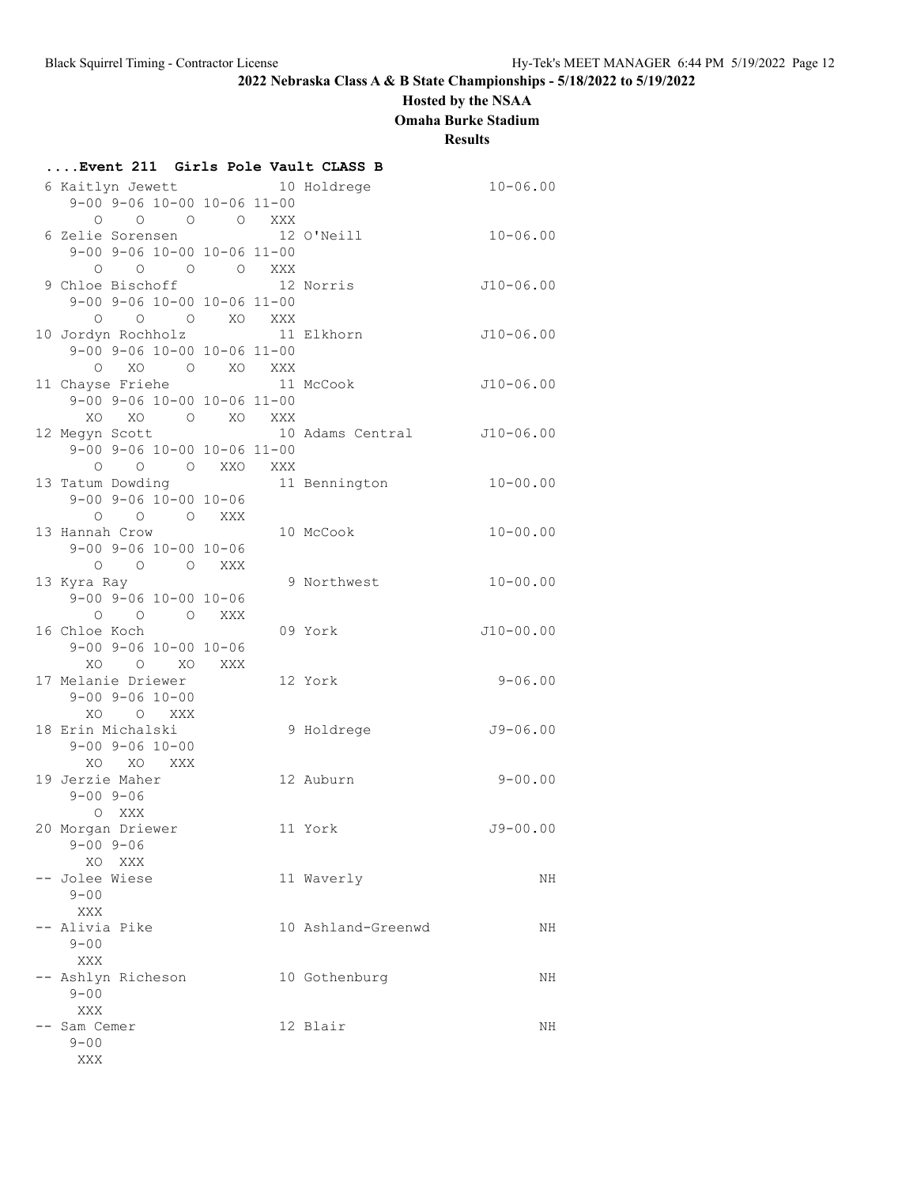# **Hosted by the NSAA**

**Omaha Burke Stadium**

**Results**

| Event 211 Girls Pole Vault CLASS B                                                                                                     |         |                            |              |
|----------------------------------------------------------------------------------------------------------------------------------------|---------|----------------------------|--------------|
| 6 Kaitlyn Jewett 10 Holdrege                                                                                                           |         |                            | $10 - 06.00$ |
| 9-00 9-06 10-00 10-06 11-00                                                                                                            |         |                            |              |
| $\begin{matrix} \mathsf{O} \qquad \mathsf{O} \qquad \mathsf{O} \qquad \mathsf{O} \qquad \mathsf{X} \mathsf{X} \mathsf{X} \end{matrix}$ |         |                            |              |
| 6 Zelie Sorensen                                                                                                                       |         | 12 O'Neill                 | $10 - 06.00$ |
| 9-00 9-06 10-00 10-06 11-00                                                                                                            |         |                            |              |
| 0 0 0 0 XXX                                                                                                                            |         |                            |              |
| 9 Chloe Bischoff 12 Norris                                                                                                             |         |                            | J10-06.00    |
| 9-00 9-06 10-00 10-06 11-00<br>$O$ $O$ $O$ $XO$ $XXX$                                                                                  |         |                            |              |
| 10 Jordyn Rochholz 11 Elkhorn                                                                                                          |         |                            | $J10-06.00$  |
| 9-00 9-06 10-00 10-06 11-00                                                                                                            |         |                            |              |
| O XO O XO XXX                                                                                                                          |         |                            |              |
| 11 Chayse Friehe 11 McCook                                                                                                             |         |                            | $J10-06.00$  |
| 9-00 9-06 10-00 10-06 11-00                                                                                                            |         |                            |              |
| XO XO O XO XXX                                                                                                                         |         |                            |              |
| 12 Megyn Scott                                                                                                                         |         | 10 Adams Central J10-06.00 |              |
| 9-00 9-06 10-00 10-06 11-00                                                                                                            |         |                            |              |
| O O O XXO XXX                                                                                                                          |         |                            |              |
| 13 Tatum Dowding The Manuscript on the 11 Bennington                                                                                   |         |                            | $10 - 00.00$ |
| $9 - 00$ $9 - 06$ $10 - 00$ $10 - 06$                                                                                                  |         |                            |              |
| O O O XXX<br>13 Hannah Crow                                                                                                            |         | 10 McCook                  | $10 - 00.00$ |
| $9 - 00$ $9 - 06$ $10 - 00$ $10 - 06$                                                                                                  |         |                            |              |
| O O O XXX                                                                                                                              |         |                            |              |
| 13 Kyra Ray                                                                                                                            |         | 9 Northwest                | $10 - 00.00$ |
| $9 - 00$ $9 - 06$ $10 - 00$ $10 - 06$                                                                                                  |         |                            |              |
| 0 0 0 XXX                                                                                                                              |         |                            |              |
| 16 Chloe Koch                                                                                                                          |         | 09 York                    | $J10-00.00$  |
| $9 - 00$ $9 - 06$ $10 - 00$ $10 - 06$                                                                                                  |         |                            |              |
| XO O XO XXX                                                                                                                            |         |                            |              |
| 17 Melanie Driewer                                                                                                                     |         | 12 York                    | $9 - 06.00$  |
| $9 - 00$ $9 - 06$ $10 - 00$                                                                                                            |         |                            |              |
| XO O XXX<br>18 Erin Michalski                                                                                                          |         | 9 Holdrege                 | $J9 - 06.00$ |
| $9 - 00$ $9 - 06$ $10 - 00$                                                                                                            |         |                            |              |
| XO XO XXX                                                                                                                              |         |                            |              |
| 19 Jerzie Maher                                                                                                                        |         | 12 Auburn                  | $9 - 00.00$  |
| $9 - 00$ $9 - 06$                                                                                                                      |         |                            |              |
| O XXX                                                                                                                                  |         |                            |              |
| 20 Morgan Driewer                                                                                                                      | 11 York |                            | $J9 - 00.00$ |
| $9 - 00$ $9 - 06$                                                                                                                      |         |                            |              |
| XO<br>XXX                                                                                                                              |         |                            |              |
| -- Jolee Wiese<br>$9 - 00$                                                                                                             |         | 11 Waverly                 | ΝH           |
| XXX                                                                                                                                    |         |                            |              |
| -- Alivia Pike                                                                                                                         |         | 10 Ashland-Greenwd         | NH           |
| $9 - 00$                                                                                                                               |         |                            |              |
| XXX                                                                                                                                    |         |                            |              |
| -- Ashlyn Richeson                                                                                                                     |         | 10 Gothenburg              | NH           |
| $9 - 00$                                                                                                                               |         |                            |              |
| XXX                                                                                                                                    |         |                            |              |
| Sam Cemer                                                                                                                              |         | 12 Blair                   | NH           |
| $9 - 00$                                                                                                                               |         |                            |              |
| XXX                                                                                                                                    |         |                            |              |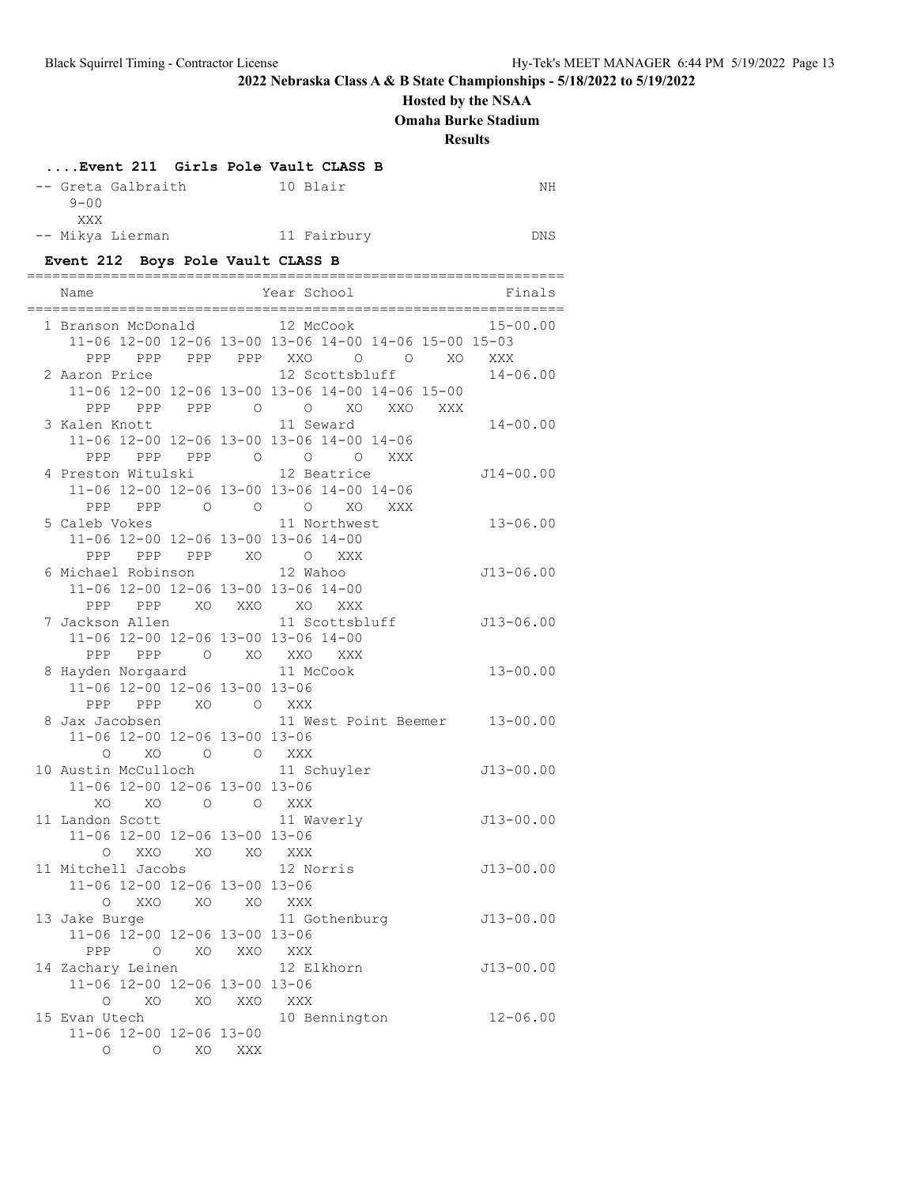### **Hosted by the NSAA**

**Omaha Burke Stadium**

**Results**

### **....Event 211 Girls Pole Vault CLASS B**

| $9 - 00$                | -- Greta Galbraith | 10 Blair    | NΗ  |
|-------------------------|--------------------|-------------|-----|
| XXX<br>-- Mikya Lierman |                    | 11 Fairbury | DNS |

# **Event 212 Boys Pole Vault CLASS B**

| Name                                     |            |     | Year School<br>Finals                                 |
|------------------------------------------|------------|-----|-------------------------------------------------------|
| 1 Branson McDonald 12 McCook             |            |     | $15 - 00.00$                                          |
|                                          |            |     | 11-06 12-00 12-06 13-00 13-06 14-00 14-06 15-00 15-03 |
|                                          |            |     | PPP PPP PPP PPP XXO O O XO XXX                        |
| 2 Aaron Price                            |            |     | 12 Scottsbluff<br>$14 - 06.00$                        |
|                                          |            |     | 11-06 12-00 12-06 13-00 13-06 14-00 14-06 15-00       |
|                                          |            |     | PPP PPP PPP 0 0 XO XXO XXX                            |
| 3 Kalen Knott                            |            |     | 11 Seward<br>$14 - 00.00$                             |
|                                          |            |     | 11-06 12-00 12-06 13-00 13-06 14-00 14-06             |
|                                          |            |     | PPP PPP PPP 0 0 0 XXX                                 |
|                                          |            |     | 4 Preston Witulski 12 Beatrice<br>$J14 - 00.00$       |
|                                          |            |     | 11-06 12-00 12-06 13-00 13-06 14-00 14-06             |
|                                          |            |     | PPP PPP 0 0 0 XO XXX                                  |
|                                          |            |     | 5 Caleb Vokes 11 Northwest<br>$13 - 06.00$            |
|                                          |            |     | 11-06 12-00 12-06 13-00 13-06 14-00                   |
|                                          |            |     | PPP PPP PPP XO O XXX                                  |
| 6 Michael Robinson 12 Wahoo              |            |     | J13-06.00                                             |
|                                          |            |     | 11-06 12-00 12-06 13-00 13-06 14-00                   |
|                                          |            |     | PPP PPP XO XXO XO XXX                                 |
| 7 Jackson Allen                          |            |     | 11 Scottsbluff<br>$J13-06.00$                         |
| 11-06 12-00 12-06 13-00 13-06 14-00      |            |     |                                                       |
|                                          |            |     | PPP PPP 0 XO XXO XXX                                  |
| 8 Hayden Norgaard 11 McCook              |            |     | $13 - 00.00$                                          |
| 11-06 12-00 12-06 13-00 13-06            |            |     |                                                       |
| PPP PPP XO O XXX                         |            |     |                                                       |
|                                          |            |     | 8 Jax Jacobsen 11 West Point Beemer 13-00.00          |
| 11-06 12-00 12-06 13-00 13-06            |            |     |                                                       |
| O XO O O XXX                             |            |     |                                                       |
|                                          |            |     | 10 Austin McCulloch 11 Schuyler<br>$J13 - 00.00$      |
| 11-06 12-00 12-06 13-00 13-06            |            |     |                                                       |
| XO                                       | XO O O XXX |     |                                                       |
| 11 Landon Scott                          |            |     | 11 Waverly<br>$J13 - 00.00$                           |
| 11-06 12-00 12-06 13-00 13-06            |            |     |                                                       |
| O XXO XO XO XXX                          |            |     |                                                       |
| 11 Mitchell Jacobs                       |            |     | 12 Norris<br>$J13-00.00$                              |
| 11-06 12-00 12-06 13-00 13-06            |            |     |                                                       |
| O XXO XO XO XXX                          |            |     |                                                       |
|                                          |            |     | 13 Jake Burge 11 Gothenburg<br>$J13-00.00$            |
| 11-06 12-00 12-06 13-00 13-06            |            |     |                                                       |
| PPP<br>$\circ$                           | XO         | XXO | XXX                                                   |
| 14 Zachary Leinen                        |            |     | 12 Elkhorn<br>J13-00.00                               |
| 11-06 12-00 12-06 13-00 13-06            |            |     |                                                       |
| O<br>XO                                  | XO         | XXO | XXX<br>$12 - 06.00$                                   |
| 15 Evan Utech<br>11-06 12-00 12-06 13-00 |            |     | 10 Bennington                                         |
| O<br>$\circ$                             | XO         | XXX |                                                       |
|                                          |            |     |                                                       |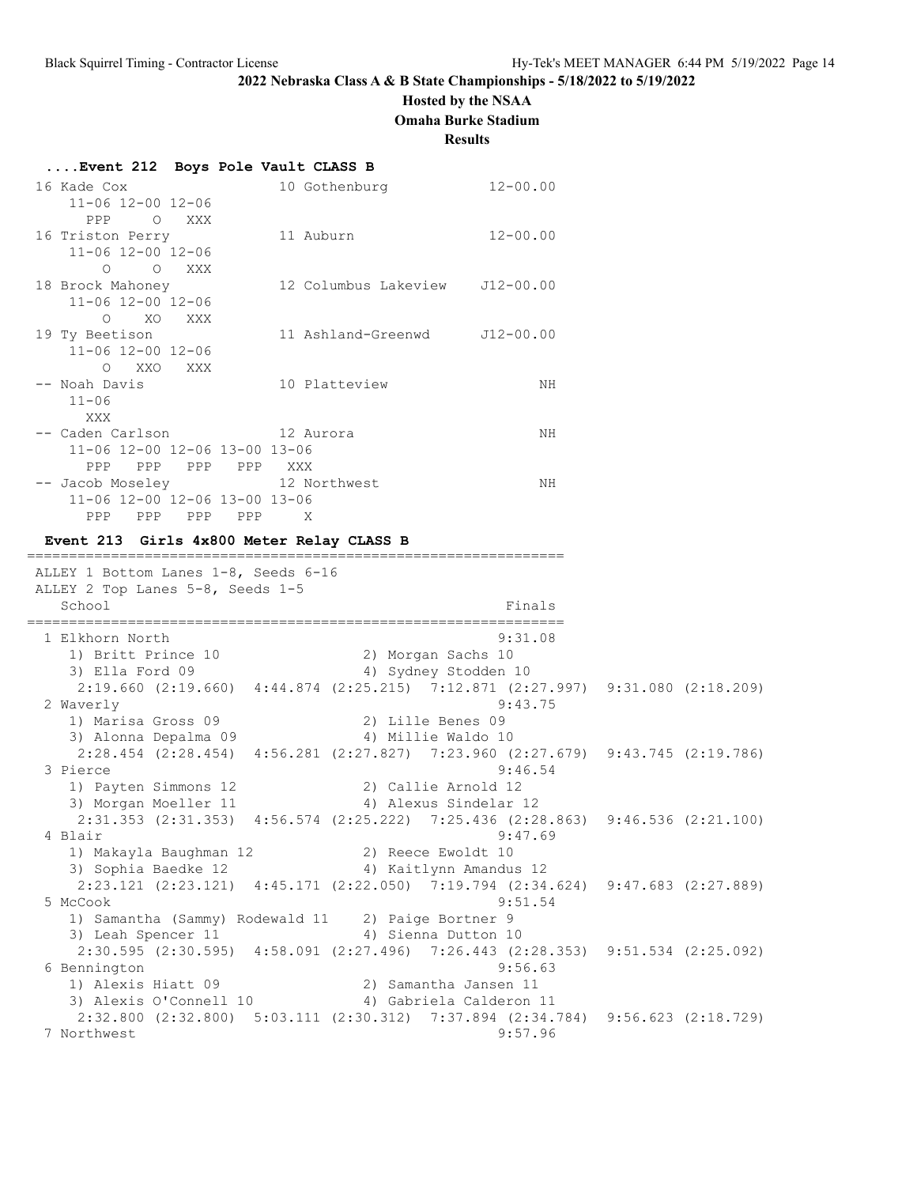# **Hosted by the NSAA**

**Omaha Burke Stadium**

**Results**

| 16 Kade Cox                   |         |       | 10 Gothenburg                  | $12 - 00.00$ |
|-------------------------------|---------|-------|--------------------------------|--------------|
| 11-06 12-00 12-06             |         |       |                                |              |
| PPP O<br>XXX                  |         |       |                                |              |
| 16 Triston Perry              |         |       | 11 Auburn                      | $12 - 00.00$ |
| $11 - 06$ $12 - 00$ $12 - 06$ |         |       |                                |              |
| $\circ$ $\circ$<br>XXX        |         |       |                                |              |
| 18 Brock Mahoney              |         |       | 12 Columbus Lakeview J12-00.00 |              |
| 11-06 12-00 12-06             |         |       |                                |              |
| XO<br>$\circ$<br>XXX          |         |       |                                |              |
| 19 Ty Beetison                |         |       | 11 Ashland-Greenwd J12-00.00   |              |
| 11-06 12-00 12-06             |         |       |                                |              |
| O XXO XXX                     |         |       |                                |              |
| -- Noah Davis                 |         |       | 10 Platteview                  | ΝH           |
| $11 - 06$                     |         |       |                                |              |
| XXX                           |         |       |                                |              |
|                               |         |       |                                | ΝH           |
| 11-06 12-00 12-06 13-00 13-06 |         |       |                                |              |
| PPP<br>PPP                    | PPP PPP | XXX X |                                |              |
| -- Jacob Moseley 12 Northwest |         |       |                                | NΗ           |
| 11-06 12-00 12-06 13-00 13-06 |         |       |                                |              |
| <b>PPP</b><br>PPP PPP PPP     |         |       | X                              |              |

================================================================

#### **Event 213 Girls 4x800 Meter Relay CLASS B**

 ALLEY 1 Bottom Lanes 1-8, Seeds 6-16 ALLEY 2 Top Lanes 5-8, Seeds 1-5 School Finals ================================================================ 1 Elkhorn North 9:31.08 1) Britt Prince 10 2) Morgan Sachs 10 3) Ella Ford 09 12 12 12 13 4) Sydney Stodden 10 2:19.660 (2:19.660) 4:44.874 (2:25.215) 7:12.871 (2:27.997) 9:31.080 (2:18.209) 2 Waverly 9:43.75 1) Marisa Gross 09 2) Lille Benes 09 3) Alonna Depalma 09 4) Millie Waldo 10 2:28.454 (2:28.454) 4:56.281 (2:27.827) 7:23.960 (2:27.679) 9:43.745 (2:19.786) 3 Pierce 9:46.54 1) Payten Simmons 12 2) Callie Arnold 12 3) Morgan Moeller 11 4) Alexus Sindelar 12 2:31.353 (2:31.353) 4:56.574 (2:25.222) 7:25.436 (2:28.863) 9:46.536 (2:21.100) 4 Blair 9:47.69 1) Makayla Baughman 12 2) Reece Ewoldt 10 3) Sophia Baedke 12 4) Kaitlynn Amandus 12 2:23.121 (2:23.121) 4:45.171 (2:22.050) 7:19.794 (2:34.624) 9:47.683 (2:27.889) 5 McCook 9:51.54 1) Samantha (Sammy) Rodewald 11 2) Paige Bortner 9 3) Leah Spencer 11 4) Sienna Dutton 10 2:30.595 (2:30.595) 4:58.091 (2:27.496) 7:26.443 (2:28.353) 9:51.534 (2:25.092) 6 Bennington 9:56.63<br>1) Alexis Hiatt 09 (2) Samantha Jansen 11 1) Alexis Hiatt 09 2) Samantha Jansen 11 3) Alexis O'Connell 10 4) Gabriela Calderon 11 2:32.800 (2:32.800) 5:03.111 (2:30.312) 7:37.894 (2:34.784) 9:56.623 (2:18.729) 7 Northwest 9:57.96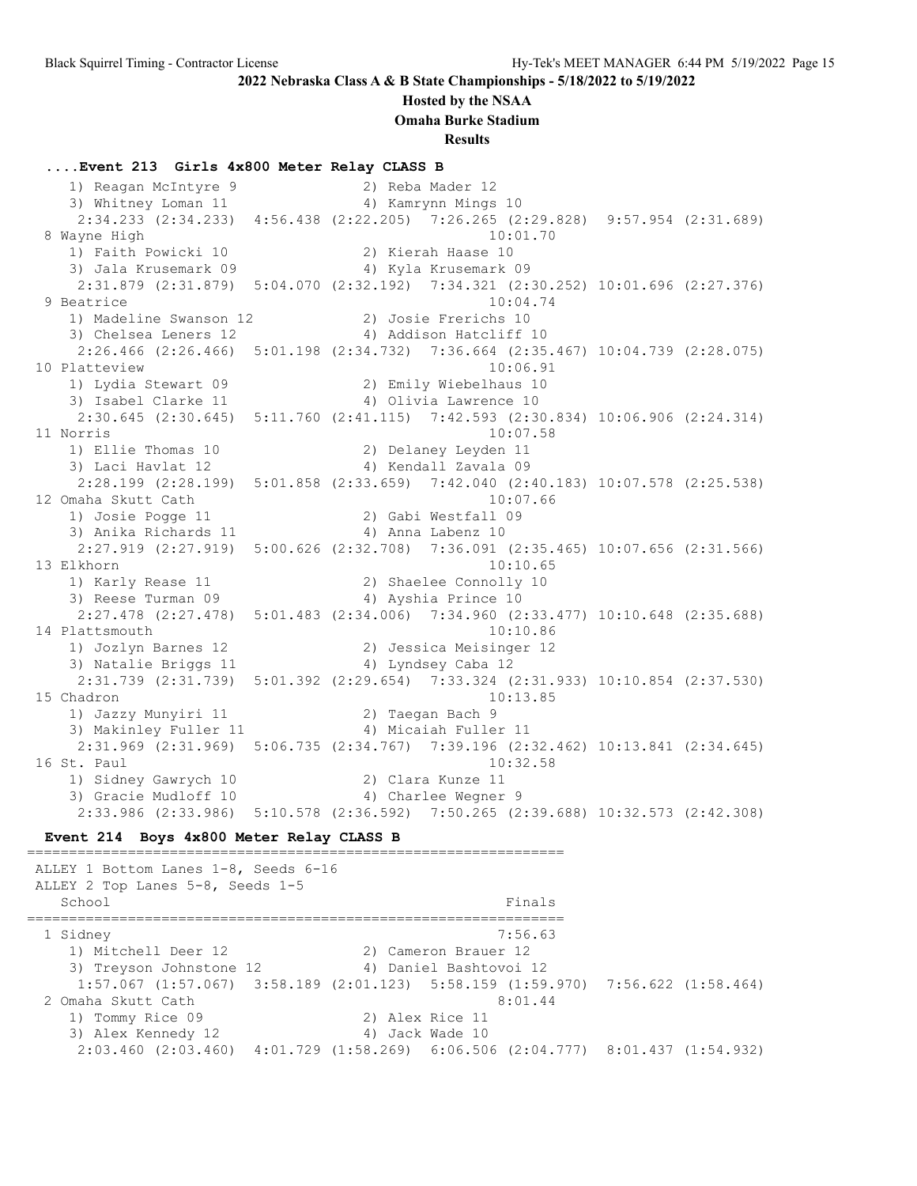#### **Hosted by the NSAA**

**Omaha Burke Stadium**

**Results**

#### **....Event 213 Girls 4x800 Meter Relay CLASS B**

 1) Reagan McIntyre 9 2) Reba Mader 12 3) Whitney Loman 11 4) Kamrynn Mings 10 2:34.233 (2:34.233) 4:56.438 (2:22.205) 7:26.265 (2:29.828) 9:57.954 (2:31.689) 8 Wayne High 10:01.70 1) Faith Powicki 10 2) Kierah Haase 10 3) Jala Krusemark 09 4) Kyla Krusemark 09 2:31.879 (2:31.879) 5:04.070 (2:32.192) 7:34.321 (2:30.252) 10:01.696 (2:27.376) 9 Beatrice 10:04.74 1) Madeline Swanson 12 2) Josie Frerichs 10 3) Chelsea Leners 12 4) Addison Hatcliff 10 2:26.466 (2:26.466) 5:01.198 (2:34.732) 7:36.664 (2:35.467) 10:04.739 (2:28.075) 10 Platteview 10:06.91 1) Lydia Stewart 09 2) Emily Wiebelhaus 10 3) Isabel Clarke 11 4) Olivia Lawrence 10 2:30.645 (2:30.645) 5:11.760 (2:41.115) 7:42.593 (2:30.834) 10:06.906 (2:24.314) 11 Norris 10:07.58 1) Ellie Thomas 10 2) Delaney Leyden 11 3) Laci Havlat 12 4) Kendall Zavala 09 2:28.199 (2:28.199) 5:01.858 (2:33.659) 7:42.040 (2:40.183) 10:07.578 (2:25.538) 12 Omaha Skutt Cath 10:07.66 1) Josie Pogge 11 2) Gabi Westfall 09 3) Anika Richards 11 (4) Anna Labenz 10 2:27.919 (2:27.919) 5:00.626 (2:32.708) 7:36.091 (2:35.465) 10:07.656 (2:31.566) 13 Elkhorn 10:10.65 1) Karly Rease 11 2) Shaelee Connolly 10 3) Reese Turman 09 12 12 12 13 14 Ayshia Prince 10 2:27.478 (2:27.478) 5:01.483 (2:34.006) 7:34.960 (2:33.477) 10:10.648 (2:35.688) 14 Plattsmouth 10:10.86 1) Jozlyn Barnes 12 2) Jessica Meisinger 12 3) Natalie Briggs 11 (4) Lyndsey Caba 12 2:31.739 (2:31.739) 5:01.392 (2:29.654) 7:33.324 (2:31.933) 10:10.854 (2:37.530) 15 Chadron 10:13.85 1) Jazzy Munyiri 11 2) Taegan Bach 9 3) Makinley Fuller 11  $\hskip1cm$  4) Micaiah Fuller 11 2:31.969 (2:31.969) 5:06.735 (2:34.767) 7:39.196 (2:32.462) 10:13.841 (2:34.645) 16 St. Paul 10:32.58 1) Sidney Gawrych 10 2) Clara Kunze 11 3) Gracie Mudloff 10 (4) Charlee Wegner 9 2:33.986 (2:33.986) 5:10.578 (2:36.592) 7:50.265 (2:39.688) 10:32.573 (2:42.308)

#### **Event 214 Boys 4x800 Meter Relay CLASS B**

================================================================

 ALLEY 1 Bottom Lanes 1-8, Seeds 6-16 ALLEY 2 Top Lanes 5-8, Seeds 1-5 School Finals ================================================================ 1 Sidney 7:56.63 1) Mitchell Deer 12 2) Cameron Brauer 12 3) Treyson Johnstone 12 4) Daniel Bashtovoi 12 1:57.067 (1:57.067) 3:58.189 (2:01.123) 5:58.159 (1:59.970) 7:56.622 (1:58.464) 2 Omaha Skutt Cath 8:01.44 1) Tommy Rice 09 2) Alex Rice 11 3) Alex Kennedy 12 (4) Jack Wade 10 2:03.460 (2:03.460) 4:01.729 (1:58.269) 6:06.506 (2:04.777) 8:01.437 (1:54.932)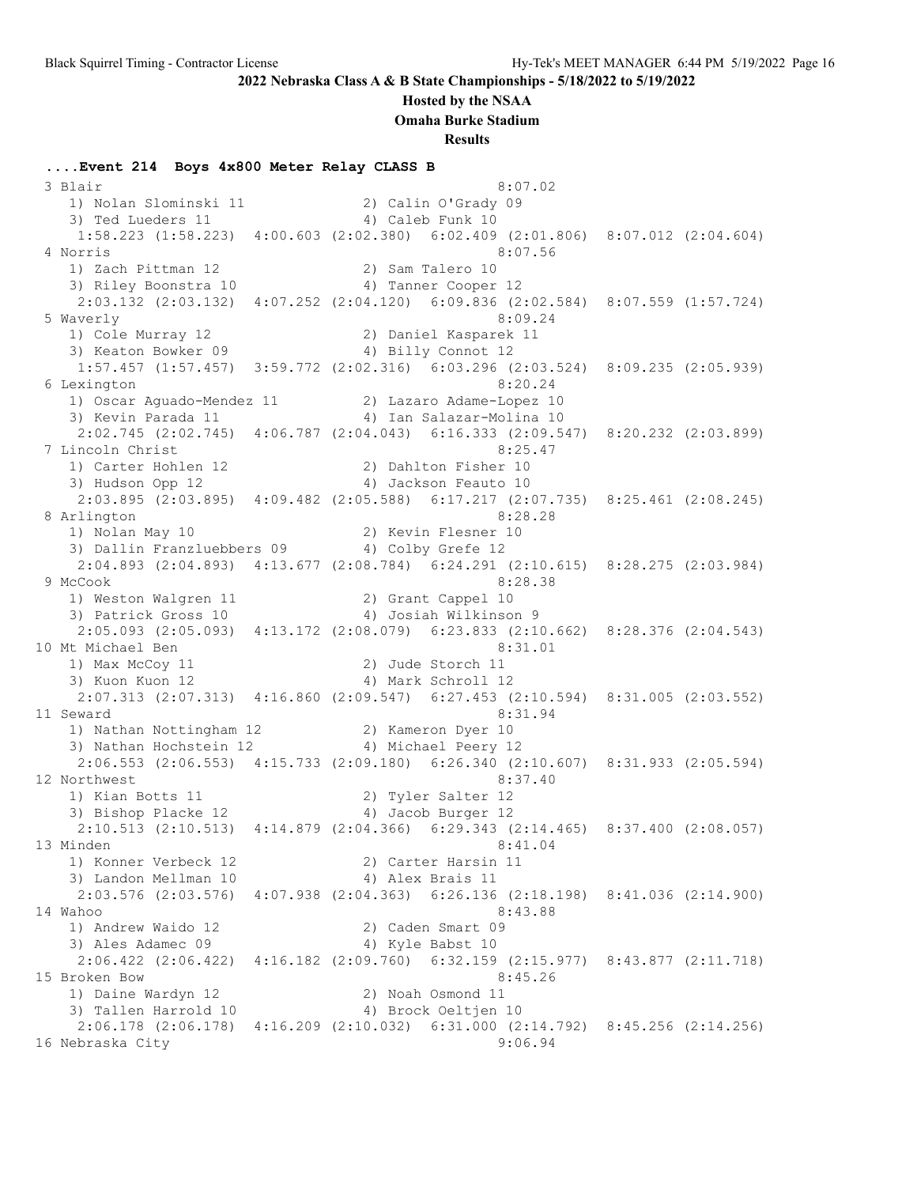**Hosted by the NSAA**

**Omaha Burke Stadium**

**Results**

**....Event 214 Boys 4x800 Meter Relay CLASS B** 3 Blair 8:07.02 1) Nolan Slominski 11 2) Calin O'Grady 09 3) Ted Lueders 11 (4) Caleb Funk 10 1:58.223 (1:58.223) 4:00.603 (2:02.380) 6:02.409 (2:01.806) 8:07.012 (2:04.604) 4 Norris 8:07.56<br>1) Zach Pittman 12 (2) Sam Talero 10<br>2)  $\sum_{i=1}^{n}$  (3) 1) Zach Pittman 12 2) Sam Talero 10 3) Riley Boonstra 10 (4) Tanner Cooper 12 2:03.132 (2:03.132) 4:07.252 (2:04.120) 6:09.836 (2:02.584) 8:07.559 (1:57.724) 5 Waverly 8:09.24 1) Cole Murray 12 2) Daniel Kasparek 11 3) Keaton Bowker 09 4) Billy Connot 12 1:57.457 (1:57.457) 3:59.772 (2:02.316) 6:03.296 (2:03.524) 8:09.235 (2:05.939) 6 Lexington 8:20.24 1) Oscar Aguado-Mendez 11 2) Lazaro Adame-Lopez 10 3) Kevin Parada 11 4) Ian Salazar-Molina 10 2:02.745 (2:02.745) 4:06.787 (2:04.043) 6:16.333 (2:09.547) 8:20.232 (2:03.899) 7 Lincoln Christ 8:25.47 1) Carter Hohlen 12 2) Dahlton Fisher 10 3) Hudson Opp 12 (a) 4) Jackson Feauto 10 2:03.895 (2:03.895) 4:09.482 (2:05.588) 6:17.217 (2:07.735) 8:25.461 (2:08.245) 8 Arlington 8:28.28 1) Nolan May 10 2) Kevin Flesner 10 3) Dallin Franzluebbers 09 <a>4) Colby Grefe 12 2:04.893 (2:04.893) 4:13.677 (2:08.784) 6:24.291 (2:10.615) 8:28.275 (2:03.984) 9 McCook 8:28.38 1) Weston Walgren 11 2) Grant Cappel 10 3) Patrick Gross 10 4) Josiah Wilkinson 9 2:05.093 (2:05.093) 4:13.172 (2:08.079) 6:23.833 (2:10.662) 8:28.376 (2:04.543) 10 Mt Michael Ben 8:31.01 1) Max McCoy 11 2) Jude Storch 11 3) Kuon Kuon 12 12 4) Mark Schroll 12 2:07.313 (2:07.313) 4:16.860 (2:09.547) 6:27.453 (2:10.594) 8:31.005 (2:03.552) 11 Seward 8:31.94 1) Nathan Nottingham 12 2) Kameron Dyer 10 3) Nathan Hochstein 12 4) Michael Peery 12 2:06.553 (2:06.553) 4:15.733 (2:09.180) 6:26.340 (2:10.607) 8:31.933 (2:05.594) 12 Northwest 8:37.40 1) Kian Botts 11 2) Tyler Salter 12 3) Bishop Placke 12 4) Jacob Burger 12 2:10.513 (2:10.513) 4:14.879 (2:04.366) 6:29.343 (2:14.465) 8:37.400 (2:08.057) 13 Minden 8:41.04 1) Konner Verbeck 12 2) Carter Harsin 11 3) Landon Mellman 10 4) Alex Brais 11 2:03.576 (2:03.576) 4:07.938 (2:04.363) 6:26.136 (2:18.198) 8:41.036 (2:14.900) 14 Wahoo 8:43.88 1) Andrew Waido 12 2) Caden Smart 09 3) Ales Adamec 09 4) Kyle Babst 10 2:06.422 (2:06.422) 4:16.182 (2:09.760) 6:32.159 (2:15.977) 8:43.877 (2:11.718) 15 Broken Bow 8:45.26 1) Daine Wardyn 12 12 2) Noah Osmond 11 3) Tallen Harrold 10  $\hskip1cm$  4) Brock Oeltjen 10 2:06.178 (2:06.178) 4:16.209 (2:10.032) 6:31.000 (2:14.792) 8:45.256 (2:14.256) 16 Nebraska City 9:06.94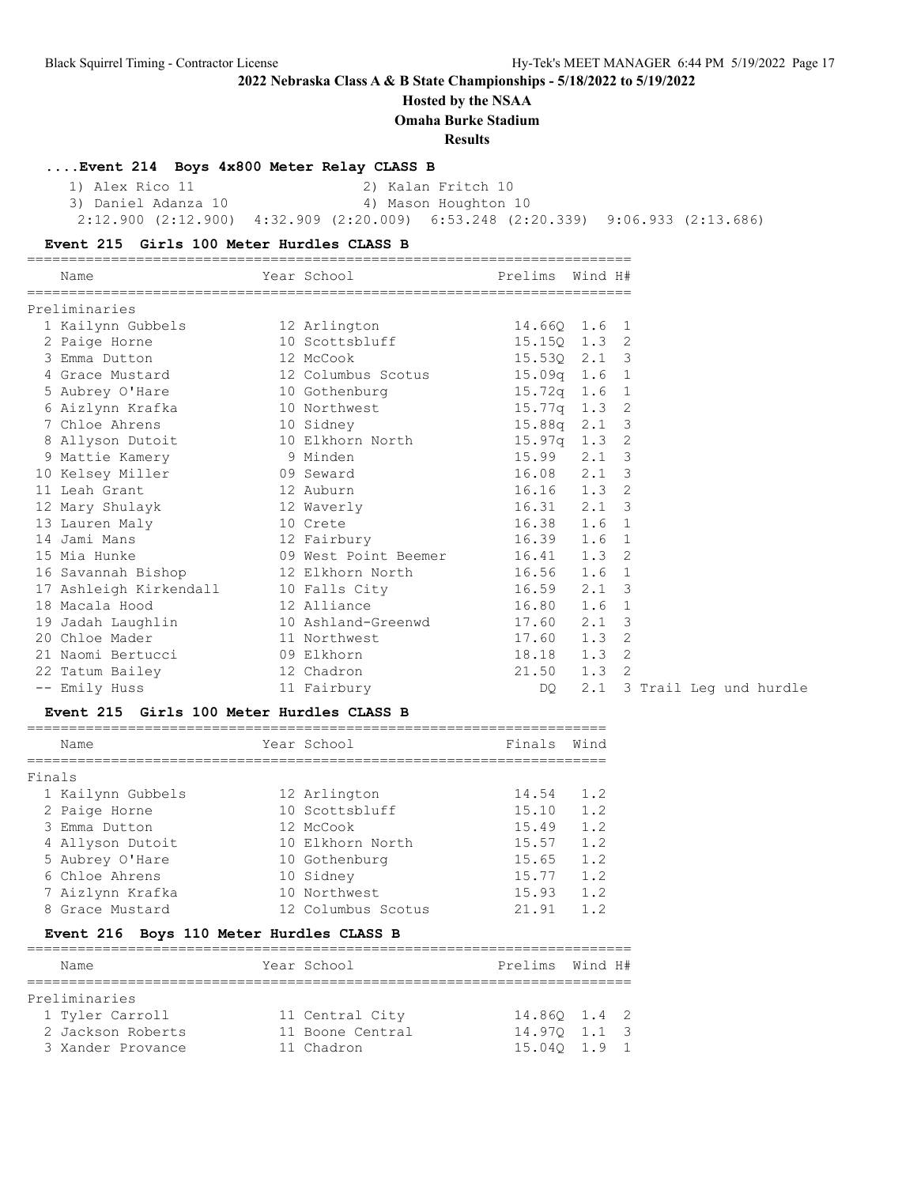**Hosted by the NSAA**

**Omaha Burke Stadium**

**Results**

#### **....Event 214 Boys 4x800 Meter Relay CLASS B**

1) Alex Rico 11 2) Kalan Fritch 10<br>3) Daniel Adanza 10 4) Mason Houghton 10 3) Daniel Adanza 10 2:12.900 (2:12.900) 4:32.909 (2:20.009) 6:53.248 (2:20.339) 9:06.933 (2:13.686)

### **Event 215 Girls 100 Meter Hurdles CLASS B**

| Name                                             | Year School                      | Prelims Wind H# |         |    |  |  |  |  |                        |
|--------------------------------------------------|----------------------------------|-----------------|---------|----|--|--|--|--|------------------------|
| Preliminaries                                    |                                  |                 |         |    |  |  |  |  |                        |
| 1 Kailynn Gubbels 12 Arlington                   |                                  | 14.660 1.6 1    |         |    |  |  |  |  |                        |
| 2 Paige Horne                                    | 10 Scottsbluff 15.15Q 1.3 2      |                 |         |    |  |  |  |  |                        |
| 3 Emma Dutton                                    | 12 McCook                        | 15.530 2.1 3    |         |    |  |  |  |  |                        |
| 4 Grace Mustard 12 Columbus Scotus 15.09q 1.6 1  |                                  |                 |         |    |  |  |  |  |                        |
|                                                  |                                  |                 |         |    |  |  |  |  |                        |
| 6 Aizlynn Krafka                                 | 10 Northwest                     | 15.77q 1.3 2    |         |    |  |  |  |  |                        |
| 7 Chloe Ahrens                                   | 10 Sidney                        | 15.88q 2.1 3    |         |    |  |  |  |  |                        |
| 8 Allyson Dutoit 10 Elkhorn North 15.97q 1.3 2   |                                  |                 |         |    |  |  |  |  |                        |
| 9 Mattie Kamery 6 9 Minden                       |                                  | 15.99 2.1 3     |         |    |  |  |  |  |                        |
| 10 Kelsey Miller 69 Seward                       |                                  | 16.08 2.1 3     |         |    |  |  |  |  |                        |
| 11 Leah Grant                                    | 12 Auburn                        | 16.16 1.3 2     |         |    |  |  |  |  |                        |
| 12 Mary Shulayk                                  | 12 Waverly                       | 16.31 2.1 3     |         |    |  |  |  |  |                        |
| 13 Lauren Maly                                   | 10 Crete                         | 16.38 1.6 1     |         |    |  |  |  |  |                        |
| 14 Jami Mans                                     | 12 Fairbury                      | 16.39 1.6 1     |         |    |  |  |  |  |                        |
| 15 Mia Hunke                                     | 09 West Point Beemer 16.41 1.3 2 |                 |         |    |  |  |  |  |                        |
| 16 Savannah Bishop                               | 12 Elkhorn North 16.56 1.6 1     |                 |         |    |  |  |  |  |                        |
| 17 Ashleigh Kirkendall 10 Falls City 16.59 2.1 3 |                                  |                 |         |    |  |  |  |  |                        |
| 18 Macala Hood                                   | 12 Alliance                      | 16.80           | 1.6 1   |    |  |  |  |  |                        |
| 19 Jadah Laughlin                                | 10 Ashland-Greenwd 17.60         |                 | 2.1     | -3 |  |  |  |  |                        |
| 20 Chloe Mader                                   | 11 Northwest 17.60               |                 | $1.3$ 2 |    |  |  |  |  |                        |
| 21 Naomi Bertucci                                | 09 Elkhorn                       | 18.18 1.3 2     |         |    |  |  |  |  |                        |
| 22 Tatum Bailey                                  | 12 Chadron                       | 21.50           | 1.3     | 2  |  |  |  |  |                        |
| -- Emily Huss                                    | 11 Fairbury                      | DO              | 2.1     |    |  |  |  |  | 3 Trail Leg und hurdle |

#### **Event 215 Girls 100 Meter Hurdles CLASS B**

|        | Name              | Year School        | Finals | Wind |
|--------|-------------------|--------------------|--------|------|
| Finals |                   |                    |        |      |
|        | 1 Kailynn Gubbels | 12 Arlington       | 14.54  | 1.2  |
|        | 2 Paige Horne     | 10 Scottsbluff     | 15.10  | 1.2  |
|        | 3 Emma Dutton     | 12 McCook          | 15.49  | 1.2  |
|        | 4 Allyson Dutoit  | 10 Elkhorn North   | 15.57  | 1.2  |
|        | 5 Aubrey O'Hare   | 10 Gothenburg      | 15.65  | 1.2  |
|        | 6 Chloe Ahrens    | 10 Sidney          | 15.77  | 1.2  |
|        | 7 Aizlynn Krafka  | 10 Northwest       | 15.93  | 1.2  |
|        | 8 Grace Mustard   | 12 Columbus Scotus | 21.91  | 1.2  |

#### **Event 216 Boys 110 Meter Hurdles CLASS B**

| Name              | Year School      | Prelims Wind H# |  |
|-------------------|------------------|-----------------|--|
| Preliminaries     |                  |                 |  |
| 1 Tyler Carroll   | 11 Central City  | 14.860 1.4 2    |  |
| 2 Jackson Roberts | 11 Boone Central | 14.970 1.1 3    |  |
| 3 Xander Provance | 11 Chadron       | 15.040 1.9 1    |  |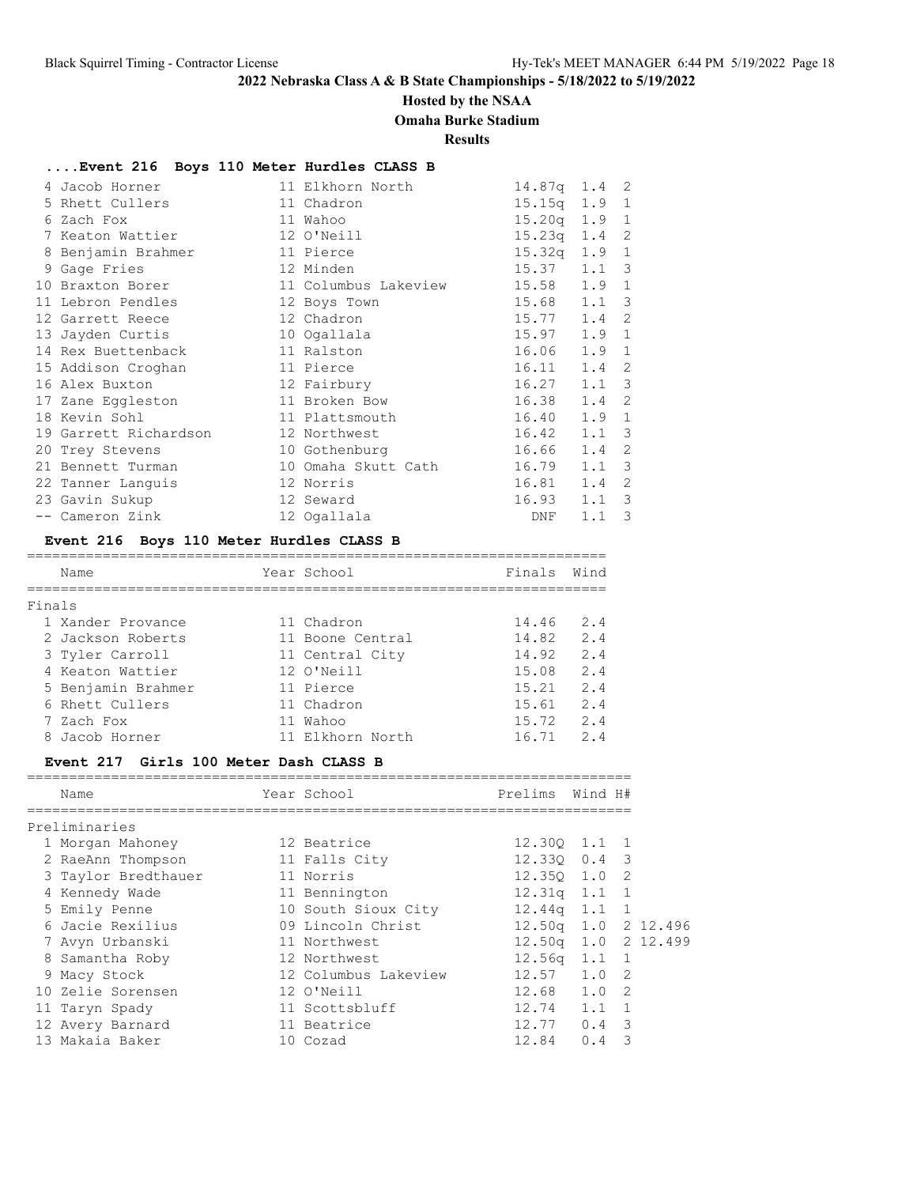### **Hosted by the NSAA**

### **Omaha Burke Stadium**

**Results**

### **....Event 216 Boys 110 Meter Hurdles CLASS B**

| 4 Jacob Horner                  | 11 Elkhorn North     | $14.87q$ 1.4 2   |               |    |
|---------------------------------|----------------------|------------------|---------------|----|
| 5 Rhett Cullers                 | 11 Chadron           | $15.15q$ $1.9$ 1 |               |    |
| 6 Zach Fox                      | 11 Wahoo             | $15.20q$ $1.9$ 1 |               |    |
| 7 Keaton Wattier                | 12 O'Neill           | 15.23q           | $1.4 \quad 2$ |    |
| 8 Benjamin Brahmer<br>11 Pierce |                      | 15.32q           | $1.9 \quad 1$ |    |
| 9 Gage Fries                    | 12 Minden            | 15.37            | $1.1 \quad 3$ |    |
| 10 Braxton Borer                | 11 Columbus Lakeview | 15.58            | 1.9           | 1  |
| 11 Lebron Pendles               | 12 Boys Town         | 15.68            | $1.1 \quad 3$ |    |
| 12 Chadron<br>12 Garrett Reece  |                      | 15.77            | 1.4           | -2 |
| 13 Jayden Curtis                | 10 Ogallala          | 15.97            | 1.9           | 1  |
| 14 Rex Buettenback              | 11 Ralston           | 16.06            | 1.9           | 1  |
| 15 Addison Croghan              | 11 Pierce            | 16.11            | 1.4           | 2  |
| 12 Fairbury<br>16 Alex Buxton   |                      | 16.27            | $1.1 \quad 3$ |    |
| 17 Zane Eggleston               | 11 Broken Bow        | 16.38            | $1.4 \quad 2$ |    |
| 18 Kevin Sohl                   | 11 Plattsmouth       | 16.40            | 1.9           | -1 |
| 19 Garrett Richardson           | 12 Northwest         | 16.42            | $1.1 \quad 3$ |    |
| 20 Trey Stevens                 | 10 Gothenburg        | 16.66            | 1.4           | 2  |
| 21 Bennett Turman               | 10 Omaha Skutt Cath  | 16.79            | $1.1 \quad 3$ |    |
| 22 Tanner Languis               | 12 Norris            | 16.81            | 1.4           | 2  |
| 23 Gavin Sukup                  | 12 Seward            | 16.93            | 1.1           | -3 |
| -- Cameron Zink                 | 12 Ogallala          | DNF              | 1.1           | 3  |

### **Event 216 Boys 110 Meter Hurdles CLASS B**

|        | Name               | Year School      | Finals | Wind |
|--------|--------------------|------------------|--------|------|
|        |                    |                  |        |      |
| Finals |                    |                  |        |      |
|        | 1 Xander Provance  | 11 Chadron       | 14.46  | 2.4  |
|        | 2 Jackson Roberts  | 11 Boone Central | 14.82  | 2.4  |
|        | 3 Tyler Carroll    | 11 Central City  | 14.92  | 2.4  |
|        | 4 Keaton Wattier   | 12 O'Neill       | 15.08  | 2.4  |
|        | 5 Benjamin Brahmer | 11 Pierce        | 15.21  | 2.4  |
|        | 6 Rhett Cullers    | 11 Chadron       | 15.61  | 2.4  |
|        | 7 Zach Fox         | 11 Wahoo         | 15.72  | 2.4  |
|        | 8 Jacob Horner     | 11 Elkhorn North | 16.71  | 2.4  |

#### **Event 217 Girls 100 Meter Dash CLASS B**

| Name                | Year School          | Prelims                    | Wind H#       |                |
|---------------------|----------------------|----------------------------|---------------|----------------|
| Preliminaries       |                      |                            |               |                |
| 1 Morgan Mahoney    | 12 Beatrice          | 12.300 1.1 1               |               |                |
| 2 RaeAnn Thompson   | 11 Falls City        | $12.330 \t 0.4 \t 3$       |               |                |
| 3 Taylor Bredthauer | 11 Norris            | $12.350 \quad 1.0 \quad 2$ |               |                |
| 4 Kennedy Wade      | 11 Bennington        | $12.31q$ $1.1$ 1           |               |                |
| 5 Emily Penne       | 10 South Sioux City  | $12.44q$ 1.1               |               | $\overline{1}$ |
| 6 Jacie Rexilius    | 09 Lincoln Christ    | 12.50g 1.0 2 12.496        |               |                |
| 7 Avyn Urbanski     | 11 Northwest         | 12.50g 1.0 2 12.499        |               |                |
| 8 Samantha Roby     | 12 Northwest         | $12.56q$ $1.1$ 1           |               |                |
| 9 Macy Stock        | 12 Columbus Lakeview | 12.57                      | $1.0 \t2$     |                |
| 10 Zelie Sorensen   | 12 O'Neill           | 12.68                      | 1.0 2         |                |
| 11 Taryn Spady      | 11 Scottsbluff       | 12.74                      | $1.1 \quad 1$ |                |
| 12 Avery Barnard    | 11 Beatrice          | 12.77                      | $0.4 \quad 3$ |                |
| 13 Makaia Baker     | 10 Cozad             | 12.84                      | 0.4           | 3              |
|                     |                      |                            |               |                |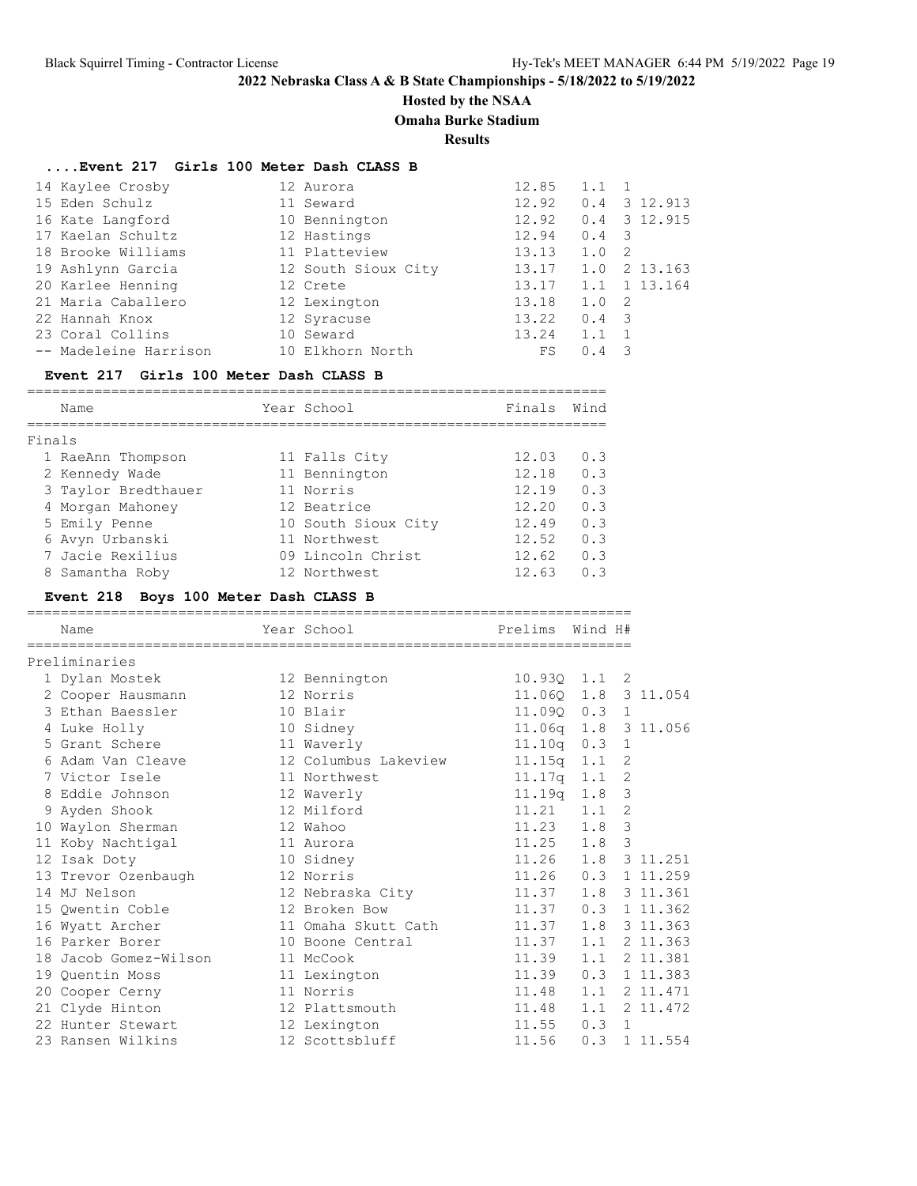### **Hosted by the NSAA**

**Omaha Burke Stadium**

**Results**

### **....Event 217 Girls 100 Meter Dash CLASS B**

| 14 Kaylee Crosby      | 12 Aurora           | 12.85 | 1.1                   |                |
|-----------------------|---------------------|-------|-----------------------|----------------|
| 15 Eden Schulz        | 11 Seward           | 12.92 |                       | $0.4$ 3 12.913 |
| 16 Kate Langford      | 10 Bennington       | 12.92 |                       | $0.4$ 3 12.915 |
| 17 Kaelan Schultz     | 12 Hastings         | 12.94 | $0.4 \quad 3$         |                |
| 18 Brooke Williams    | 11 Platteview       | 13.13 | - 2<br>1.0            |                |
| 19 Ashlynn Garcia     | 12 South Sioux City | 13.17 | 1.0                   | 2 13.163       |
| 20 Karlee Henning     | 12 Crete            | 13.17 |                       | 1.1 1 13.164   |
| 21 Maria Caballero    | 12 Lexington        | 13.18 | 1.0<br>$\overline{2}$ |                |
| 22 Hannah Knox        | 12 Syracuse         | 13.22 | $0.4 \quad 3$         |                |
| 23 Coral Collins      | 10 Seward           | 13.24 | 1.1                   |                |
| -- Madeleine Harrison | 10 Elkhorn North    | FS    | - 3<br>0.4            |                |

#### **Event 217 Girls 100 Meter Dash CLASS B**

|        | Name                | Year School         | Finals | Wind |
|--------|---------------------|---------------------|--------|------|
|        |                     |                     |        |      |
| Finals |                     |                     |        |      |
|        | 1 RaeAnn Thompson   | 11 Falls City       | 12.03  | 0.3  |
|        | 2 Kennedy Wade      | 11 Bennington       | 12.18  | 0.3  |
|        | 3 Taylor Bredthauer | 11 Norris           | 12.19  | 0.3  |
|        | 4 Morgan Mahoney    | 12 Beatrice         | 12.20  | 0.3  |
|        | 5 Emily Penne       | 10 South Sioux City | 12.49  | 0.3  |
|        | 6 Avyn Urbanski     | 11 Northwest        | 12.52  | 0.3  |
|        | 7 Jacie Rexilius    | 09 Lincoln Christ   | 12.62  | 0.3  |
|        | 8 Samantha Roby     | 12 Northwest        | 12.63  | 0.3  |

### **Event 218 Boys 100 Meter Dash CLASS B**

| Name                  | Year School          | Prelims               | Wind H# |                |                            |
|-----------------------|----------------------|-----------------------|---------|----------------|----------------------------|
| Preliminaries         |                      |                       |         |                |                            |
| 1 Dylan Mostek        | 12 Bennington        | $10.930$ $1.1$ 2      |         |                |                            |
| 2 Cooper Hausmann     | 12 Norris            | 11.060 1.8 3 11.054   |         |                |                            |
| 3 Ethan Baessler      | 10 Blair             | 11.090 0.3 1          |         |                |                            |
| 4 Luke Holly          | 10 Sidney            | 11.06q 1.8 3 11.056   |         |                |                            |
| 5 Grant Schere        | 11 Waverly           | $11.10q$ 0.3 1        |         |                |                            |
| 6 Adam Van Cleave     | 12 Columbus Lakeview | 11.15q 1.1            |         | $\overline{2}$ |                            |
| 7 Victor Isele        | 11 Northwest         | 11.17q 1.1            |         | 2              |                            |
| 8 Eddie Johnson       | 12 Waverly           | 11.19q 1.8            |         | 3              |                            |
| 9 Ayden Shook         | 12 Milford           | $11.21$ $1.1$         |         | $\overline{2}$ |                            |
| 10 Waylon Sherman     | 12 Wahoo             | $11.23 \t1.8$         |         | $\mathbf{3}$   |                            |
| 11 Koby Nachtigal     | 11 Aurora            | $11.25$ $1.8$         |         | 3              |                            |
| 12 Isak Doty          | 10 Sidney            | 11.26 1.8 3 11.251    |         |                |                            |
| 13 Trevor Ozenbaugh   | 12 Norris            | 11.26                 | 0.3     |                | 1 11.259                   |
| 14 MJ Nelson          | 12 Nebraska City     | 11.37                 | 1.8     |                | 3 11.361                   |
| 15 Owentin Coble      | 12 Broken Bow        | 11.37                 |         |                | $0.3 \quad 1 \quad 11.362$ |
| 16 Wyatt Archer       | 11 Omaha Skutt Cath  | 11.37  1.8  3  11.363 |         |                |                            |
| 16 Parker Borer       | 10 Boone Central     | 11.37                 | 1.1     |                | 2 11.363                   |
| 18 Jacob Gomez-Wilson | 11 McCook            | 11.39                 | 1.1     |                | 2 11.381                   |
| 19 Quentin Moss       | 11 Lexington         | 11.39                 |         |                | $0.3$ 1 11.383             |
| 20 Cooper Cerny       | 11 Norris            | $11.48$ 1.1           |         |                | 2 11.471                   |
| 21 Clyde Hinton       | 12 Plattsmouth       | 11.48  1.1  2  11.472 |         |                |                            |
| 22 Hunter Stewart     | 12 Lexington         | 11.55                 | 0.3     | $\mathbf{1}$   |                            |
| 23 Ransen Wilkins     | 12 Scottsbluff       | 11.56                 | 0.3     |                | 1 11.554                   |
|                       |                      |                       |         |                |                            |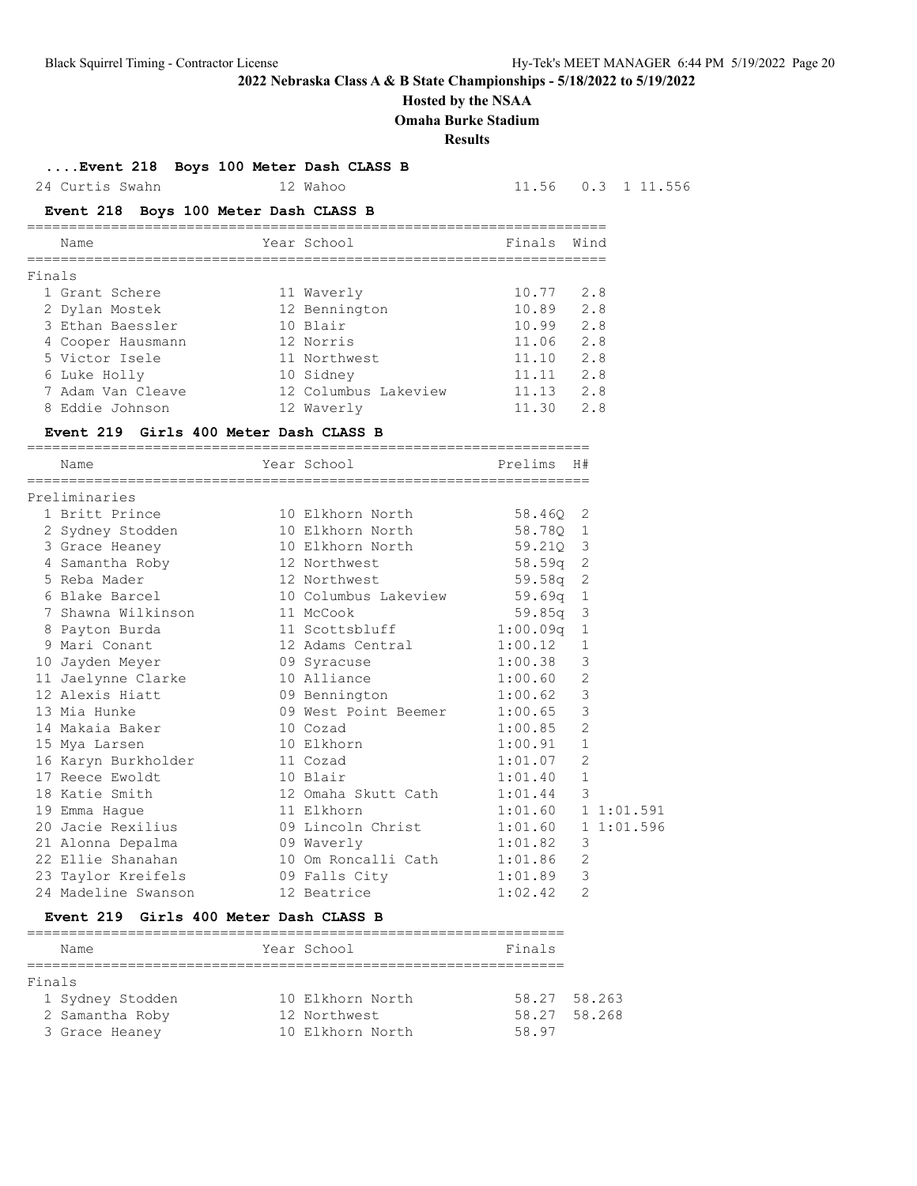### **Hosted by the NSAA**

**Omaha Burke Stadium**

**Results**

**....Event 218 Boys 100 Meter Dash CLASS B**

24 Curtis Swahn 12 Wahoo 11.56 0.3 1 11.556

### **Event 218 Boys 100 Meter Dash CLASS B**

|        | Name              | Year School          | Finals | Wind |
|--------|-------------------|----------------------|--------|------|
| Finals |                   |                      |        |      |
|        | 1 Grant Schere    | 11 Waverly           | 10.77  | 2.8  |
|        | 2 Dylan Mostek    | 12 Bennington        | 10.89  | 2.8  |
|        | 3 Ethan Baessler  | 10 Blair             | 10.99  | 2.8  |
|        | 4 Cooper Hausmann | 12 Norris            | 11.06  | 2.8  |
|        | 5 Victor Isele    | 11 Northwest         | 11.10  | 2.8  |
|        | 6 Luke Holly      | 10 Sidney            | 11.11  | 2.8  |
|        | 7 Adam Van Cleave | 12 Columbus Lakeview | 11.13  | 2.8  |
|        | 8 Eddie Johnson   | 12 Waverly           | 11.30  | 2.8  |

### **Event 219 Girls 400 Meter Dash CLASS B**

| Name                                                           | Year School States            | Prelims H# |                |  |
|----------------------------------------------------------------|-------------------------------|------------|----------------|--|
| Preliminaries                                                  |                               |            |                |  |
| 1 Britt Prince 10 Elkhorn North 58.460 2                       |                               |            |                |  |
| 2 Sydney Stodden 10 Elkhorn North 58.780 1                     |                               |            |                |  |
| 3 Grace Heaney 10 Elkhorn North 59.210 3                       |                               |            |                |  |
| 4 Samantha Roby 12 Northwest 58.59q 2                          |                               |            |                |  |
| 5 Reba Mader 12 Northwest 59.58q 2                             |                               |            |                |  |
| 6 Blake Barcel 10 Columbus Lakeview 59.69q 1                   |                               |            |                |  |
| 7 Shawna Wilkinson 11 McCook                                   |                               | 59.85q 3   |                |  |
| 8 Payton Burda 11 Scottsbluff 1:00.09q 1                       |                               |            |                |  |
| 9 Mari Conant                                                  | 12 Adams Central 1:00.12 1    |            |                |  |
| 10 Jayden Meyer 09 Syracuse 1:00.38                            |                               |            | 3              |  |
| 11 Jaelynne Clarke 10 Alliance 1:00.60                         |                               |            | $\overline{c}$ |  |
| 12 Alexis Hiatt 09 Bennington 1:00.62                          |                               |            | $\mathcal{E}$  |  |
| 13 Mia Hunke                                                   | 09 West Point Beemer 1:00.65  |            | 3              |  |
| 14 Makaia Baker 10 Cozad                                       | 1:00.85                       |            | $\overline{2}$ |  |
| 15 Mya Larsen                                                  | 10 Elkhorn 1:00.91            |            | $\mathbf{1}$   |  |
| 16 Karyn Burkholder 11 Cozad                                   |                               | 1:01.07    | $\overline{c}$ |  |
| 17 Reece Ewoldt 10 Blair 1:01.40                               |                               |            | $\mathbf{1}$   |  |
| 18 Katie Smith 12 Omaha Skutt Cath 1:01.44                     |                               |            | 3              |  |
| 19 Emma Hague                                                  | 11 Elkhorn 1:01.60 1 1:01.591 |            |                |  |
| 20 Jacie Rexilius 		 09 Lincoln Christ 		 1:01.60 	 1 1:01.596 |                               |            |                |  |
|                                                                |                               |            | 3              |  |
| 22 Ellie Shanahan 10 Om Roncalli Cath 1:01.86                  |                               |            | $\overline{2}$ |  |
| 23 Taylor Kreifels 69 Falls City 1:01.89                       |                               |            | 3              |  |
| 24 Madeline Swanson 12 Beatrice                                |                               | 1:02.42    | 2              |  |

#### **Event 219 Girls 400 Meter Dash CLASS B**

|        | Name             |  | Year School      | Finals |              |  |  |
|--------|------------------|--|------------------|--------|--------------|--|--|
|        |                  |  |                  |        |              |  |  |
| Finals |                  |  |                  |        |              |  |  |
|        | 1 Sydney Stodden |  | 10 Elkhorn North |        | 58.27 58.263 |  |  |
|        | 2 Samantha Roby  |  | 12 Northwest     | 58.27  | 58.268       |  |  |
|        | 3 Grace Heaney   |  | 10 Elkhorn North | 58.97  |              |  |  |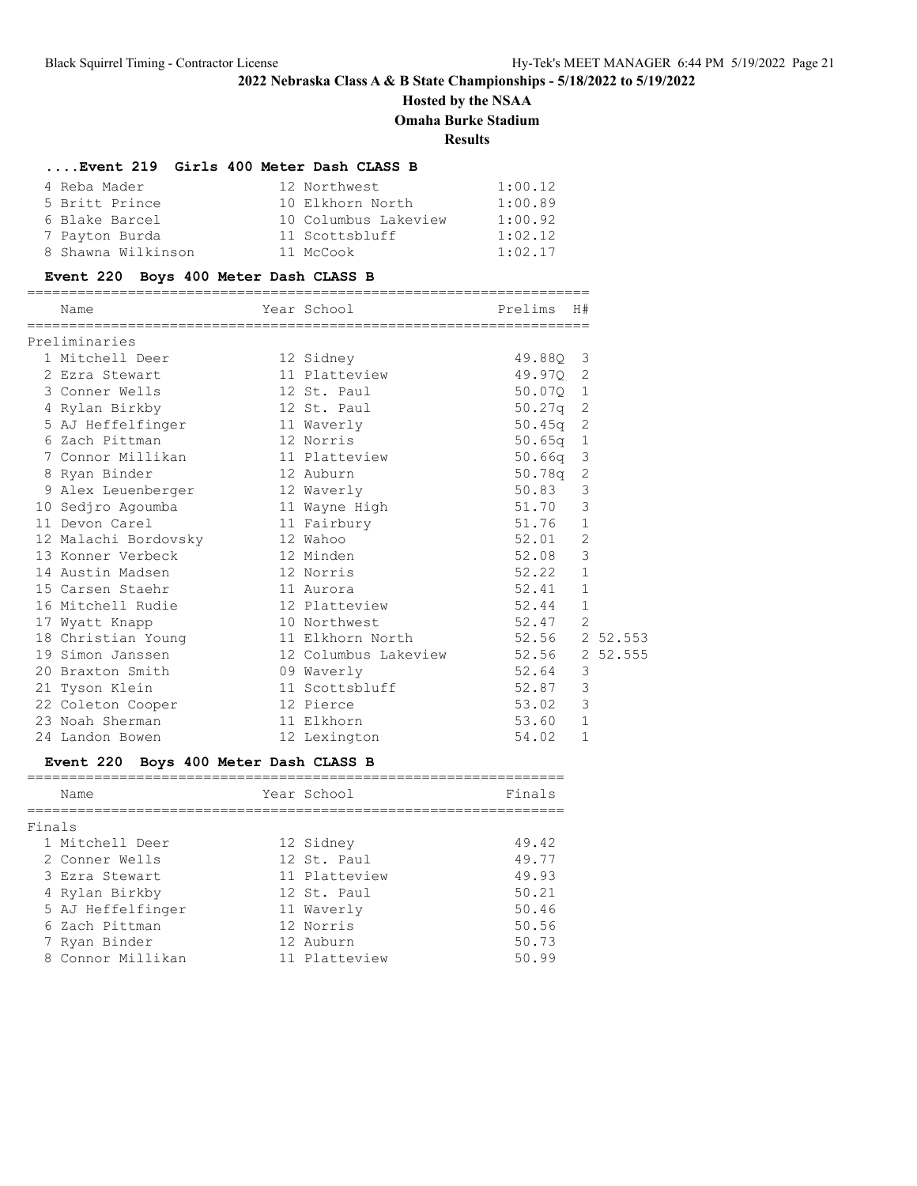# **Hosted by the NSAA Omaha Burke Stadium**

**Results**

### **....Event 219 Girls 400 Meter Dash CLASS B**

| 4 Reba Mader       | 12 Northwest         | 1:00.12 |
|--------------------|----------------------|---------|
| 5 Britt Prince     | 10 Elkhorn North     | 1:00.89 |
| 6 Blake Barcel     | 10 Columbus Lakeview | 1:00.92 |
| 7 Payton Burda     | 11 Scottsbluff       | 1:02.12 |
| 8 Shawna Wilkinson | 11 McCook            | 1:02.17 |

#### **Event 220 Boys 400 Meter Dash CLASS B**

| Name                 | Year School                | Prelims        | H#             |          |
|----------------------|----------------------------|----------------|----------------|----------|
| Preliminaries        |                            |                |                |          |
| 1 Mitchell Deer      | 12 Sidney                  | 49.880 3       |                |          |
| 2 Ezra Stewart       | 11 Platteview              | 49.970 2       |                |          |
| 3 Conner Wells       | 12 St. Paul                | 50.070 1       |                |          |
| 4 Rylan Birkby       | 12 St. Paul                | $50.27q$ 2     |                |          |
| 5 AJ Heffelfinger    | 11 Waverly                 | $50.45q$ 2     |                |          |
| 6 Zach Pittman       | 12 Norris                  | $50.65q$ 1     |                |          |
| 7 Connor Millikan    | 11 Platteview              | $50.66q$ 3     |                |          |
| 8 Ryan Binder        | 12 Auburn                  | 50.78q 2       |                |          |
| 9 Alex Leuenberger   | 12 Waverly                 | 50.83          | $\mathcal{S}$  |          |
| 10 Sedjro Agoumba    | 11 Wayne High              | 51.70          | $\mathcal{S}$  |          |
| 11 Devon Carel       | 11 Fairbury                | 51.76          | $\mathbf{1}$   |          |
| 12 Malachi Bordovsky | 12 Wahoo                   | 52.01          | $\overline{2}$ |          |
| 13 Konner Verbeck    | 12 Minden                  | 52.08          | 3              |          |
| 14 Austin Madsen     | 12 Norris                  | 52.22          | $\mathbf{1}$   |          |
| 15 Carsen Staehr     | 11 Aurora                  | 52.41          | $\mathbf{1}$   |          |
| 16 Mitchell Rudie    | 12 Platteview              | 52.44          | $\mathbf{1}$   |          |
| 17 Wyatt Knapp       | 10 Northwest               | 52.47          | $\overline{2}$ |          |
| 18 Christian Young   | 11 Elkhorn North           | 52.56 2 52.553 |                |          |
| 19 Simon Janssen     | 12 Columbus Lakeview 52.56 |                |                | 2 52.555 |
| 20 Braxton Smith     | 09 Waverly                 | 52.64          | 3              |          |
| 21 Tyson Klein       | 11 Scottsbluff             | 52.87          | 3              |          |
| 22 Coleton Cooper    | 12 Pierce                  | 53.02          | 3              |          |
| 23 Noah Sherman      | 11 Elkhorn                 | 53.60          | $\mathbf{1}$   |          |
| 24 Landon Bowen      | 12 Lexington               | 54.02          | 1              |          |

# **Event 220 Boys 400 Meter Dash CLASS B**

|        | Name              | Year School   | Finals |
|--------|-------------------|---------------|--------|
| Finals |                   |               |        |
|        | 1 Mitchell Deer   | 12 Sidney     | 49.42  |
|        | 2 Conner Wells    | 12 St. Paul   | 49.77  |
|        | 3 Ezra Stewart    | 11 Platteview | 49.93  |
|        | 4 Rylan Birkby    | 12 St. Paul   | 50.21  |
|        | 5 AJ Heffelfinger | 11 Waverly    | 50.46  |
|        | 6 Zach Pittman    | 12 Norris     | 50.56  |
|        | 7 Ryan Binder     | 12 Auburn     | 50.73  |
|        | 8 Connor Millikan | 11 Platteview | 50.99  |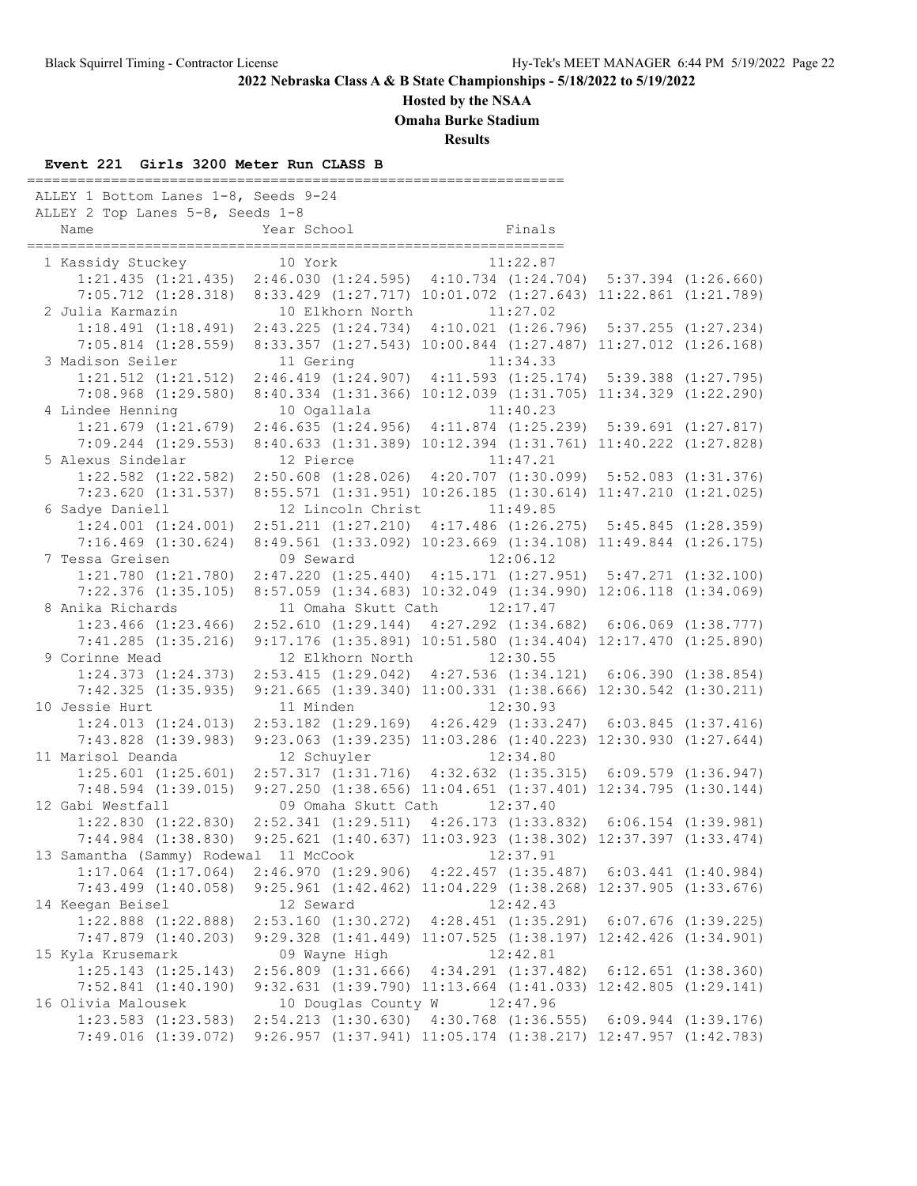**Hosted by the NSAA**

**Omaha Burke Stadium**

**Results**

### **Event 221 Girls 3200 Meter Run CLASS B**

================================================================ ALLEY 1 Bottom Lanes 1-8, Seeds 9-24 ALLEY 2 Top Lanes 5-8, Seeds 1-8 Name Year School Finals ================================================================ 1 Kassidy Stuckey 10 York 11:22.87 1:21.435 (1:21.435) 2:46.030 (1:24.595) 4:10.734 (1:24.704) 5:37.394 (1:26.660) 7:05.712 (1:28.318) 8:33.429 (1:27.717) 10:01.072 (1:27.643) 11:22.861 (1:21.789) 2 Julia Karmazin 10 Elkhorn North 11:27.02 1:18.491 (1:18.491) 2:43.225 (1:24.734) 4:10.021 (1:26.796) 5:37.255 (1:27.234) 7:05.814 (1:28.559) 8:33.357 (1:27.543) 10:00.844 (1:27.487) 11:27.012 (1:26.168) 3 Madison Seiler 11 Gering 1:21.512 (1:21.512) 2:46.419 (1:24.907) 4:11.593 (1:25.174) 5:39.388 (1:27.795) 7:08.968 (1:29.580) 8:40.334 (1:31.366) 10:12.039 (1:31.705) 11:34.329 (1:22.290) 4 Lindee Henning 10 Ogallala 11:40.23 1:21.679 (1:21.679) 2:46.635 (1:24.956) 4:11.874 (1:25.239) 5:39.691 (1:27.817) 7:09.244 (1:29.553) 8:40.633 (1:31.389) 10:12.394 (1:31.761) 11:40.222 (1:27.828) 5 Alexus Sindelar 12 Pierce 1:22.582 (1:22.582) 2:50.608 (1:28.026) 4:20.707 (1:30.099) 5:52.083 (1:31.376) 7:23.620 (1:31.537) 8:55.571 (1:31.951) 10:26.185 (1:30.614) 11:47.210 (1:21.025) 6 Sadye Daniell 12 Lincoln Christ 11:49.85 1:24.001 (1:24.001) 2:51.211 (1:27.210) 4:17.486 (1:26.275) 5:45.845 (1:28.359) 7:16.469 (1:30.624) 8:49.561 (1:33.092) 10:23.669 (1:34.108) 11:49.844 (1:26.175) 7 Tessa Greisen 1:21.780 (1:21.780) 2:47.220 (1:25.440) 4:15.171 (1:27.951) 5:47.271 (1:32.100) 7:22.376 (1:35.105) 8:57.059 (1:34.683) 10:32.049 (1:34.990) 12:06.118 (1:34.069) 8 Anika Richards 11 Omaha Skutt Cath 12:17.47 1:23.466 (1:23.466) 2:52.610 (1:29.144) 4:27.292 (1:34.682) 6:06.069 (1:38.777) 7:41.285 (1:35.216) 9:17.176 (1:35.891) 10:51.580 (1:34.404) 12:17.470 (1:25.890) 12 Elkhorn North 1:24.373 (1:24.373) 2:53.415 (1:29.042) 4:27.536 (1:34.121) 6:06.390 (1:38.854) 7:42.325 (1:35.935) 9:21.665 (1:39.340) 11:00.331 (1:38.666) 12:30.542 (1:30.211) 10 Jessie Hurt 11 Minden 12:30.93 1:24.013 (1:24.013) 2:53.182 (1:29.169) 4:26.429 (1:33.247) 6:03.845 (1:37.416) 7:43.828 (1:39.983) 9:23.063 (1:39.235) 11:03.286 (1:40.223) 12:30.930 (1:27.644) 11 Marisol Deanda 12 Schuyler 1:25.601 (1:25.601) 2:57.317 (1:31.716) 4:32.632 (1:35.315) 6:09.579 (1:36.947) 7:48.594 (1:39.015) 9:27.250 (1:38.656) 11:04.651 (1:37.401) 12:34.795 (1:30.144) 12 Gabi Westfall 09 Omaha Skutt Cath 12:37.40 1:22.830 (1:22.830) 2:52.341 (1:29.511) 4:26.173 (1:33.832) 6:06.154 (1:39.981) 7:44.984 (1:38.830) 9:25.621 (1:40.637) 11:03.923 (1:38.302) 12:37.397 (1:33.474) 13 Samantha (Sammy) Rodewal 11 McCook 12:37.91 1:17.064 (1:17.064) 2:46.970 (1:29.906) 4:22.457 (1:35.487) 6:03.441 (1:40.984) 7:43.499 (1:40.058) 9:25.961 (1:42.462) 11:04.229 (1:38.268) 12:37.905 (1:33.676) 14 Keegan Beisel 12 Seward 12:42.43 1:22.888 (1:22.888) 2:53.160 (1:30.272) 4:28.451 (1:35.291) 6:07.676 (1:39.225) 7:47.879 (1:40.203) 9:29.328 (1:41.449) 11:07.525 (1:38.197) 12:42.426 (1:34.901) 15 Kyla Krusemark 12:42.81 09 Wayne High 1:25.143 (1:25.143) 2:56.809 (1:31.666) 4:34.291 (1:37.482) 6:12.651 (1:38.360) 7:52.841 (1:40.190) 9:32.631 (1:39.790) 11:13.664 (1:41.033) 12:42.805 (1:29.141) 16 Olivia Malousek 10 Douglas County W 12:47.96 1:23.583 (1:23.583) 2:54.213 (1:30.630) 4:30.768 (1:36.555) 6:09.944 (1:39.176) 7:49.016 (1:39.072) 9:26.957 (1:37.941) 11:05.174 (1:38.217) 12:47.957 (1:42.783)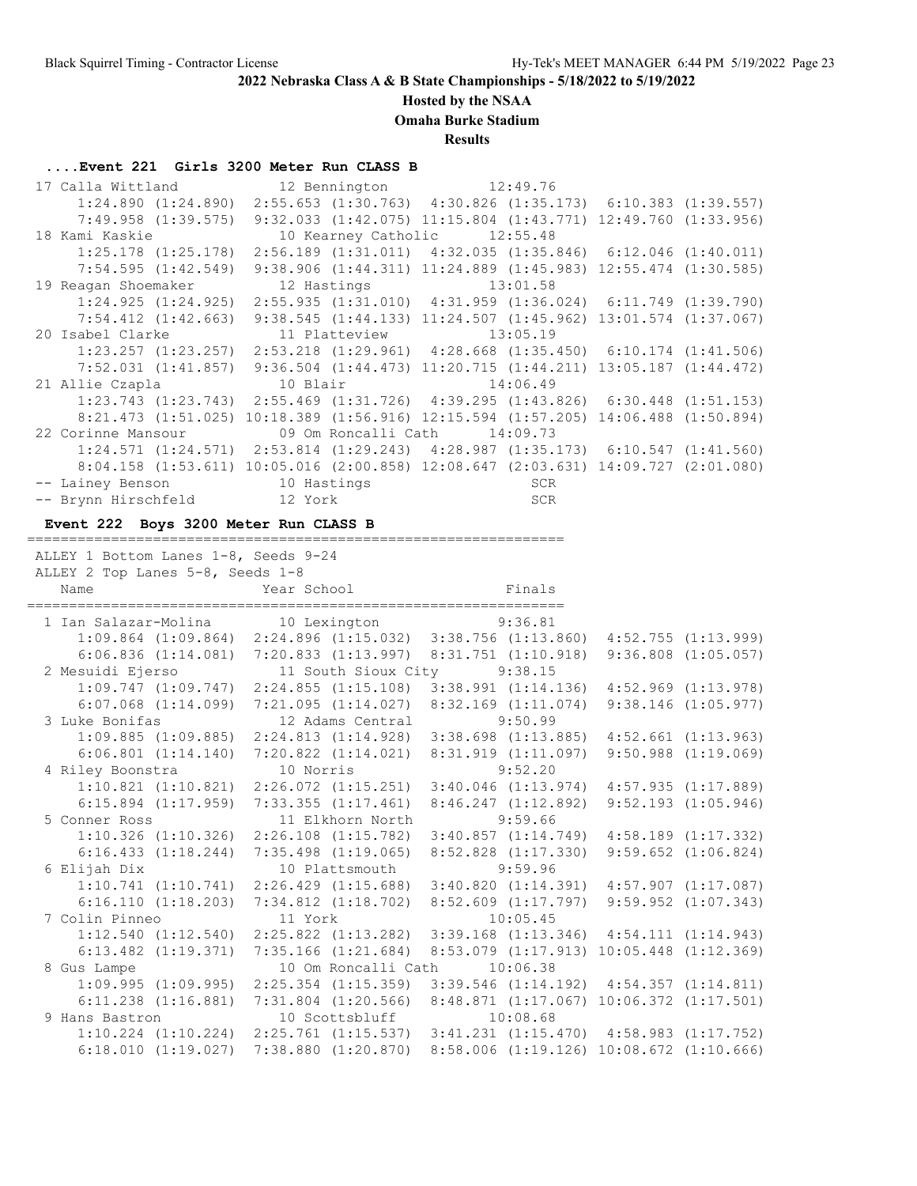#### **Hosted by the NSAA**

**Omaha Burke Stadium**

**Results**

#### **....Event 221 Girls 3200 Meter Run CLASS B**

| 17 Calla Wittland                       | 12 Bennington 12:49.76                                                                             |                                                                           |  |
|-----------------------------------------|----------------------------------------------------------------------------------------------------|---------------------------------------------------------------------------|--|
|                                         | 1:24.890 (1:24.890) 2:55.653 (1:30.763) 4:30.826 (1:35.173) 6:10.383 (1:39.557)                    |                                                                           |  |
| 7:49.958 (1:39.575)                     |                                                                                                    | $9:32.033$ $(1:42.075)$ $11:15.804$ $(1:43.771)$ $12:49.760$ $(1:33.956)$ |  |
| 18 Kami Kaskie                          | 10 Kearney Catholic 12:55.48                                                                       |                                                                           |  |
| $1:25.178$ $(1:25.178)$                 |                                                                                                    | $2:56.189$ $(1:31.011)$ $4:32.035$ $(1:35.846)$ $6:12.046$ $(1:40.011)$   |  |
| 7:54.595(1:42.549)                      |                                                                                                    | 9:38.906 (1:44.311) 11:24.889 (1:45.983) 12:55.474 (1:30.585)             |  |
| 19 Reagan Shoemaker                     | 12 Hastings 13:01.58                                                                               |                                                                           |  |
|                                         | $1:24.925$ $(1:24.925)$ $2:55.935$ $(1:31.010)$ $4:31.959$ $(1:36.024)$ $6:11.749$ $(1:39.790)$    |                                                                           |  |
| 7:54.412 (1:42.663)                     |                                                                                                    | $9:38.545$ $(1:44.133)$ $11:24.507$ $(1:45.962)$ $13:01.574$ $(1:37.067)$ |  |
| 20 Isabel Clarke 11 Platteview 13:05.19 |                                                                                                    |                                                                           |  |
|                                         | $1:23.257$ $(1:23.257)$ $2:53.218$ $(1:29.961)$ $4:28.668$ $(1:35.450)$ $6:10.174$ $(1:41.506)$    |                                                                           |  |
|                                         | 7:52.031 (1:41.857) 9:36.504 (1:44.473) 11:20.715 (1:44.211) 13:05.187 (1:44.472)                  |                                                                           |  |
| 21 Allie Czapla 10 Blair                |                                                                                                    | 14:06.49                                                                  |  |
|                                         | $1:23.743$ $(1:23.743)$ $2:55.469$ $(1:31.726)$ $4:39.295$ $(1:43.826)$ $6:30.448$ $(1:51.153)$    |                                                                           |  |
|                                         | $8:21.473$ $(1:51.025)$ $10:18.389$ $(1:56.916)$ $12:15.594$ $(1:57.205)$ $14:06.488$ $(1:50.894)$ |                                                                           |  |
| 22 Corinne Mansour                      | 09 Om Roncalli Cath 14:09.73                                                                       |                                                                           |  |
|                                         | $1:24.571$ $(1:24.571)$ $2:53.814$ $(1:29.243)$ $4:28.987$ $(1:35.173)$ $6:10.547$ $(1:41.560)$    |                                                                           |  |
|                                         | 8:04.158 (1:53.611) 10:05.016 (2:00.858) 12:08.647 (2:03.631) 14:09.727 (2:01.080)                 |                                                                           |  |
| -- Lainey Benson 10 Hastings            |                                                                                                    |                                                                           |  |
|                                         |                                                                                                    |                                                                           |  |

#### **Event 222 Boys 3200 Meter Run CLASS B**

ALLEY 1 Bottom Lanes 1-8, Seeds 9-24

================================================================

 ALLEY 2 Top Lanes 5-8, Seeds 1-8 Name Year School Finals ================================================================ 1 Ian Salazar-Molina 10 Lexington 9:36.81 1:09.864 (1:09.864) 2:24.896 (1:15.032) 3:38.756 (1:13.860) 4:52.755 (1:13.999) 6:06.836 (1:14.081) 7:20.833 (1:13.997) 8:31.751 (1:10.918) 9:36.808 (1:05.057) 2 Mesuidi Ejerso 11 South Sioux City 9:38.15 1:09.747 (1:09.747) 2:24.855 (1:15.108) 3:38.991 (1:14.136) 4:52.969 (1:13.978) 6:07.068 (1:14.099) 7:21.095 (1:14.027) 8:32.169 (1:11.074) 9:38.146 (1:05.977) 3 Luke Bonifas 12 Adams Central 9:50.99 1:09.885 (1:09.885) 2:24.813 (1:14.928) 3:38.698 (1:13.885) 4:52.661 (1:13.963) 6:06.801 (1:14.140) 7:20.822 (1:14.021) 8:31.919 (1:11.097) 9:50.988 (1:19.069) 4 Riley Boonstra 10 Norris 9:52.20 1:10.821 (1:10.821) 2:26.072 (1:15.251) 3:40.046 (1:13.974) 4:57.935 (1:17.889) 6:15.894 (1:17.959) 7:33.355 (1:17.461) 8:46.247 (1:12.892) 9:52.193 (1:05.946) 5 Conner Ross 11 Elkhorn North 9:59.66 1:10.326 (1:10.326) 2:26.108 (1:15.782) 3:40.857 (1:14.749) 4:58.189 (1:17.332) 6:16.433 (1:18.244) 7:35.498 (1:19.065) 8:52.828 (1:17.330) 9:59.652 (1:06.824) 6 Elijah Dix 10 Plattsmouth 9:59.96 1:10.741 (1:10.741) 2:26.429 (1:15.688) 3:40.820 (1:14.391) 4:57.907 (1:17.087) 6:16.110 (1:18.203) 7:34.812 (1:18.702) 8:52.609 (1:17.797) 9:59.952 (1:07.343) 7 Colin Pinneo 11 York 10:05.45 1:12.540 (1:12.540) 2:25.822 (1:13.282) 3:39.168 (1:13.346) 4:54.111 (1:14.943) 6:13.482 (1:19.371) 7:35.166 (1:21.684) 8:53.079 (1:17.913) 10:05.448 (1:12.369) 8 Gus Lampe 10 Om Roncalli Cath 10:06.38 1:09.995 (1:09.995) 2:25.354 (1:15.359) 3:39.546 (1:14.192) 4:54.357 (1:14.811) 6:11.238 (1:16.881) 7:31.804 (1:20.566) 8:48.871 (1:17.067) 10:06.372 (1:17.501) 9 Hans Bastron 10 Scottsbluff 10:08.68 1:10.224 (1:10.224) 2:25.761 (1:15.537) 3:41.231 (1:15.470) 4:58.983 (1:17.752) 6:18.010 (1:19.027) 7:38.880 (1:20.870) 8:58.006 (1:19.126) 10:08.672 (1:10.666)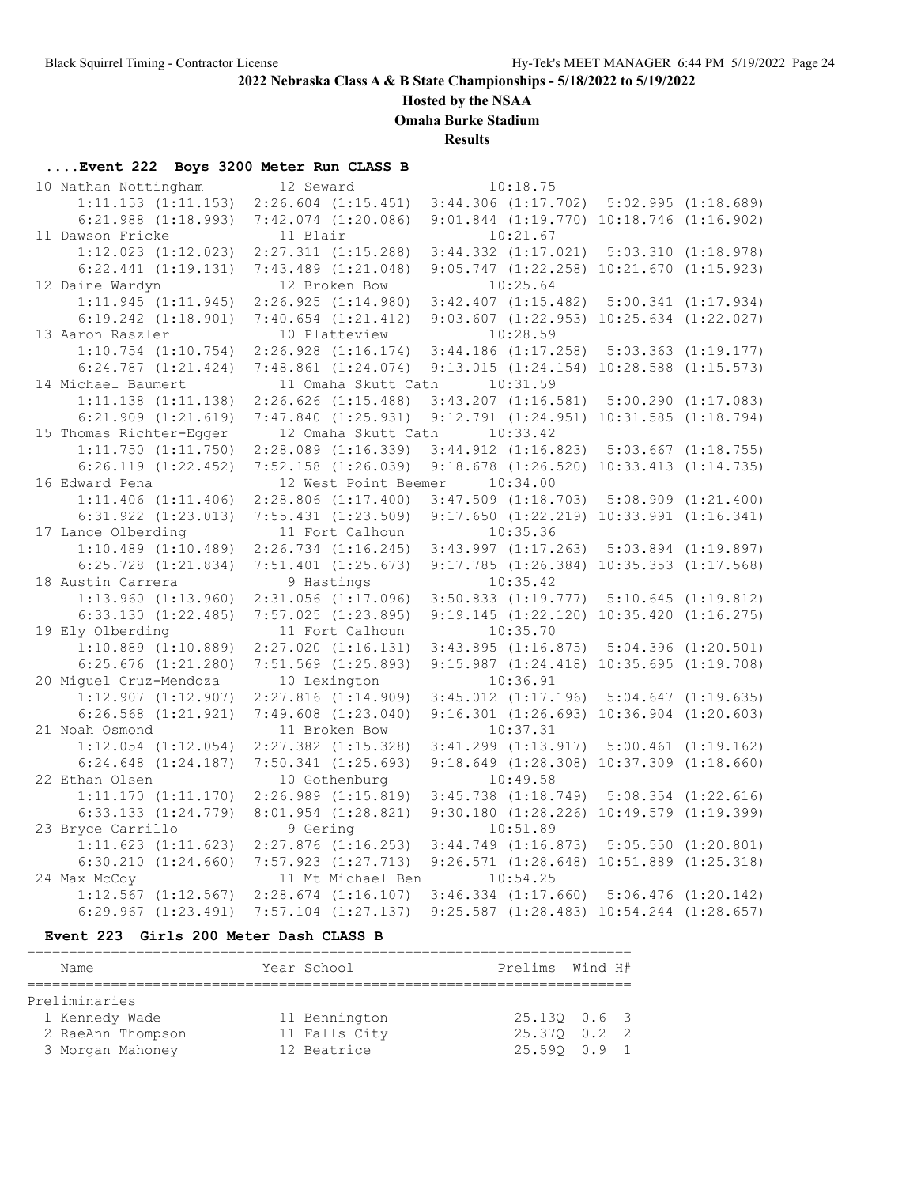**Hosted by the NSAA**

**Omaha Burke Stadium**

**Results**

# **....Event 222 Boys 3200 Meter Run CLASS B**

| 10 Nathan Nottingham                    | 12 Seward                                    | 10:18.75                                                     |                                                  |  |
|-----------------------------------------|----------------------------------------------|--------------------------------------------------------------|--------------------------------------------------|--|
| $1:11.153$ $(1:11.153)$                 | $2:26.604$ $(1:15.451)$                      | $3:44.306$ $(1:17.702)$ $5:02.995$ $(1:18.689)$              |                                                  |  |
| $6:21.988$ $(1:18.993)$                 | $7:42.074$ $(1:20.086)$                      | $9:01.844$ $(1:19.770)$ $10:18.746$ $(1:16.902)$             |                                                  |  |
| 11 Dawson Fricke                        | 11 Blair                                     | 10:21.67                                                     |                                                  |  |
| $1:12.023$ $(1:12.023)$                 | $2:27.311$ $(1:15.288)$                      |                                                              | $3:44.332$ $(1:17.021)$ $5:03.310$ $(1:18.978)$  |  |
| $6:22.441$ $(1:19.131)$                 | $7:43.489$ $(1:21.048)$                      |                                                              | $9:05.747$ $(1:22.258)$ $10:21.670$ $(1:15.923)$ |  |
| 12 Daine Wardyn                         | 12 Broken Bow                                | 10:25.64                                                     |                                                  |  |
| 1:11.945(1:11.945)                      | 2:26.925(1:14.980)                           | $3:42.407$ $(1:15.482)$ $5:00.341$ $(1:17.934)$              |                                                  |  |
| $6:19.242$ $(1:18.901)$                 | $7:40.654$ $(1:21.412)$                      |                                                              | $9:03.607$ $(1:22.953)$ $10:25.634$ $(1:22.027)$ |  |
| 13 Aaron Raszler                        | 10 Platteview                                | 10:28.59                                                     |                                                  |  |
| $1:10.754$ $(1:10.754)$                 | $2:26.928$ $(1:16.174)$                      | $3:44.186$ $(1:17.258)$ $5:03.363$ $(1:19.177)$              |                                                  |  |
| $6:24.787$ $(1:21.424)$                 | $7:48.861$ $(1:24.074)$                      |                                                              | 9:13.015 (1:24.154) 10:28.588 (1:15.573)         |  |
| 14 Michael Baumert                      | 11 Omaha Skutt Cath                          | 10:31.59                                                     |                                                  |  |
| $1:11.138$ $(1:11.138)$                 | $2:26.626$ $(1:15.488)$                      |                                                              | $3:43.207$ $(1:16.581)$ $5:00.290$ $(1:17.083)$  |  |
| $6:21.909$ $(1:21.619)$                 | 7:47.840(1:25.931)                           |                                                              | 9:12.791 (1:24.951) 10:31.585 (1:18.794)         |  |
| 15 Thomas Richter-Egger                 | 12 Omaha Skutt Cath                          | 10:33.42                                                     |                                                  |  |
| $1:11.750$ $(1:11.750)$                 | $2:28.089$ $(1:16.339)$                      | $3:44.912$ $(1:16.823)$ $5:03.667$ $(1:18.755)$              |                                                  |  |
| $6:26.119$ $(1:22.452)$                 | $7:52.158$ $(1:26.039)$                      |                                                              | $9:18.678$ $(1:26.520)$ $10:33.413$ $(1:14.735)$ |  |
| 16 Edward Pena                          | 12 West Point Beemer                         | 10:34.00                                                     |                                                  |  |
| $1:11.406$ $(1:11.406)$                 | $2:28.806$ $(1:17.400)$                      | $3:47.509$ $(1:18.703)$ $5:08.909$ $(1:21.400)$              |                                                  |  |
| $6:31.922$ $(1:23.013)$                 | $7:55.431$ $(1:23.509)$                      | $9:17.650$ $(1:22.219)$ $10:33.991$ $(1:16.341)$             |                                                  |  |
| 17 Lance Olberding                      | 11 Fort Calhoun                              | 10:35.36                                                     |                                                  |  |
| $1:10.489$ $(1:10.489)$                 | $2:26.734$ $(1:16.245)$                      | $3:43.997$ $(1:17.263)$ $5:03.894$ $(1:19.897)$              |                                                  |  |
| $6:25.728$ $(1:21.834)$                 | $7:51.401$ $(1:25.673)$                      | 9:17.785 (1:26.384) 10:35.353 (1:17.568)                     |                                                  |  |
| 18 Austin Carrera                       | 9 Hastings                                   | 10:35.42                                                     |                                                  |  |
| $1:13.960$ $(1:13.960)$                 | $2:31.056$ $(1:17.096)$                      | $3:50.833$ $(1:19.777)$ $5:10.645$ $(1:19.812)$              |                                                  |  |
| $6:33.130$ $(1:22.485)$                 | $7:57.025$ $(1:23.895)$                      |                                                              | $9:19.145$ $(1:22.120)$ $10:35.420$ $(1:16.275)$ |  |
| 19 Ely Olberding                        | 11 Fort Calhoun                              | 10:35.70                                                     |                                                  |  |
| $1:10.889$ $(1:10.889)$                 | $2:27.020$ $(1:16.131)$                      |                                                              | $3:43.895$ $(1:16.875)$ $5:04.396$ $(1:20.501)$  |  |
| $6:25.676$ $(1:21.280)$                 | $7:51.569$ $(1:25.893)$                      |                                                              | 9:15.987 (1:24.418) 10:35.695 (1:19.708)         |  |
| 20 Miguel Cruz-Mendoza                  | 10 Lexington                                 | 10:36.91                                                     |                                                  |  |
| $1:12.907$ $(1:12.907)$                 | $2:27.816$ $(1:14.909)$                      | $3:45.012$ $(1:17.196)$ $5:04.647$ $(1:19.635)$              |                                                  |  |
| $6:26.568$ $(1:21.921)$                 | $7:49.608$ $(1:23.040)$                      |                                                              | 9:16.301 (1:26.693) 10:36.904 (1:20.603)         |  |
| 21 Noah Osmond                          | 11 Broken Bow                                | 10:37.31                                                     |                                                  |  |
| $1:12.054$ $(1:12.054)$                 | $2:27.382$ $(1:15.328)$                      |                                                              | $3:41.299$ $(1:13.917)$ $5:00.461$ $(1:19.162)$  |  |
| $6:24.648$ $(1:24.187)$                 | $7:50.341$ $(1:25.693)$                      |                                                              | 9:18.649 (1:28.308) 10:37.309 (1:18.660)         |  |
| 22 Ethan Olsen                          | 10 Gothenburg                                | 10:49.58                                                     |                                                  |  |
| 1:11.170(1:11.170)                      | $2:26.989$ $(1:15.819)$                      | $3:45.738$ $(1:18.749)$ $5:08.354$ $(1:22.616)$              |                                                  |  |
| $6:33.133$ $(1:24.779)$                 | $8:01.954$ $(1:28.821)$                      |                                                              | 9:30.180 (1:28.226) 10:49.579 (1:19.399)         |  |
| 23 Bryce Carrillo                       | 9 Gering                                     | 10:51.89                                                     |                                                  |  |
| $1:11.623$ $(1:11.623)$                 | $2:27.876$ $(1:16.253)$                      | $3:44.749$ $(1:16.873)$ $5:05.550$ $(1:20.801)$              |                                                  |  |
| $6:30.210$ $(1:24.660)$<br>24 Max McCoy | $7:57.923$ $(1:27.713)$                      | $9:26.571$ $(1:28.648)$ $10:51.889$ $(1:25.318)$<br>10:54.25 |                                                  |  |
| $1:12.567$ $(1:12.567)$                 | 11 Mt Michael Ben<br>$2:28.674$ $(1:16.107)$ | $3:46.334$ $(1:17.660)$ $5:06.476$ $(1:20.142)$              |                                                  |  |
| $6:29.967$ $(1:23.491)$                 | $7:57.104$ $(1:27.137)$                      |                                                              | $9:25.587$ $(1:28.483)$ $10:54.244$ $(1:28.657)$ |  |
|                                         |                                              |                                                              |                                                  |  |

#### **Event 223 Girls 200 Meter Dash CLASS B**

| Name |                                                                          |  |                                                              |  |                                                                     |  |  |  |
|------|--------------------------------------------------------------------------|--|--------------------------------------------------------------|--|---------------------------------------------------------------------|--|--|--|
|      |                                                                          |  |                                                              |  |                                                                     |  |  |  |
|      |                                                                          |  |                                                              |  |                                                                     |  |  |  |
|      |                                                                          |  |                                                              |  |                                                                     |  |  |  |
|      |                                                                          |  |                                                              |  |                                                                     |  |  |  |
|      |                                                                          |  |                                                              |  |                                                                     |  |  |  |
|      | Preliminaries<br>1 Kennedy Wade<br>2 RaeAnn Thompson<br>3 Morgan Mahoney |  | Year School<br>11 Bennington<br>11 Falls City<br>12 Beatrice |  | Prelims Wind H#<br>25.130 0.6 3<br>25.370 0.2 2<br>$25.590$ $0.9$ 1 |  |  |  |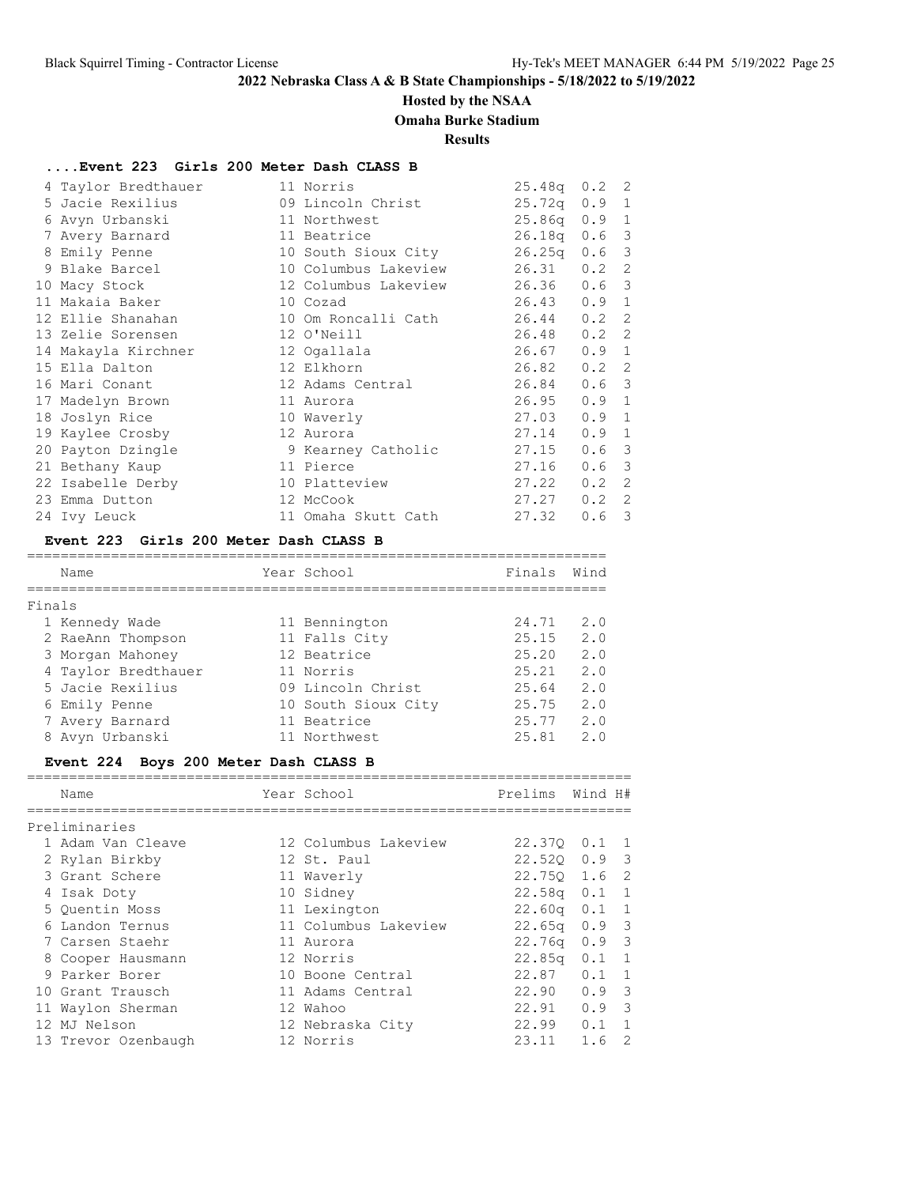#### **Hosted by the NSAA**

### **Omaha Burke Stadium**

#### **Results**

#### **....Event 223 Girls 200 Meter Dash CLASS B**

| 4 Taylor Bredthauer             | 11 Norris                        | $25.48q$ 0.2 2   |               |   |
|---------------------------------|----------------------------------|------------------|---------------|---|
| 5 Jacie Rexilius                | 09 Lincoln Christ                | $25.72q$ 0.9 1   |               |   |
| 6 Avyn Urbanski<br>11 Northwest |                                  | $25.86q$ $0.9$ 1 |               |   |
| 7 Avery Barnard 11 Beatrice     |                                  | $26.18q$ 0.6 3   |               |   |
| 8 Emily Penne                   | 10 South Sioux City              | 26.25q           | $0.6-3$       |   |
| 9 Blake Barcel                  | 10 Columbus Lakeview             | $26.31$ 0.2 2    |               |   |
| 10 Macy Stock                   | 12 Columbus Lakeview 26.36 0.6 3 |                  |               |   |
| 11 Makaia Baker                 | 10 Cozad                         | 26.43            | 0.9           | 1 |
| 12 Ellie Shanahan               | 10 Om Roncalli Cath              | 26.44            | $0.2 \quad 2$ |   |
| 13 Zelie Sorensen               | 12 O'Neill                       | 26.48            | $0.2 \quad 2$ |   |
| 14 Makayla Kirchner             | 12 Ogallala                      | 26.67            | 0.9 1         |   |
| 15 Ella Dalton                  | 12 Elkhorn                       | 26.82            | $0.2 \quad 2$ |   |
| 16 Mari Conant                  | 12 Adams Central                 | 26.84            | $0.6-3$       |   |
| 17 Madelyn Brown                | 11 Aurora                        | 26.95            | 0.9 1         |   |
| 18 Joslyn Rice                  | 10 Waverly                       | 27.03            | $0.9 \quad 1$ |   |
| 19 Kaylee Crosby                | 12 Aurora                        | 27.14            | 0.9 1         |   |
| 20 Payton Dzingle               | 9 Kearney Catholic               | 27.15            | $0.6-3$       |   |
| 21 Bethany Kaup                 | 11 Pierce                        | 27.16            | $0.6-3$       |   |
| 22 Isabelle Derby               | 10 Platteview                    | 27.22            | 0.2           | 2 |
| 23 Emma Dutton                  | 12 McCook                        | 27.27            | $0.2 \quad 2$ |   |
| 24 Ivy Leuck                    | 11 Omaha Skutt Cath              | 27.32            | $0.6-3$       |   |

#### **Event 223 Girls 200 Meter Dash CLASS B**

### ===================================================================== Name **Year School** Finals Wind ===================================================================== Finals 1 Kennedy Wade 11 Bennington 24.71 2.0 2 RaeAnn Thompson 11 Falls City 25.15 2.0 3 Morgan Mahoney 12 Beatrice 25.20 2.0 4 Taylor Bredthauer 11 Norris 25.21 2.0 5 Jacie Rexilius 09 Lincoln Christ 25.64 2.0 6 Emily Penne 10 South Sioux City 25.75 2.0 7 Avery Barnard 11 Beatrice 25.77 2.0 8 Avyn Urbanski 11 Northwest 25.81 2.0

#### **Event 224 Boys 200 Meter Dash CLASS B**

| Name                | Year School          | Prelims Wind H#    |               |   |
|---------------------|----------------------|--------------------|---------------|---|
| Preliminaries       |                      |                    |               |   |
| 1 Adam Van Cleave   | 12 Columbus Lakeview | 22.370 0.1 1       |               |   |
| 2 Rylan Birkby      | 12 St. Paul          | $22.520$ 0.9 3     |               |   |
| 3 Grant Schere      | 11 Waverly           | 22.750 1.6 2       |               |   |
| 4 Isak Doty         | 10 Sidney            | $22.58q$ 0.1 1     |               |   |
| 5 Ouentin Moss      | 11 Lexington         | $22.60q$ 0.1 1     |               |   |
| 6 Landon Ternus     | 11 Columbus Lakeview | $22.65q$ 0.9 3     |               |   |
| 7 Carsen Staehr     | 11 Aurora            | 22.76q             | $0.9 \quad 3$ |   |
| 8 Cooper Hausmann   | 12 Norris            | 22.85 <sub>q</sub> | $0.1 \quad 1$ |   |
| 9 Parker Borer      | 10 Boone Central     | 22.87              | $0.1 \quad 1$ |   |
| 10 Grant Trausch    | 11 Adams Central     | 22.90              | $0.9$ 3       |   |
| 11 Waylon Sherman   | 12 Wahoo             | 22.91              | $0.9 \quad 3$ |   |
| 12 MJ Nelson        | 12 Nebraska City     | 22.99              | $0.1 \quad 1$ |   |
| 13 Trevor Ozenbaugh | 12 Norris            | 23.11              | 1.6           | 2 |
|                     |                      |                    |               |   |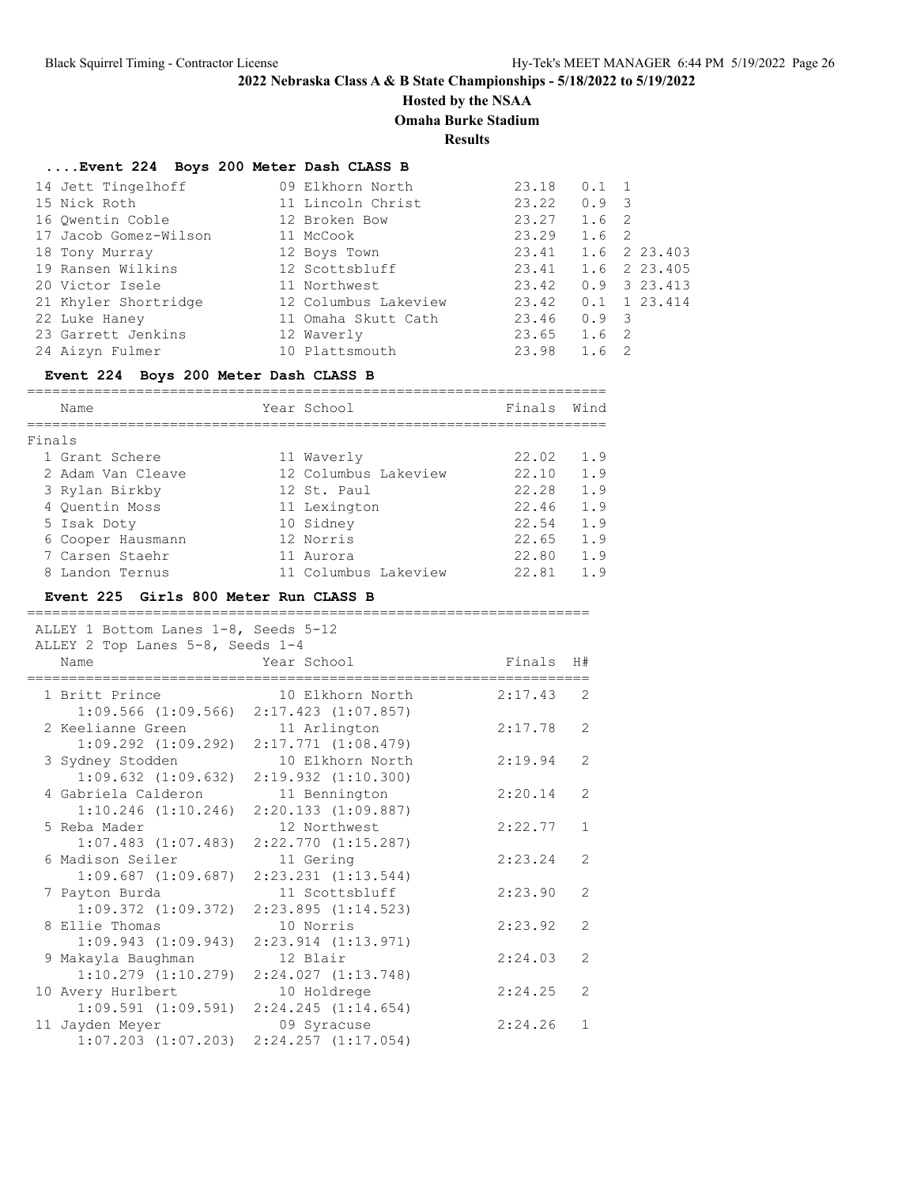# **Hosted by the NSAA**

**Omaha Burke Stadium**

**Results**

# **....Event 224 Boys 200 Meter Dash CLASS B**

| 14 Jett Tingelhoff    | 09 Elkhorn North     | 23.18 | $0.1 \quad 1$ |                            |
|-----------------------|----------------------|-------|---------------|----------------------------|
| 15 Nick Roth          | 11 Lincoln Christ    | 23.22 | $0.9 \quad 3$ |                            |
| 16 Owentin Coble      | 12 Broken Bow        | 23.27 | 1.6 2         |                            |
| 17 Jacob Gomez-Wilson | 11 McCook            | 23.29 | 1.6 2         |                            |
| 18 Tony Murray        | 12 Boys Town         | 23.41 |               | 1.6 2 23.403               |
| 19 Ransen Wilkins     | 12 Scottsbluff       | 23.41 |               | 1.6 2 23.405               |
| 20 Victor Isele       | 11 Northwest         | 23.42 |               | $0.9$ 3 23.413             |
| 21 Khyler Shortridge  | 12 Columbus Lakeview | 23.42 |               | $0.1 \quad 1 \quad 23.414$ |
| 22 Luke Haney         | 11 Omaha Skutt Cath  | 23.46 | $0.9 \quad 3$ |                            |
| 23 Garrett Jenkins    | 12 Waverly           | 23.65 | 1.6           | $\overline{2}$             |
| 24 Aizyn Fulmer       | 10 Plattsmouth       | 23.98 | 1.6           | - 2                        |

#### **Event 224 Boys 200 Meter Dash CLASS B**

|        | Name              | Year School          | Finals | Wind |
|--------|-------------------|----------------------|--------|------|
|        |                   |                      |        |      |
| Finals |                   |                      |        |      |
|        | 1 Grant Schere    | 11 Waverly           | 22.02  | 1.9  |
|        | 2 Adam Van Cleave | 12 Columbus Lakeview | 22.10  | 1.9  |
|        | 3 Rylan Birkby    | 12 St. Paul          | 22.28  | 1.9  |
|        | 4 Ouentin Moss    | 11 Lexington         | 22.46  | 1.9  |
|        | 5 Isak Doty       | 10 Sidney            | 22.54  | 1.9  |
|        | 6 Cooper Hausmann | 12 Norris            | 22.65  | 1.9  |
|        | 7 Carsen Staehr   | 11 Aurora            | 22.80  | 1.9  |
|        | 8 Landon Ternus   | 11 Columbus Lakeview | 22.81  | 1.9  |

#### **Event 225 Girls 800 Meter Run CLASS B**

| ALLEY 1 Bottom Lanes 1-8, Seeds 5-12         |                         |           |                |
|----------------------------------------------|-------------------------|-----------|----------------|
| ALLEY 2 Top Lanes 5-8, Seeds 1-4             |                         |           |                |
| Name                                         | Year School             | Finals H# |                |
| 1 Britt Prince                               | 10 Elkhorn North        | 2:17.43   | 2              |
|                                              | $2:17.423$ $(1:07.857)$ |           |                |
| $1:09.566$ $(1:09.566)$<br>2 Keelianne Green |                         | 2:17.78   | $\overline{2}$ |
|                                              | 11 Arlington            |           |                |
| $1:09.292$ $(1:09.292)$                      | $2:17.771$ $(1:08.479)$ |           |                |
| 3 Sydney Stodden                             | 10 Elkhorn North        | 2:19.94   | $\mathcal{L}$  |
| $1:09.632$ $(1:09.632)$                      | $2:19.932$ $(1:10.300)$ |           |                |
| 4 Gabriela Calderon                          | 11 Bennington           | 2:20.14   | $\mathcal{L}$  |
| $1:10.246$ $(1:10.246)$                      | $2:20.133$ $(1:09.887)$ |           |                |
| 5 Reba Mader                                 | 12 Northwest            | 2:22.77   | $\mathbf{1}$   |
| $1:07.483$ $(1:07.483)$                      | $2:22.770$ $(1:15.287)$ |           |                |
| 6 Madison Seiler                             | 11 Gering               | 2:23.24   | $\overline{2}$ |
| $1:09.687$ $(1:09.687)$                      | $2:23.231$ $(1:13.544)$ |           |                |
| 7 Payton Burda                               | 11 Scottsbluff          | 2:23.90   | $\overline{2}$ |
| $1:09.372$ $(1:09.372)$                      | $2:23.895$ $(1:14.523)$ |           |                |
| 8 Ellie Thomas                               | 10 Norris               | 2:23.92   | $\overline{2}$ |
| $1:09.943$ $(1:09.943)$                      | $2:23.914$ $(1:13.971)$ |           |                |
| 9 Makayla Baughman                           | 12 Blair                | 2:24.03   | $\mathcal{L}$  |
| $1:10.279$ $(1:10.279)$                      | $2:24.027$ $(1:13.748)$ |           |                |
| 10 Avery Hurlbert                            | 10 Holdrege             | 2:24.25   | $\mathcal{L}$  |
|                                              |                         |           |                |
| $1:09.591$ $(1:09.591)$                      | $2:24.245$ $(1:14.654)$ |           |                |
| 11 Jayden Meyer                              | 09 Syracuse             | 2:24.26   | $\mathbf{1}$   |
| $1:07.203$ $(1:07.203)$                      | $2:24.257$ $(1:17.054)$ |           |                |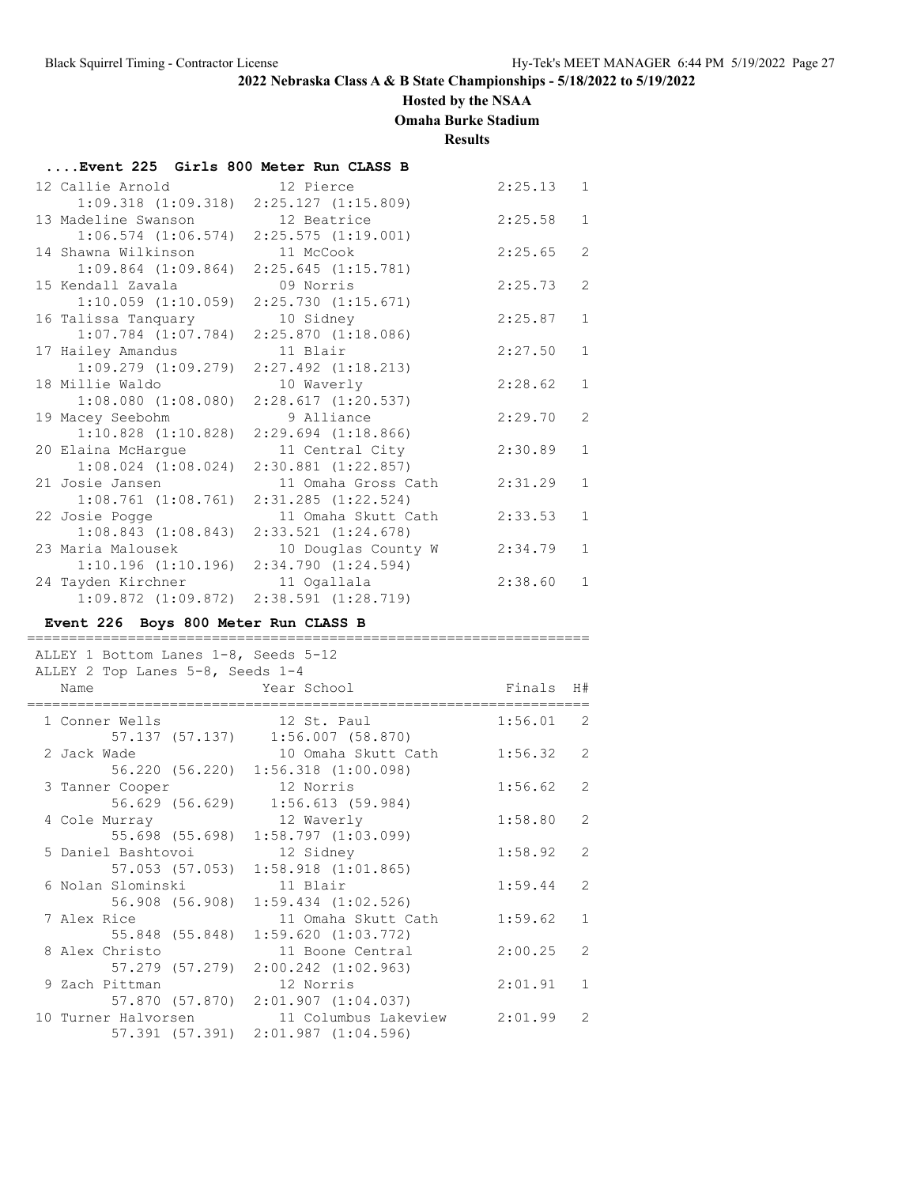### **Hosted by the NSAA**

**Omaha Burke Stadium**

**Results**

| Event 225 Girls 800 Meter Run CLASS B           |                         |         |                |
|-------------------------------------------------|-------------------------|---------|----------------|
| 12 Callie Arnold                                | 12 Pierce               | 2:25.13 | 1              |
| $1:09.318$ $(1:09.318)$ $2:25.127$ $(1:15.809)$ |                         |         |                |
| 13 Madeline Swanson                             | 12 Beatrice             | 2:25.58 | $\mathbf{1}$   |
| $1:06.574$ $(1:06.574)$                         | $2:25.575$ $(1:19.001)$ |         |                |
| 14 Shawna Wilkinson                             | 11 McCook               | 2:25.65 | $\overline{2}$ |
| $1:09.864$ $(1:09.864)$                         | $2:25.645$ $(1:15.781)$ |         |                |
| 15 Kendall Zavala                               | 09 Norris               | 2:25.73 | 2              |
| $1:10.059$ $(1:10.059)$                         | 2:25.730(1:15.671)      |         |                |
| 16 Talissa Tanquary                             | 10 Sidney               | 2:25.87 | $\mathbf{1}$   |
| $1:07.784$ $(1:07.784)$                         | $2:25.870$ $(1:18.086)$ |         |                |
| 17 Hailey Amandus                               | 11 Blair                | 2:27.50 | $\mathbf{1}$   |
| $1:09.279$ $(1:09.279)$                         | $2:27.492$ $(1:18.213)$ |         |                |
| 18 Millie Waldo                                 | 10 Waverly              | 2:28.62 | $\mathbf{1}$   |
| $1:08.080$ $(1:08.080)$                         | 2:28.617(1:20.537)      |         |                |
| 19 Macey Seebohm                                | 9 Alliance              | 2:29.70 | $\overline{2}$ |
| $1:10.828$ $(1:10.828)$                         | $2:29.694$ $(1:18.866)$ |         |                |
| 20 Elaina McHarque                              | 11 Central City         | 2:30.89 | $\mathbf{1}$   |
| $1:08.024$ $(1:08.024)$                         | $2:30.881$ $(1:22.857)$ |         |                |
| 21 Josie Jansen                                 | 11 Omaha Gross Cath     | 2:31.29 | 1              |
| $1:08.761$ $(1:08.761)$                         | $2:31.285$ $(1:22.524)$ |         |                |
| 22 Josie Pogge                                  | 11 Omaha Skutt Cath     | 2:33.53 | $\mathbf{1}$   |
| 1:08.843(1:08.843)                              | $2:33.521$ $(1:24.678)$ |         |                |
| 23 Maria Malousek                               | 10 Douglas County W     | 2:34.79 | 1              |
| 1:10.196(1:10.196)                              | $2:34.790$ $(1:24.594)$ |         |                |
| 24 Tayden Kirchner                              | 11 Ogallala             | 2:38.60 | 1              |
| $1:09.872$ $(1:09.872)$                         | $2:38.591$ $(1:28.719)$ |         |                |

#### **Event 226 Boys 800 Meter Run CLASS B**

| ALLEY 2 Top Lanes 5-8, Seeds 1-4 | ALLEY 1 Bottom Lanes 1-8, Seeds 5-12                                |                                                  |             |               |
|----------------------------------|---------------------------------------------------------------------|--------------------------------------------------|-------------|---------------|
| Name                             | Year School                                                         |                                                  | Finals H#   |               |
| 1 Conner Wells                   | 12 St. Paul<br>57.137 (57.137) 1:56.007 (58.870)                    |                                                  | $1:56.01$ 2 |               |
| 2 Jack Wade                      | 56.220 (56.220) 1:56.318 (1:00.098)                                 | 10 Omaha Skutt Cath                              | 1:56.32     | $\mathcal{L}$ |
| 3 Tanner Cooper                  | 12 Norris<br>56.629 (56.629) 1:56.613 (59.984)                      |                                                  | 1:56.62     | 2             |
| 4 Cole Murray                    | 12 Waverly<br>55.698 (55.698) 1:58.797 (1:03.099)                   |                                                  | 1:58.80     | 2             |
|                                  | 5 Daniel Bashtovoi 12 Sidney<br>57.053 (57.053) 1:58.918 (1:01.865) |                                                  | 1:58.92     | 2             |
| 6 Nolan Slominski                | 11 Blair<br>56.908 (56.908) 1:59.434 (1:02.526)                     |                                                  | 1:59.44     | $\mathcal{L}$ |
| 7 Alex Rice                      | 55.848 (55.848) 1:59.620 (1:03.772)                                 | 11 Omaha Skutt Cath                              | 1:59.62     | $\mathbf{1}$  |
| 8 Alex Christo                   | 57.279 (57.279) 2:00.242 (1:02.963)                                 | 11 Boone Central                                 | 2:00.25     | $\mathcal{L}$ |
| 9 Zach Pittman                   | 12 Norris<br>57.870 (57.870) 2:01.907 (1:04.037)                    |                                                  | 2:01.91     | $\mathbf{1}$  |
|                                  | 57.391 (57.391) 2:01.987 (1:04.596)                                 | 10 Turner Halvorsen 11 Columbus Lakeview 2:01.99 |             | 2             |

===================================================================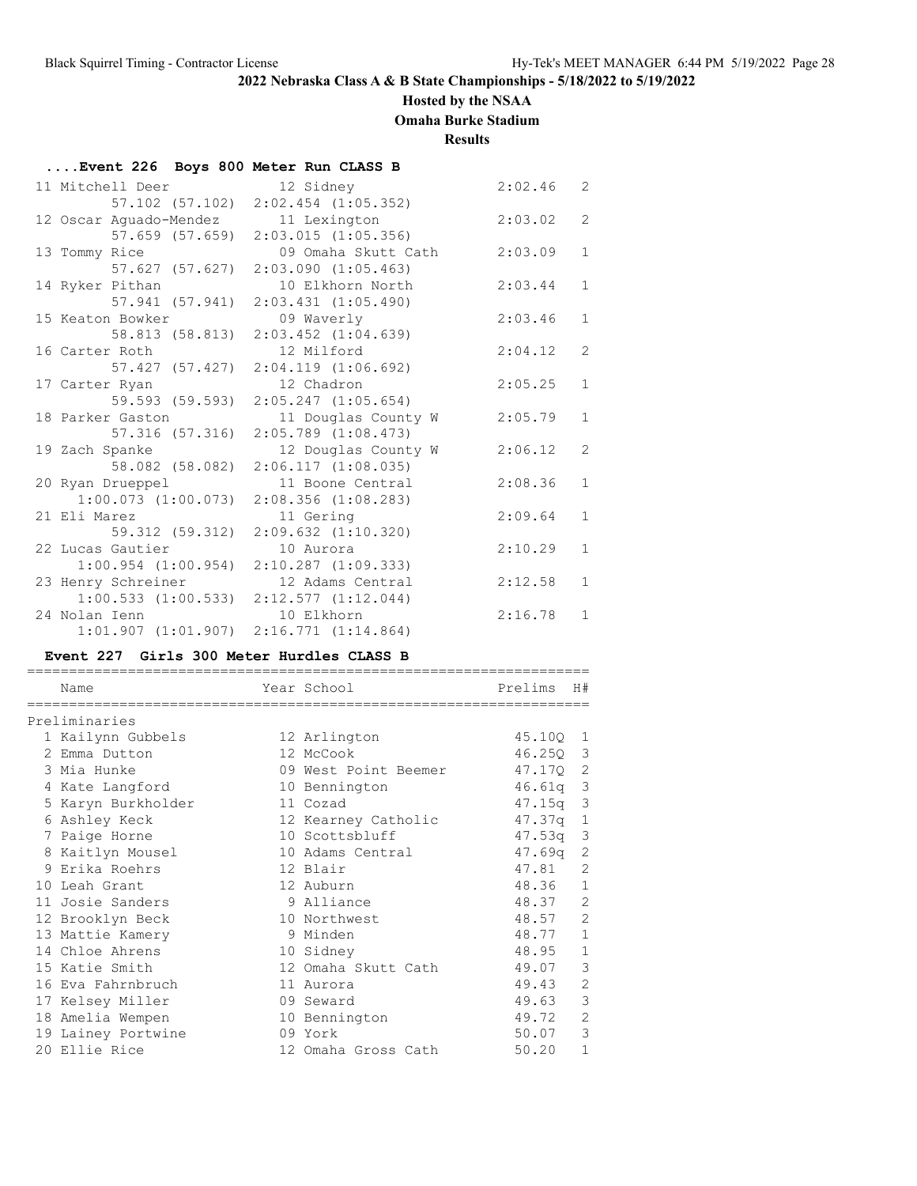### **Hosted by the NSAA**

**Omaha Burke Stadium**

**Results**

| Event 226 Boys 800 Meter Run CLASS B |                                     |         |                |
|--------------------------------------|-------------------------------------|---------|----------------|
| 11 Mitchell Deer                     | 12 Sidney                           | 2:02.46 | 2              |
|                                      | 57.102 (57.102) 2:02.454 (1:05.352) |         |                |
| 12 Oscar Aquado-Mendez 11 Lexington  |                                     | 2:03.02 | $\overline{2}$ |
| 57.659 (57.659)                      | $2:03.015$ $(1:05.356)$             |         |                |
| 13 Tommy Rice                        | 09 Omaha Skutt Cath                 | 2:03.09 | $\mathbf{1}$   |
| 57.627 (57.627)                      | $2:03.090$ $(1:05.463)$             |         |                |
| 14 Ryker Pithan                      | 10 Elkhorn North                    | 2:03.44 | $\mathbf{1}$   |
| 57.941 (57.941)                      | $2:03.431$ $(1:05.490)$             |         |                |
| 15 Keaton Bowker                     | 09 Waverly                          | 2:03.46 | $\mathbf{1}$   |
| 58.813 (58.813)                      | $2:03.452$ $(1:04.639)$             |         |                |
| 16 Carter Roth                       | 12 Milford                          | 2:04.12 | 2              |
| 57.427 (57.427)                      | $2:04.119$ $(1:06.692)$             |         |                |
| 17 Carter Ryan                       | 12 Chadron                          | 2:05.25 | $\mathbf{1}$   |
| 59.593 (59.593)                      | $2:05.247$ $(1:05.654)$             |         |                |
| 18 Parker Gaston                     | 11 Douglas County W                 | 2:05.79 | $\mathbf{1}$   |
| 57.316 (57.316)                      | $2:05.789$ $(1:08.473)$             |         |                |
| 19 Zach Spanke                       | 12 Douglas County W                 | 2:06.12 | 2              |
| 58.082 (58.082)                      | 2:06.117(1:08.035)                  |         |                |
| 20 Ryan Drueppel                     | 11 Boone Central                    | 2:08.36 | $\mathbf{1}$   |
| $1:00.073$ $(1:00.073)$              | $2:08.356$ $(1:08.283)$             |         |                |
| 21 Eli Marez                         | 11 Gering                           | 2:09.64 | $\mathbf{1}$   |
| 59.312 (59.312)                      | $2:09.632$ $(1:10.320)$             |         |                |
| 22 Lucas Gautier                     | 10 Aurora                           | 2:10.29 | $\mathbf{1}$   |
| $1:00.954$ $(1:00.954)$              | $2:10.287$ $(1:09.333)$             |         |                |
| 23 Henry Schreiner                   | 12 Adams Central                    | 2:12.58 | $\mathbf{1}$   |
| $1:00.533$ $(1:00.533)$              | 2:12.577(1:12.044)                  |         |                |
| 24 Nolan Ienn                        | 10 Elkhorn                          | 2:16.78 | $\mathbf{1}$   |
| $1:01.907$ $(1:01.907)$              | 2:16.771(1:14.864)                  |         |                |

### **Event 227 Girls 300 Meter Hurdles CLASS B**

| Name                 | Year School          | Prelims    | H#             |
|----------------------|----------------------|------------|----------------|
| -------------------- |                      |            |                |
| Preliminaries        |                      |            |                |
| 1 Kailynn Gubbels    | 12 Arlington         | 45.10Q 1   |                |
| 2 Emma Dutton        | 12 McCook            | 46.250 3   |                |
| 3 Mia Hunke          | 09 West Point Beemer | 47.170 2   |                |
| 4 Kate Langford      | 10 Bennington        | $46.61q$ 3 |                |
| 5 Karyn Burkholder   | 11 Cozad             | 47.15q     | 3              |
| 6 Ashley Keck        | 12 Kearney Catholic  | 47.37q     | $\mathbf{1}$   |
| 7 Paige Horne        | 10 Scottsbluff       | 47.53q     | 3              |
| 8 Kaitlyn Mousel     | 10 Adams Central     | 47.69q     | 2              |
| 9 Erika Roehrs       | 12 Blair             | 47.81      | 2              |
| 10 Leah Grant        | 12 Auburn            | 48.36      | $\mathbf{1}$   |
| 11 Josie Sanders     | 9 Alliance           | 48.37      | 2              |
| 12 Brooklyn Beck     | 10 Northwest         | 48.57      | $\overline{2}$ |
| 13 Mattie Kamery     | 9 Minden             | 48.77      | $\mathbf{1}$   |
| 14 Chloe Ahrens      | 10 Sidney            | 48.95      | $\mathbf{1}$   |
| 15 Katie Smith       | 12 Omaha Skutt Cath  | 49.07      | 3              |
| 16 Eva Fahrnbruch    | 11 Aurora            | 49.43      | $\overline{2}$ |
| 17 Kelsey Miller     | 09 Seward            | 49.63      | 3              |
| 18 Amelia Wempen     | 10 Bennington        | 49.72      | $\overline{2}$ |
| 19 Lainey Portwine   | 09 York              | 50.07      | 3              |
| 20 Ellie Rice        | 12 Omaha Gross Cath  | 50.20      | 1              |
|                      |                      |            |                |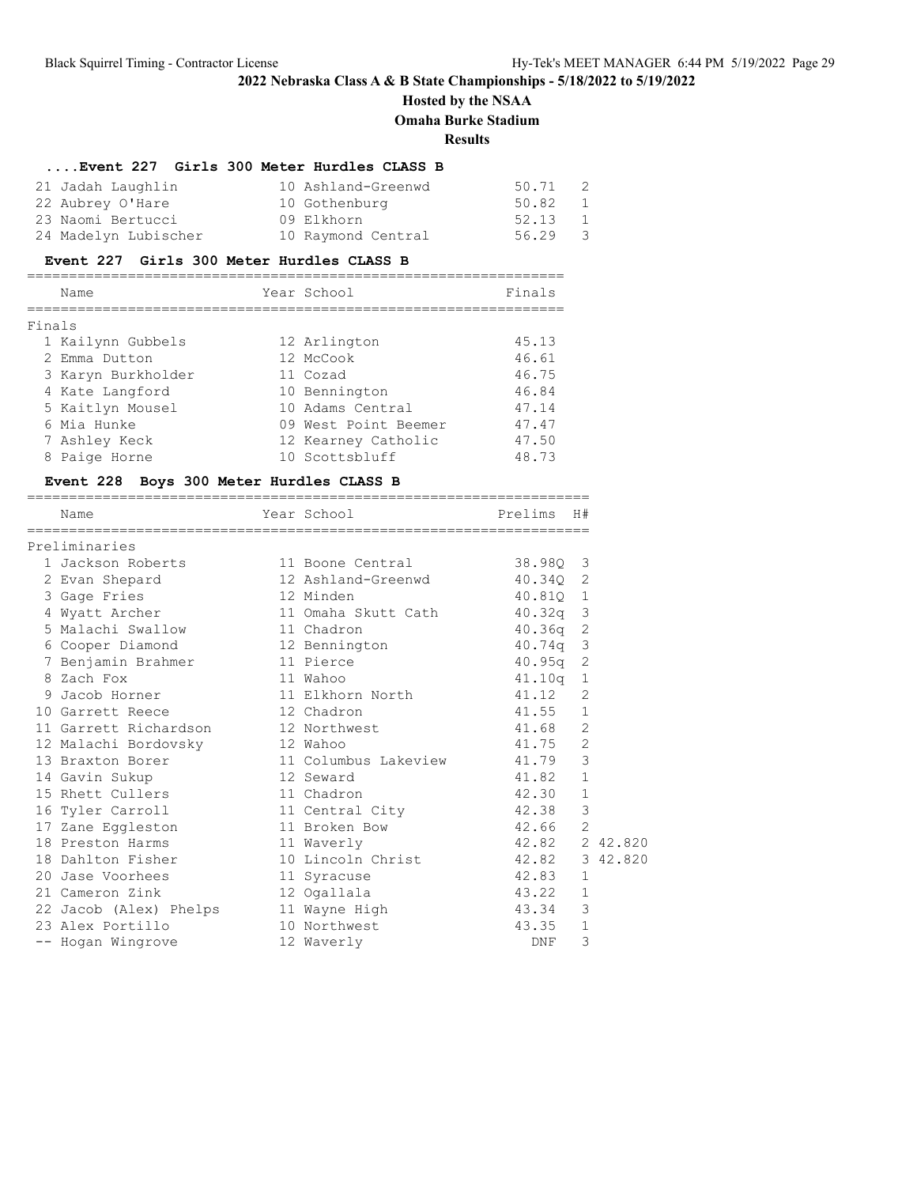# **Hosted by the NSAA Omaha Burke Stadium**

**Results**

### **....Event 227 Girls 300 Meter Hurdles CLASS B**

| 21 Jadah Laughlin    | 10 Ashland-Greenwd | 50.71   | 2 |
|----------------------|--------------------|---------|---|
| 22 Aubrey O'Hare     | 10 Gothenburg      | 50.82 1 |   |
| 23 Naomi Bertucci    | 09 Elkhorn         | 52.13 1 |   |
| 24 Madelyn Lubischer | 10 Raymond Central | 56.29 3 |   |

### **Event 227 Girls 300 Meter Hurdles CLASS B**

|        | Name               | Year School          | Finals |
|--------|--------------------|----------------------|--------|
| Finals |                    |                      |        |
|        |                    |                      |        |
|        | 1 Kailynn Gubbels  | 12 Arlington         | 45.13  |
|        | 2 Emma Dutton      | 12 McCook            | 46.61  |
|        | 3 Karyn Burkholder | 11 Cozad             | 46.75  |
|        | 4 Kate Langford    | 10 Bennington        | 46.84  |
|        | 5 Kaitlyn Mousel   | 10 Adams Central     | 47.14  |
|        | 6 Mia Hunke        | 09 West Point Beemer | 47.47  |
|        | 7 Ashley Keck      | 12 Kearney Catholic  | 47.50  |
|        | 8 Paige Horne      | 10 Scottsbluff       | 48.73  |

# **Event 228 Boys 300 Meter Hurdles CLASS B**

| Name                                 | Year School                      | Prelims H#     |                |
|--------------------------------------|----------------------------------|----------------|----------------|
| Preliminaries                        |                                  |                |                |
| 1 Jackson Roberts                    | 11 Boone Central 38.980 3        |                |                |
| 2 Evan Shepard                       | 12 Ashland-Greenwd 40.340 2      |                |                |
| 3 Gage Fries                         | 12 Minden                        | 40.810 1       |                |
| 4 Wyatt Archer                       | 11 Omaha Skutt Cath 40.32q 3     |                |                |
| 5 Malachi Swallow                    | 11 Chadron                       | $40.36q$ 2     |                |
| 6 Cooper Diamond 12 Bennington       |                                  | 40.74q 3       |                |
| 7 Benjamin Brahmer                   | 11 Pierce                        | $40.95q$ 2     |                |
| 8 Zach Fox                           | 11 Wahoo                         | 41.10g 1       |                |
| 9 Jacob Horner                       | 11 Elkhorn North 41.12           |                | 2              |
| 10 Garrett Reece                     | 12 Chadron                       | 41.55 1        |                |
| 11 Garrett Richardson                | 12 Northwest                     | 41.68          | 2              |
| 12 Malachi Bordovsky                 | 12 Wahoo                         | 41.75          | $\overline{2}$ |
| 13 Braxton Borer                     | 11 Columbus Lakeview 41.79       |                | 3              |
| 14 Gavin Sukup                       | 12 Seward                        | 41.82          | $\mathbf{1}$   |
| 15 Rhett Cullers                     | 11 Chadron                       | 42.30          | $\mathbf{1}$   |
| 16 Tyler Carroll                     | 11 Central City                  | 42.38          | $\mathcal{E}$  |
| 17 Zane Eggleston                    | 11 Broken Bow                    | 42.66          | 2              |
| 18 Preston Harms                     | 11 Waverly                       | 42.82 2 42.820 |                |
| 18 Dahlton Fisher                    | 10 Lincoln Christ 42.82 3 42.820 |                |                |
| 20 Jase Voorhees and the Same States | 11 Syracuse                      | 42.83          | $\mathbf{1}$   |
| 21 Cameron Zink                      | 12 Ogallala                      | 43.22          | $\mathbf{1}$   |
| 22 Jacob (Alex) Phelps 11 Wayne High |                                  | 43.34          | $\mathcal{S}$  |
| 23 Alex Portillo                     | 10 Northwest                     | 43.35          | $\mathbf{1}$   |
| -- Hogan Wingrove                    | 12 Waverly                       | DNF            | 3              |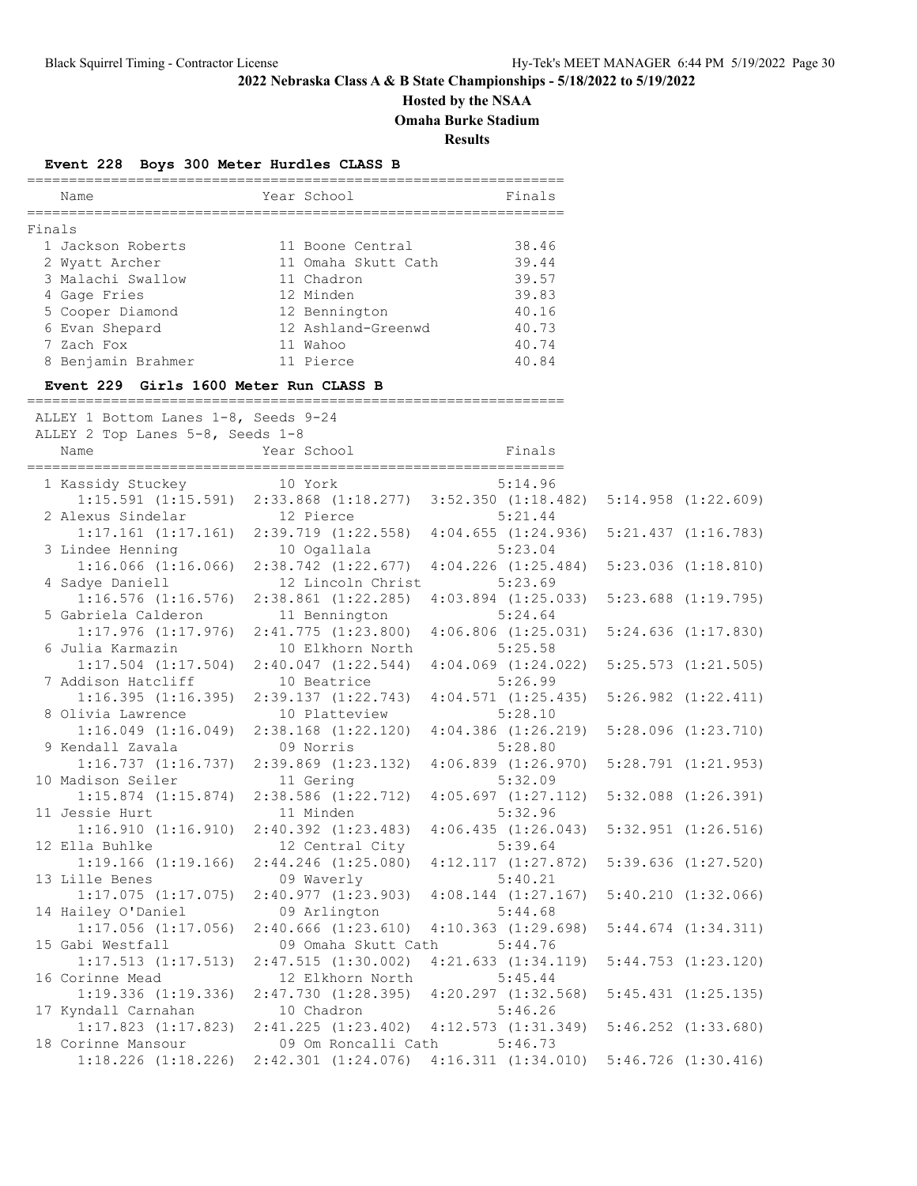# **Hosted by the NSAA**

**Omaha Burke Stadium**

**Results**

### **Event 228 Boys 300 Meter Hurdles CLASS B**

|        | Name               | Year School         | Finals |
|--------|--------------------|---------------------|--------|
| Finals |                    |                     |        |
|        | 1 Jackson Roberts  | 11 Boone Central    | 38.46  |
|        | 2 Wyatt Archer     | 11 Omaha Skutt Cath | 39.44  |
|        | 3 Malachi Swallow  | 11 Chadron          | 39.57  |
|        | 4 Gage Fries       | 12 Minden           | 39.83  |
|        | 5 Cooper Diamond   | 12 Bennington       | 40.16  |
|        | 6 Evan Shepard     | 12 Ashland-Greenwd  | 40.73  |
|        | 7 Zach Fox         | 11 Wahoo            | 40.74  |
|        | 8 Benjamin Brahmer | 11 Pierce           | 40.84  |

================================================================

#### **Event 229 Girls 1600 Meter Run CLASS B**

| ALLEY 1 Bottom Lanes 1-8, Seeds 9-24<br>ALLEY 2 Top Lanes 5-8, Seeds 1-8 |                                                                                                                                                                                                                               |                                                             |                         |
|--------------------------------------------------------------------------|-------------------------------------------------------------------------------------------------------------------------------------------------------------------------------------------------------------------------------|-------------------------------------------------------------|-------------------------|
| Name                                                                     | Year School                                                                                                                                                                                                                   | <b>Example 18</b> Finals                                    |                         |
| 1 Kassidy Stuckey 10 York                                                |                                                                                                                                                                                                                               | 5:14.96                                                     |                         |
|                                                                          | 1:15.591 (1:15.591) 2:33.868 (1:18.277) 3:52.350 (1:18.482) 5:14.958 (1:22.609)                                                                                                                                               |                                                             |                         |
| 2 Alexus Sindelar                                                        | 12 Pierce                                                                                                                                                                                                                     | 5:21.44                                                     |                         |
| 3 Lindee Henning                                                         | $1:17.161$ $(1:17.161)$ $2:39.719$ $(1:22.558)$<br>10 Ogallala                                                                                                                                                                | $4:04.655$ $(1:24.936)$<br>5:23.04                          | $5:21.437$ $(1:16.783)$ |
|                                                                          | $1:16.066$ $(1:16.066)$ $2:38.742$ $(1:22.677)$                                                                                                                                                                               | $4:04.226$ $(1:25.484)$                                     | $5:23.036$ $(1:18.810)$ |
| 4 Sadye Daniell                                                          | 12 Lincoln Christ                                                                                                                                                                                                             | 5:23.69                                                     |                         |
| $1:16.576$ $(1:16.576)$                                                  | $2:38.861$ $(1:22.285)$                                                                                                                                                                                                       | $4:03.894$ $(1:25.033)$                                     | $5:23.688$ $(1:19.795)$ |
| 5 Gabriela Calderon                                                      | 11 Bennington                                                                                                                                                                                                                 | 5:24.64                                                     |                         |
| $1:17.976$ $(1:17.976)$ $2:41.775$ $(1:23.800)$                          |                                                                                                                                                                                                                               | $4:06.806$ $(1:25.031)$                                     | $5:24.636$ $(1:17.830)$ |
| 6 Julia Karmazin                                                         | 10 Elkhorn North                                                                                                                                                                                                              | 5:25.58                                                     |                         |
| $1:17.504$ $(1:17.504)$                                                  | 2:40.047(1:22.544)                                                                                                                                                                                                            | $4:04.069$ $(1:24.022)$                                     | $5:25.573$ $(1:21.505)$ |
| 7 Addison Hatcliff                                                       | 10 Beatrice                                                                                                                                                                                                                   | 5:26.99                                                     |                         |
| 1:16.395(1:16.395)                                                       | 2:39.137(1:22.743)                                                                                                                                                                                                            | 4:04.571(1:25.435)                                          | $5:26.982$ $(1:22.411)$ |
| 8 Olivia Lawrence                                                        | 10 Platteview                                                                                                                                                                                                                 | 5:28.10                                                     |                         |
|                                                                          | $1:16.049$ $(1:16.049)$ $2:38.168$ $(1:22.120)$                                                                                                                                                                               | $4:04.386$ $(1:26.219)$                                     | $5:28.096$ $(1:23.710)$ |
| 9 Kendall Zavala                                                         | 09 Norris                                                                                                                                                                                                                     | 5:28.80                                                     |                         |
| 1:16.737(1:16.737)                                                       | $2:39.869$ $(1:23.132)$                                                                                                                                                                                                       | $4:06.839$ $(1:26.970)$<br>5:32.09                          | $5:28.791$ $(1:21.953)$ |
| 10 Madison Seiler<br>$1:15.874$ $(1:15.874)$                             | 11 Gering<br>$2:38.586$ $(1:22.712)$                                                                                                                                                                                          | 4:05.697(1:27.112)                                          | $5:32.088$ $(1:26.391)$ |
| 11 Jessie Hurt                                                           | 11 Minden                                                                                                                                                                                                                     | 5:32.96                                                     |                         |
| 1:16.910(1:16.910)                                                       | $2:40.392$ $(1:23.483)$                                                                                                                                                                                                       | 4:06.435(1:26.043)                                          | $5:32.951$ $(1:26.516)$ |
| 12 Ella Buhlke                                                           | 12 Central City                                                                                                                                                                                                               | 5:39.64                                                     |                         |
| $1:19.166$ $(1:19.166)$                                                  | $2:44.246$ $(1:25.080)$                                                                                                                                                                                                       | 4:12.117(1:27.872)                                          | $5:39.636$ $(1:27.520)$ |
| 13 Lille Benes                                                           | 09 Waverly                                                                                                                                                                                                                    | 5:40.21                                                     |                         |
| $1:17.075$ $(1:17.075)$                                                  | 2:40.977(1:23.903)                                                                                                                                                                                                            | $4:08.144$ $(1:27.167)$                                     | $5:40.210$ $(1:32.066)$ |
| 14 Hailey O'Daniel                                                       | 09 Arlington                                                                                                                                                                                                                  | 5:44.68                                                     |                         |
| $1:17.056$ $(1:17.056)$                                                  | $2:40.666$ $(1:23.610)$                                                                                                                                                                                                       | $4:10.363$ $(1:29.698)$                                     | $5:44.674$ $(1:34.311)$ |
| 15 Gabi Westfall                                                         | 09 Omaha Skutt Cath                                                                                                                                                                                                           | 5:44.76                                                     |                         |
| $1:17.513$ $(1:17.513)$                                                  | $2:47.515$ $(1:30.002)$                                                                                                                                                                                                       | 4:21.633(1:34.119)                                          | $5:44.753$ $(1:23.120)$ |
| 16 Corinne Mead                                                          | 12 Elkhorn North                                                                                                                                                                                                              | 5:45.44                                                     |                         |
| 1:19.336(1:19.336)                                                       | $2:47.730$ $(1:28.395)$ $4:20.297$ $(1:32.568)$                                                                                                                                                                               |                                                             | $5:45.431$ $(1:25.135)$ |
| 17 Kyndall Carnahan                                                      | 10 Chadron and the Charles of the Charles of the Charles of the Charles of the Charles of the Charles of the Charles of the Charles of the Charles of the Charles of the Charles of the Charles of the Charles of the Charles | 5:46.26                                                     |                         |
| $1:17.823$ $(1:17.823)$                                                  |                                                                                                                                                                                                                               | 2:41.225 (1:23.402) 4:12.573 (1:31.349) 5:46.252 (1:33.680) |                         |
| 18 Corinne Mansour                                                       | 09 Om Roncalli Cath                                                                                                                                                                                                           | 5:46.73                                                     |                         |
|                                                                          | 1:18.226 (1:18.226) 2:42.301 (1:24.076) 4:16.311 (1:34.010) 5:46.726 (1:30.416)                                                                                                                                               |                                                             |                         |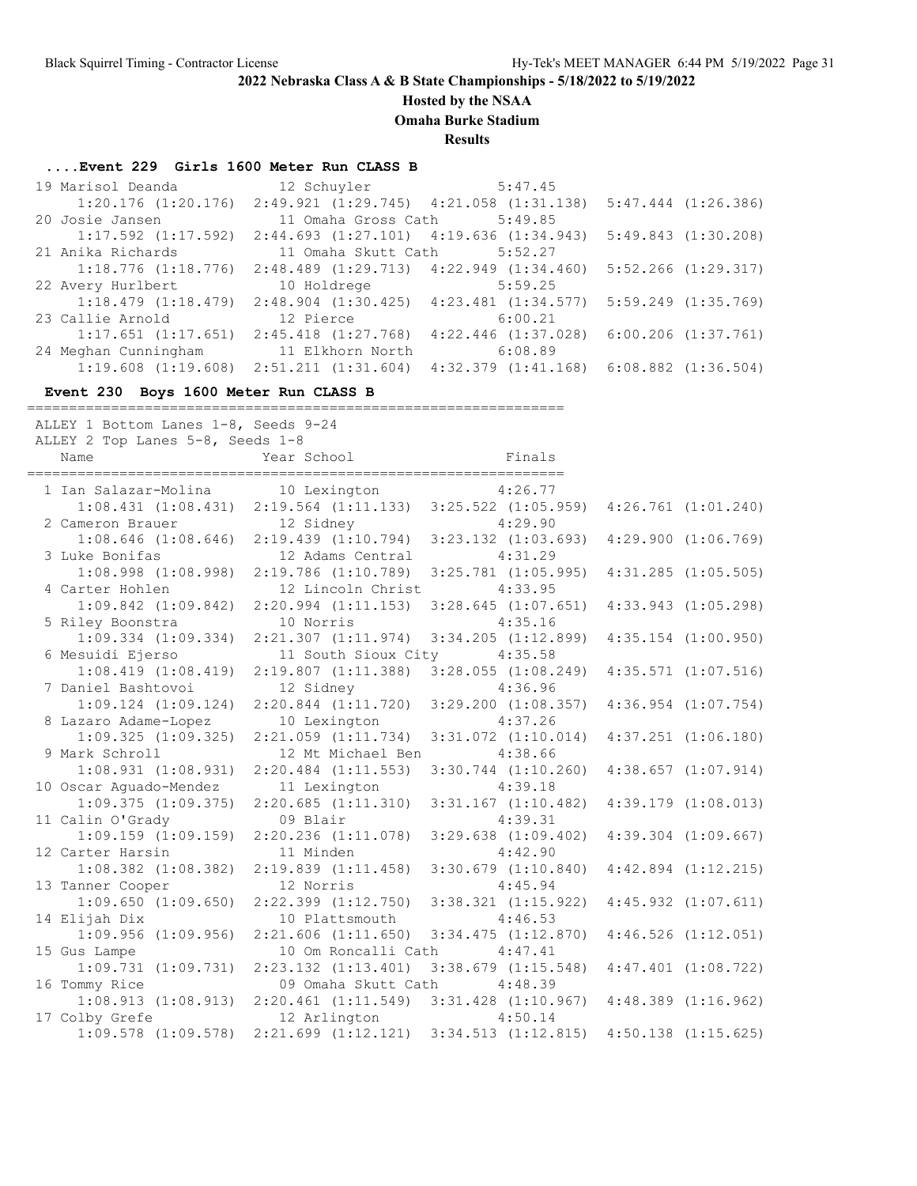**Hosted by the NSAA**

**Omaha Burke Stadium**

**Results**

### **....Event 229 Girls 1600 Meter Run CLASS B**

| 19 Marisol Deanda                               | 12 Schuyler 5:47.45                                                               |                                                                 |                         |
|-------------------------------------------------|-----------------------------------------------------------------------------------|-----------------------------------------------------------------|-------------------------|
|                                                 | $1:20.176$ (1:20.176) 2:49.921 (1:29.745) 4:21.058 (1:31.138) 5:47.444 (1:26.386) |                                                                 |                         |
| 20 Josie Jansen                                 | 11 Omaha Gross Cath 5:49.85                                                       |                                                                 |                         |
| $1:17.592$ $(1:17.592)$                         | $2:44.693$ $(1:27.101)$ $4:19.636$ $(1:34.943)$                                   |                                                                 | 5:49.843(1:30.208)      |
| 21 Anika Richards                               | 11 Omaha Skutt Cath                                                               | 5:52.27                                                         |                         |
| $1:18.776$ $(1:18.776)$                         | $2:48.489$ $(1:29.713)$ $4:22.949$ $(1:34.460)$                                   |                                                                 | $5:52.266$ $(1:29.317)$ |
| 22 Avery Hurlbert 10 Holdrege                   |                                                                                   | 5:59.25                                                         |                         |
| $1:18.479$ $(1:18.479)$                         |                                                                                   | $2:48.904$ (1:30.425) $4:23.481$ (1:34.577) 5:59.249 (1:35.769) |                         |
| 23 Callie Arnold                                | 12 Pierce                                                                         | 6:00.21                                                         |                         |
| $1:17.651$ $(1:17.651)$                         | $2:45.418$ $(1:27.768)$                                                           | $4:22.446$ $(1:37.028)$                                         | $6:00.206$ $(1:37.761)$ |
| 24 Meghan Cunningham 11 Elkhorn North           |                                                                                   | 6:08.89                                                         |                         |
| $1:19.608$ $(1:19.608)$ $2:51.211$ $(1:31.604)$ |                                                                                   | $4:32.379$ $(1:41.168)$ $6:08.882$ $(1:36.504)$                 |                         |

#### **Event 230 Boys 1600 Meter Run CLASS B**

================================================================ ALLEY 1 Bottom Lanes 1-8, Seeds 9-24

| ALLEY 2 Top Lanes 5-8, Seeds 1-8                |                                                                         |                                                                                                 |  |                         |  |  |
|-------------------------------------------------|-------------------------------------------------------------------------|-------------------------------------------------------------------------------------------------|--|-------------------------|--|--|
| Name                                            | Year School                                                             | Finals                                                                                          |  |                         |  |  |
|                                                 |                                                                         |                                                                                                 |  |                         |  |  |
| 1 Ian Salazar-Molina 10 Lexington               |                                                                         | 4:26.77                                                                                         |  |                         |  |  |
|                                                 | $1:08.431$ $(1:08.431)$ $2:19.564$ $(1:11.133)$ $3:25.522$ $(1:05.959)$ |                                                                                                 |  | $4:26.761$ $(1:01.240)$ |  |  |
| 2 Cameron Brauer                                | 12 Sidney                                                               | 4:29.90                                                                                         |  |                         |  |  |
|                                                 | $1:08.646$ (1:08.646) 2:19.439 (1:10.794)                               | $3:23.132$ $(1:03.693)$                                                                         |  | $4:29.900$ $(1:06.769)$ |  |  |
| 3 Luke Bonifas                                  | 12 Adams Central                                                        | 4:31.29                                                                                         |  |                         |  |  |
| $1:08.998$ $(1:08.998)$                         | $2:19.786$ $(1:10.789)$                                                 | $3:25.781$ $(1:05.995)$                                                                         |  | $4:31.285$ $(1:05.505)$ |  |  |
| 4 Carter Hohlen                                 | 12 Lincoln Christ                                                       | 4:33.95                                                                                         |  |                         |  |  |
| $1:09.842$ $(1:09.842)$                         | 2:20.994(1:11.153)                                                      | $3:28.645$ $(1:07.651)$                                                                         |  | $4:33.943$ $(1:05.298)$ |  |  |
| 5 Riley Boonstra                                | 10 Norris                                                               | 4:35.16                                                                                         |  |                         |  |  |
| $1:09.334$ $(1:09.334)$                         | 2:21.307(1:11.974)                                                      | $3:34.205$ $(1:12.899)$                                                                         |  | $4:35.154$ $(1:00.950)$ |  |  |
| 6 Mesuidi Ejerso                                | 11 South Sioux City                                                     | 4:35.58                                                                                         |  |                         |  |  |
| 1:08.419(1:08.419)                              | 2:19.807(1:11.388)                                                      | $3:28.055$ $(1:08.249)$                                                                         |  | $4:35.571$ $(1:07.516)$ |  |  |
| 7 Daniel Bashtovoi                              | 12 Sidney                                                               | 4:36.96                                                                                         |  |                         |  |  |
| $1:09.124$ $(1:09.124)$                         | $2:20.844$ $(1:11.720)$                                                 | $3:29.200$ $(1:08.357)$                                                                         |  | $4:36.954$ $(1:07.754)$ |  |  |
| 8 Lazaro Adame-Lopez                            | 10 Lexington                                                            | 4:37.26                                                                                         |  |                         |  |  |
|                                                 | $1:09.325$ $(1:09.325)$ $2:21.059$ $(1:11.734)$                         | $3:31.072$ $(1:10.014)$                                                                         |  | $4:37.251$ $(1:06.180)$ |  |  |
| 9 Mark Schroll                                  | 12 Mt Michael Ben                                                       | 4:38.66                                                                                         |  |                         |  |  |
| $1:08.931$ $(1:08.931)$ $2:20.484$ $(1:11.553)$ |                                                                         | $3:30.744$ $(1:10.260)$                                                                         |  | $4:38.657$ $(1:07.914)$ |  |  |
| 10 Oscar Aquado-Mendez                          | 11 Lexington                                                            | 4:39.18                                                                                         |  |                         |  |  |
| 1:09.375(1:09.375)                              | 2:20.685(1:11.310)                                                      | $3:31.167$ $(1:10.482)$                                                                         |  | $4:39.179$ $(1:08.013)$ |  |  |
| 11 Calin O'Grady                                | 09 Blair                                                                | 4:39.31                                                                                         |  |                         |  |  |
|                                                 | $1:09.159$ $(1:09.159)$ $2:20.236$ $(1:11.078)$                         | $3:29.638$ $(1:09.402)$                                                                         |  | $4:39.304$ $(1:09.667)$ |  |  |
| 12 Carter Harsin                                | 11 Minden                                                               | 4:42.90                                                                                         |  |                         |  |  |
| $1:08.382$ $(1:08.382)$                         | 2:19.839(1:11.458)                                                      | $3:30.679$ $(1:10.840)$                                                                         |  | $4:42.894$ $(1:12.215)$ |  |  |
| 13 Tanner Cooper                                | 12 Norris                                                               | 4:45.94                                                                                         |  |                         |  |  |
| 1:09.650(1:09.650)                              | $2:22.399$ $(1:12.750)$                                                 | 3:38.321 (1:15.922)                                                                             |  | $4:45.932$ $(1:07.611)$ |  |  |
| 14 Elijah Dix                                   | 10 Plattsmouth                                                          | 4:46.53                                                                                         |  |                         |  |  |
| 1:09.956(1:09.956)                              | $2:21.606$ $(1:11.650)$                                                 | $3:34.475$ $(1:12.870)$                                                                         |  | $4:46.526$ $(1:12.051)$ |  |  |
| 15 Gus Lampe                                    | 10 Om Roncalli Cath                                                     | 4:47.41                                                                                         |  |                         |  |  |
| 1:09.731(1:09.731)                              | $2:23.132$ $(1:13.401)$                                                 | $3:38.679$ $(1:15.548)$                                                                         |  | $4:47.401$ $(1:08.722)$ |  |  |
| 16 Tommy Rice                                   | 09 Omaha Skutt Cath                                                     | 4:48.39                                                                                         |  |                         |  |  |
| 1:08.913(1:08.913)                              | $2:20.461$ $(1:11.549)$ $3:31.428$ $(1:10.967)$                         |                                                                                                 |  | $4:48.389$ $(1:16.962)$ |  |  |
| 17 Colby Grefe                                  | 12 Arlington                                                            | 4:50.14                                                                                         |  |                         |  |  |
|                                                 |                                                                         | $1:09.578$ $(1:09.578)$ $2:21.699$ $(1:12.121)$ $3:34.513$ $(1:12.815)$ $4:50.138$ $(1:15.625)$ |  |                         |  |  |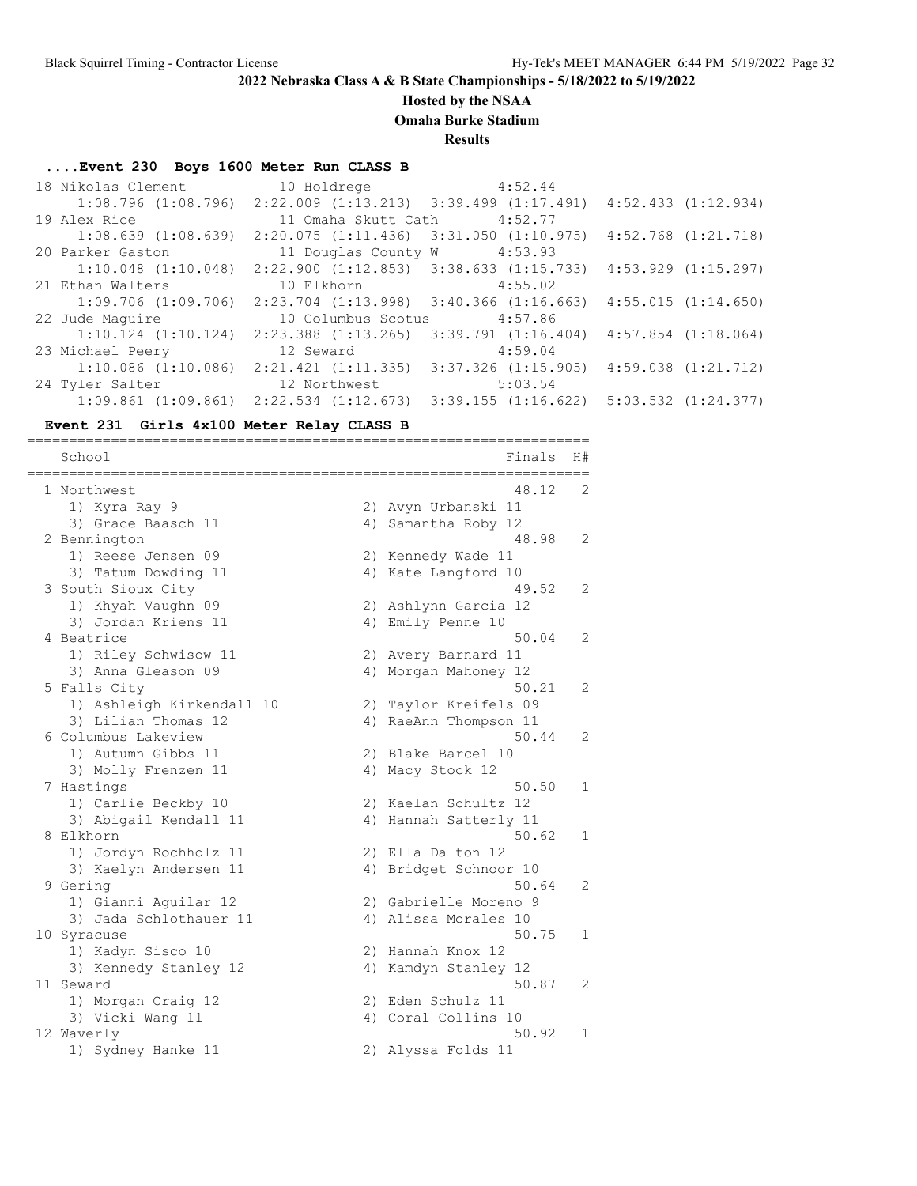### **Hosted by the NSAA**

**Omaha Burke Stadium**

**Results**

#### **....Event 230 Boys 1600 Meter Run CLASS B**

| 18 Nikolas Clement      | 10 Holdrege 4:52.44                                                     |                         |                         |
|-------------------------|-------------------------------------------------------------------------|-------------------------|-------------------------|
|                         | $1:08.796$ (1:08.796) 2:22.009 (1:13.213) 3:39.499 (1:17.491)           |                         | 4:52.433(1:12.934)      |
| 19 Alex Rice            | 11 Omaha Skutt Cath 4:52.77                                             |                         |                         |
| $1:08.639$ $(1:08.639)$ | $2:20.075$ $(1:11.436)$ $3:31.050$ $(1:10.975)$                         |                         | $4:52.768$ $(1:21.718)$ |
| 20 Parker Gaston        | 11 Douglas County W                                                     | 4:53.93                 |                         |
|                         | $1:10.048$ $(1:10.048)$ $2:22.900$ $(1:12.853)$ $3:38.633$ $(1:15.733)$ |                         | 4:53.929 (1:15.297)     |
| 21 Ethan Walters        | 10 Elkhorn 4:55.02                                                      |                         |                         |
| $1:09.706$ $(1:09.706)$ | $2:23.704$ $(1:13.998)$ $3:40.366$ $(1:16.663)$                         |                         | 4:55.015(1:14.650)      |
| 22 Jude Maquire         | 10 Columbus Scotus                                                      | 4:57.86                 |                         |
| $1:10.124$ $(1:10.124)$ | 2:23.388 (1:13.265)                                                     | $3:39.791$ $(1:16.404)$ | $4:57.854$ $(1:18.064)$ |
| 23 Michael Peery        | 12 Seward                                                               | 4:59.04                 |                         |
| $1:10.086$ $(1:10.086)$ | 2:21.421(1:11.335)                                                      | $3:37.326$ $(1:15.905)$ | 4:59.038 (1:21.712)     |
| 24 Tyler Salter         | 12 Northwest                                                            | 5:03.54                 |                         |
|                         | $1:09.861$ $(1:09.861)$ $2:22.534$ $(1:12.673)$ $3:39.155$ $(1:16.622)$ |                         | 5:03.532 (1:24.377)     |
|                         |                                                                         |                         |                         |

#### **Event 231 Girls 4x100 Meter Relay CLASS B**

School Finals H# =================================================================== 1 Northwest 48.12 2 1) Kyra Ray 9 2) Avyn Urbanski 11 3) Grace Baasch 11 4) Samantha Roby 12 2 Bennington 48.98 2 1) Reese Jensen 09 2) Kennedy Wade 11 3) Tatum Dowding 11 4) Kate Langford 10 3 South Sioux City 19.52 2 1) Khyah Vaughn 09 2) Ashlynn Garcia 12 3) Jordan Kriens 11 4) Emily Penne 10 4 Beatrice 50.04 2 1) Riley Schwisow 11 2) Avery Barnard 11 3) Anna Gleason 09 4) Morgan Mahoney 12 5 Falls City 50.21 2 1) Ashleigh Kirkendall 10 2) Taylor Kreifels 09 3) Lilian Thomas 12 4) RaeAnn Thompson 11 6 Columbus Lakeview 50.44 2 1) Autumn Gibbs 11 2) Blake Barcel 10 3) Molly Frenzen 11 (4) Macy Stock 12 7 Hastings 50.50 1 1) Carlie Beckby 10 2) Kaelan Schultz 12 3) Abigail Kendall 11 4) Hannah Satterly 11 8 Elkhorn 50.62 1 1) Jordyn Rochholz 11 2) Ella Dalton 12 3) Kaelyn Andersen 11 4) Bridget Schnoor 10 9 Gering 50.64 2 1) Gianni Aguilar 12 2) Gabrielle Moreno 9 3) Jada Schlothauer 11 (4) Alissa Morales 10 10 Syracuse 50.75 1 1) Kadyn Sisco 10 2) Hannah Knox 12 3) Kennedy Stanley 12 4) Kamdyn Stanley 12 11 Seward 50.87 2 1) Morgan Craig 12 2) Eden Schulz 11 3) Vicki Wang 11 4) Coral Collins 10 12 Waverly 50.92 1 1) Sydney Hanke 11 2) Alyssa Folds 11

===================================================================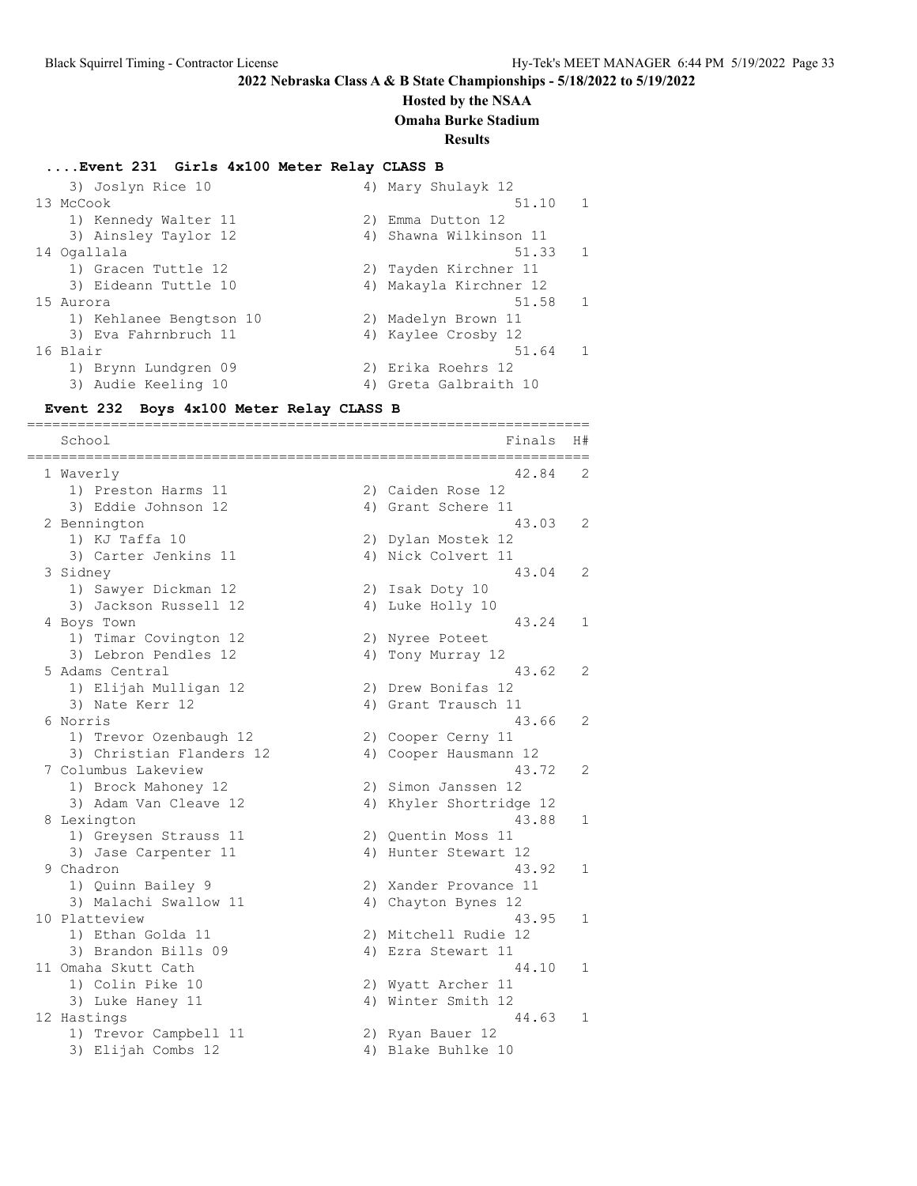#### **Hosted by the NSAA**

**Omaha Burke Stadium**

**Results**

#### **....Event 231 Girls 4x100 Meter Relay CLASS B**

3) Joslyn Rice 10 4) Mary Shulayk 12 13 McCook 51.10 1 1) Kennedy Walter 11 2) Emma Dutton 12 3) Ainsley Taylor 12 4) Shawna Wilkinson 11 14 Ogallala 51.33 1 1) Gracen Tuttle 12 2) Tayden Kirchner 11 3) Eideann Tuttle 10 4) Makayla Kirchner 12 15 Aurora 51.58 1 1) Kehlanee Bengtson 10 2) Madelyn Brown 11 3) Eva Fahrnbruch 11 4) Kaylee Crosby 12 16 Blair 51.64 1 1) Brynn Lundgren 09 2) Erika Roehrs 12 3) Audie Keeling 10 4) Greta Galbraith 10

#### **Event 232 Boys 4x100 Meter Relay CLASS B**

=================================================================== School Finals H# =================================================================== 1 Waverly 42.84 2 1) Preston Harms 11 2) Caiden Rose 12 3) Eddie Johnson 12 1988 1998 1999 12 2 Bennington 43.03 2 1) KJ Taffa 10 2) Dylan Mostek 12 3) Carter Jenkins 11 4) Nick Colvert 11 3 Sidney 43.04 2 1) Sawyer Dickman 12 2) Isak Doty 10 3) Jackson Russell 12 (4) Luke Holly 10 4 Boys Town 43.24 1 1) Timar Covington 12 12 2) Nyree Poteet 3) Lebron Pendles 12 4) Tony Murray 12 5 Adams Central 43.62 2 1) Elijah Mulligan 12 2) Drew Bonifas 12 3) Nate Kerr 12 19 12 12 12 12 13 13 14 13 14 15 16 17 18 18 19 19 11 12 12 13 13 14 15 16 17 17 18 18 18 18 1 6 Norris 43.66 2 1) Trevor Ozenbaugh 12 2) Cooper Cerny 11 3) Christian Flanders 12 4) Cooper Hausmann 12 7 Columbus Lakeview 43.72 2 1) Brock Mahoney 12 2) Simon Janssen 12 3) Adam Van Cleave 12 4) Khyler Shortridge 12 8 Lexington 43.88 1 1) Greysen Strauss 11 2) Quentin Moss 11 3) Jase Carpenter 11 (4) Hunter Stewart 12 9 Chadron 43.92 1 1) Quinn Bailey 9 2) Xander Provance 11 3) Malachi Swallow 11 (4) Chayton Bynes 12 10 Platteview 43.95 1 1) Ethan Golda 11 2) Mitchell Rudie 12 3) Brandon Bills 09 4) Ezra Stewart 11 11 Omaha Skutt Cath 1 and 1 and 1 and 1 and 1 and 1 and 1 and 1 and 1 and 1 and 1 and 1 and 1 and 1 and 1 and 1 1) Colin Pike 10 2) Wyatt Archer 11 3) Luke Haney 11 4) Winter Smith 12 12 Hastings **44.63** 1 1) Trevor Campbell 11 2) Ryan Bauer 12 3) Elijah Combs 12 4) Blake Buhlke 10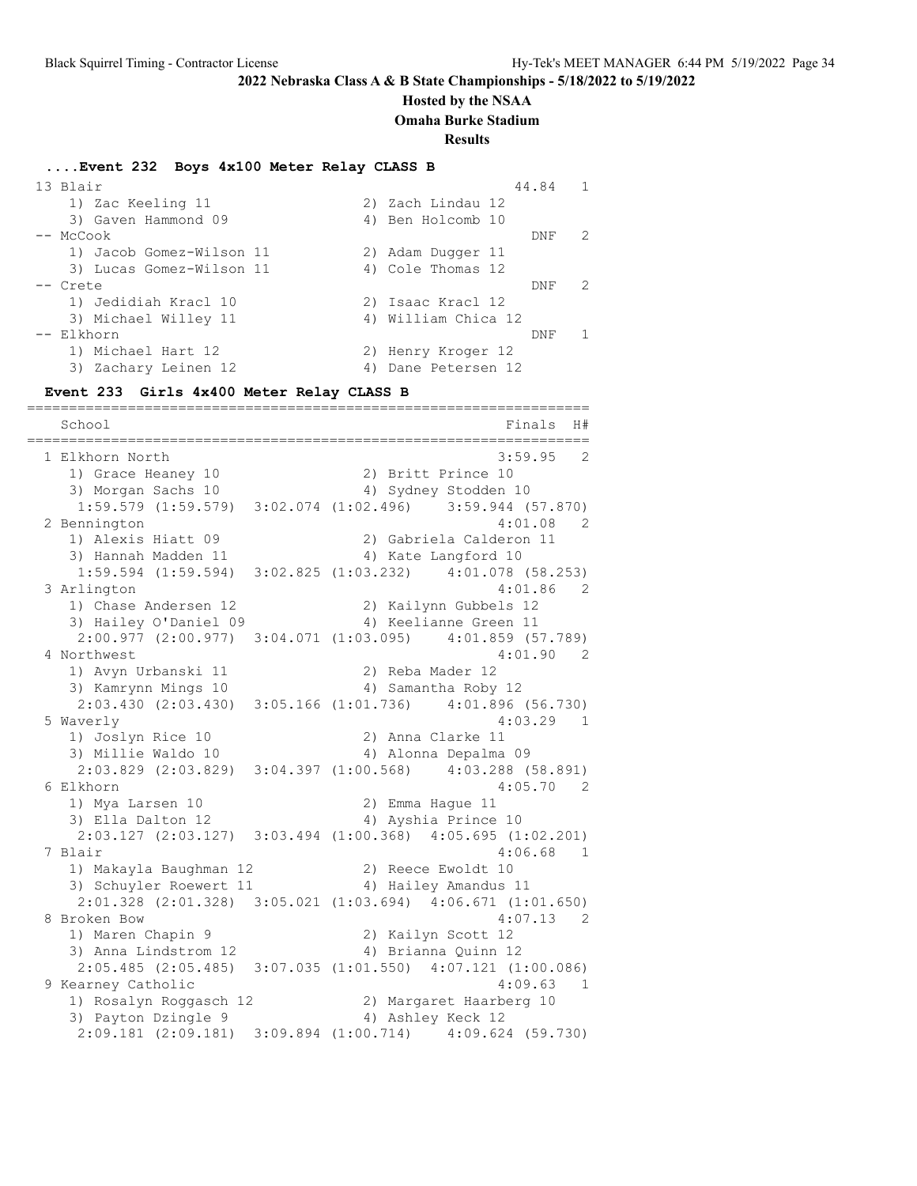#### **Hosted by the NSAA**

**Omaha Burke Stadium**

#### **Results**

#### **....Event 232 Boys 4x100 Meter Relay CLASS B**

| 13 Blair                 | $\overline{1}$<br>44.84 |
|--------------------------|-------------------------|
| 1) Zac Keeling 11        | 2) Zach Lindau 12       |
| 3) Gaven Hammond 09      | 4) Ben Holcomb 10       |
| -- McCook                | 2<br>DNF                |
| 1) Jacob Gomez-Wilson 11 | 2) Adam Duqqer 11       |
| 3) Lucas Gomez-Wilson 11 | 4) Cole Thomas 12       |
| -- Crete                 | 2<br>DNF                |
| 1) Jedidiah Kracl 10     | 2) Isaac Kracl 12       |
| 3) Michael Willey 11     | 4) William Chica 12     |
| -- Elkhorn               | 1<br>DNF                |
| 1) Michael Hart 12       | 2) Henry Kroger 12      |
| 3) Zachary Leinen 12     | Dane Petersen 12        |

**Event 233 Girls 4x400 Meter Relay CLASS B**

=================================================================== School Finals H# =================================================================== 1 Elkhorn North 3:59.95 2 1) Grace Heaney 10 2) Britt Prince 10 3) Morgan Sachs 10 4) Sydney Stodden 10 1:59.579 (1:59.579) 3:02.074 (1:02.496) 3:59.944 (57.870) 2 Bennington 4:01.08 2 1) Alexis Hiatt 09 2) Gabriela Calderon 11 3) Hannah Madden 11 (4) Kate Langford 10 1:59.594 (1:59.594) 3:02.825 (1:03.232) 4:01.078 (58.253) 3 Arlington 4:01.86 2<br>1) Chase Andersen 12 2) Kailynn Gubbels 12 1) Chase Andersen 12 2) Kailynn Gubbels 12 3) Hailey O'Daniel 09 4) Keelianne Green 11 2:00.977 (2:00.977) 3:04.071 (1:03.095) 4:01.859 (57.789) 4 Northwest 4:01.90 2 1) Avyn Urbanski 11 2) Reba Mader 12 3) Kamrynn Mings 10 4) Samantha Roby 12 2:03.430 (2:03.430) 3:05.166 (1:01.736) 4:01.896 (56.730) 5 Waverly 4:03.29 1 1) Joslyn Rice 10 2) Anna Clarke 11 3) Millie Waldo 10 4) Alonna Depalma 09 2:03.829 (2:03.829) 3:04.397 (1:00.568) 4:03.288 (58.891) 6 Elkhorn 4:05.70 2 1) Mya Larsen 10 2) Emma Hague 11 3) Ella Dalton 12 (4) Ayshia Prince 10 2:03.127 (2:03.127) 3:03.494 (1:00.368) 4:05.695 (1:02.201) 7 Blair 4:06.68 1 1) Makayla Baughman 12 2) Reece Ewoldt 10 3) Schuyler Roewert 11 (4) Hailey Amandus 11 2:01.328 (2:01.328) 3:05.021 (1:03.694) 4:06.671 (1:01.650) 8 Broken Bow 4:07.13 2 1) Maren Chapin 9 2) Kailyn Scott 12 3) Anna Lindstrom 12 (4) Brianna Quinn 12 2:05.485 (2:05.485) 3:07.035 (1:01.550) 4:07.121 (1:00.086) 9 Kearney Catholic 4:09.63 1 1) Rosalyn Roggasch 12 2) Margaret Haarberg 10 3) Payton Dzingle 9 4) Ashley Keck 12 2:09.181 (2:09.181) 3:09.894 (1:00.714) 4:09.624 (59.730)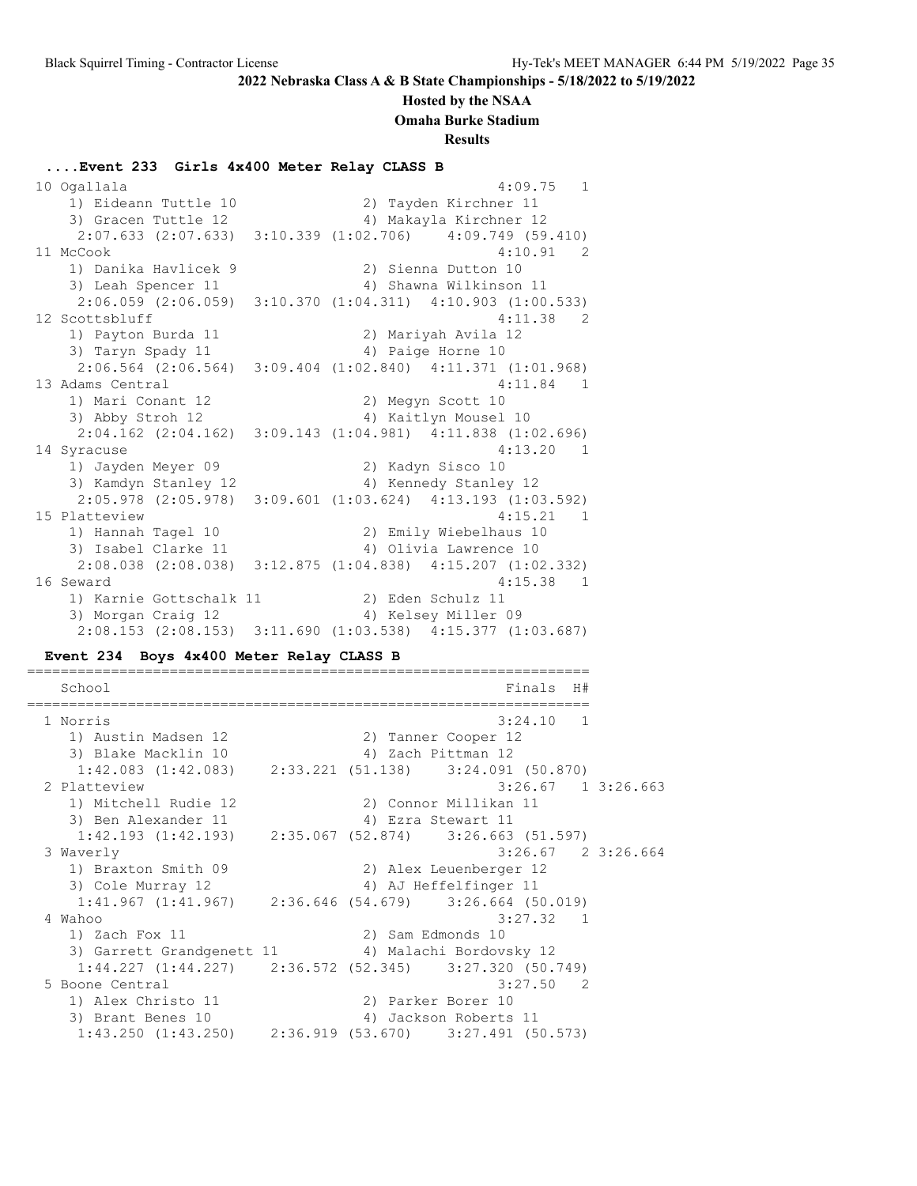#### **Hosted by the NSAA**

**Omaha Burke Stadium**

**Results**

### **....Event 233 Girls 4x400 Meter Relay CLASS B** 10 Ogallala 4:09.75 1 1) Eideann Tuttle 10 3) Gracen Tuttle 12 (4) Makayla Kirchner 12 2:07.633 (2:07.633) 3:10.339 (1:02.706) 4:09.749 (59.410) 11 McCook 4:10.91 2 1) Danika Havlicek 9 2) Sienna Dutton 10 3) Leah Spencer 11 4) Shawna Wilkinson 11 2:06.059 (2:06.059) 3:10.370 (1:04.311) 4:10.903 (1:00.533) 12 Scottsbluff 4:11.38 2 1) Payton Burda 11 2) Mariyah Avila 12 3) Taryn Spady 11 4) Paige Horne 10 2:06.564 (2:06.564) 3:09.404 (1:02.840) 4:11.371 (1:01.968) 13 Adams Central 13 Adams 11.84 1 1) Mari Conant 12 2) Megyn Scott 10 3) Abby Stroh 12 4) Kaitlyn Mousel 10 2:04.162 (2:04.162) 3:09.143 (1:04.981) 4:11.838 (1:02.696) 14 Syracuse 4:13.20 1 1) Jayden Meyer 09 2) Kadyn Sisco 10 3) Kamdyn Stanley 12 4) Kennedy Stanley 12 2:05.978 (2:05.978) 3:09.601 (1:03.624) 4:13.193 (1:03.592) 15 Platteview 4:15.21 1 1) Hannah Tagel 10 2) Emily Wiebelhaus 10 3) Isabel Clarke 11 4) Olivia Lawrence 10 2:08.038 (2:08.038) 3:12.875 (1:04.838) 4:15.207 (1:02.332) 16 Seward 16 News 2002 12:00 12:00 12:00 12:00 12:00 12:00 12:00 12:00 12:00 12:00 12:00 12:00 12:00 12:00 12:0 1) Karnie Gottschalk 11 2) Eden Schulz 11 3) Morgan Craig 12 4) Kelsey Miller 09 2:08.153 (2:08.153) 3:11.690 (1:03.538) 4:15.377 (1:03.687)

#### **Event 234 Boys 4x400 Meter Relay CLASS B**

=================================================================== School Finals H# =================================================================== 1 Norris 3:24.10 1 1) Austin Madsen 12 2) Tanner Cooper 12 3) Blake Macklin 10 4) Zach Pittman 12 1:42.083 (1:42.083) 2:33.221 (51.138) 3:24.091 (50.870) 2 Platteview 3:26.67 1 3:26.663 1) Mitchell Rudie 12 2) Connor Millikan 11 3) Ben Alexander 11 <a>
4) Ezra Stewart 11 1:42.193 (1:42.193) 2:35.067 (52.874) 3:26.663 (51.597) 3 Waverly 3:26.67 2 3:26.664 1) Braxton Smith 09 2) Alex Leuenberger 12 3) Cole Murray 12 4) AJ Heffelfinger 11  $1:41.967$  (1: $41.967$ ) 2:36.646 (54.679) 3:26.664 (50.019) 4 Wahoo 3:27.32 1 1) Zach Fox 11 2) Sam Edmonds 10 3) Garrett Grandgenett 11 4) Malachi Bordovsky 12 1:44.227 (1:44.227) 2:36.572 (52.345) 3:27.320 (50.749) 5 Boone Central 3:27.50 2 1) Alex Christo 11 2) Parker Borer 10 3) Brant Benes 10 4) Jackson Roberts 11 1:43.250 (1:43.250) 2:36.919 (53.670) 3:27.491 (50.573)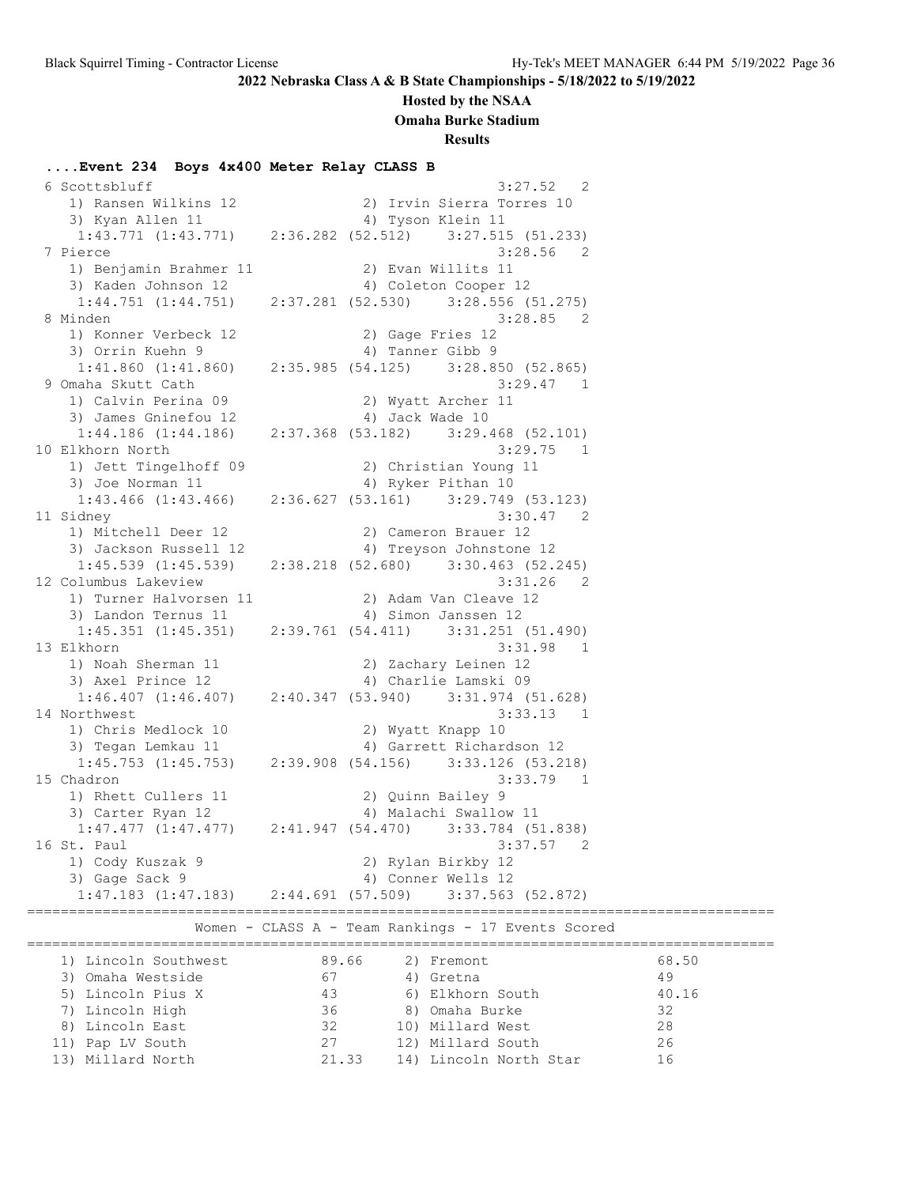### **Hosted by the NSAA**

**Omaha Burke Stadium**

**Results**

### **....Event 234 Boys 4x400 Meter Relay CLASS B**

| 1) Ransen Wilkins 12                                                |       | 2) Irvin Sierra Torres 10                          |                |       |
|---------------------------------------------------------------------|-------|----------------------------------------------------|----------------|-------|
| 3) Kyan Allen 11                                                    |       | 4) Tyson Klein 11                                  |                |       |
| $1:43.771$ $(1:43.771)$ $2:36.282$ $(52.512)$                       |       | 3:27.515(51.233)                                   |                |       |
| 7 Pierce                                                            |       | $3:28.56$ 2                                        |                |       |
| 1) Benjamin Brahmer 11 (2) Evan Willits 11                          |       |                                                    |                |       |
| 3) Kaden Johnson 12 (2012) 4) Coleton Cooper 12                     |       |                                                    |                |       |
| $1:44.751$ $(1:44.751)$ $2:37.281$ $(52.530)$ $3:28.556$ $(51.275)$ |       |                                                    |                |       |
| 8 Minden                                                            |       | 3:28.85 2                                          |                |       |
| 1) Konner Verbeck 12                                                |       | 2) Gage Fries 12                                   |                |       |
| 3) Orrin Kuehn 9                                                    |       | 4) Tanner Gibb 9                                   |                |       |
| $1:41.860$ $(1:41.860)$                                             |       | 2:35.985 (54.125) 3:28.850 (52.865)                |                |       |
| 9 Omaha Skutt Cath                                                  |       | $3:29.47$ 1                                        |                |       |
| 1) Calvin Perina 09                                                 |       | 2) Wyatt Archer 11                                 |                |       |
| 3) James Gninefou 12                                                |       | 4) Jack Wade 10                                    |                |       |
| $1:44.186$ $(1:44.186)$                                             |       | 2:37.368 (53.182) 3:29.468 (52.101)                |                |       |
| 10 Elkhorn North                                                    |       | $3:29.75$ 1                                        |                |       |
| 1) Jett Tingelhoff 09                                               |       | 2) Christian Young 11                              |                |       |
| 3) Joe Norman 11                                                    |       | 4) Ryker Pithan 10                                 |                |       |
| $1:43.466$ (1:43.466) $2:36.627$ (53.161) $3:29.749$ (53.123)       |       |                                                    |                |       |
| 11 Sidney                                                           |       | 3:30.47<br>$\overline{\phantom{0}}^2$              |                |       |
| 1) Mitchell Deer 12                                                 |       | 2) Cameron Brauer 12                               |                |       |
| 3) Jackson Russell 12                                               |       | 4) Treyson Johnstone 12                            |                |       |
| $1:45.539$ $(1:45.539)$                                             |       | 2:38.218 (52.680) 3:30.463 (52.245)                |                |       |
| 12 Columbus Lakeview                                                |       | 3:31.26                                            | 2              |       |
| 1) Turner Halvorsen 11                                              |       | 2) Adam Van Cleave 12                              |                |       |
| 3) Landon Ternus 11                                                 |       | 4) Simon Janssen 12                                |                |       |
| $1:45.351$ $(1:45.351)$ $2:39.761$ $(54.411)$ $3:31.251$ $(51.490)$ |       |                                                    |                |       |
| 13 Elkhorn                                                          |       | 3:31.98 1                                          |                |       |
| 1) Noah Sherman 11                                                  |       | 2) Zachary Leinen 12                               |                |       |
| 3) Axel Prince 12                                                   |       | 4) Charlie Lamski 09                               |                |       |
| $1:46.407$ (1:46.407) $2:40.347$ (53.940) $3:31.974$ (51.628)       |       |                                                    |                |       |
| 14 Northwest                                                        |       | 3:33.13                                            | $\overline{1}$ |       |
| 1) Chris Medlock 10                                                 |       | 2) Wyatt Knapp 10                                  |                |       |
| 3) Tegan Lemkau 11                                                  |       | 4) Garrett Richardson 12                           |                |       |
| $1:45.753$ $(1:45.753)$                                             |       | 2:39.908 (54.156) 3:33.126 (53.218)                |                |       |
| 15 Chadron                                                          |       | 3:33.79                                            | $\mathbf{1}$   |       |
| 1) Rhett Cullers 11                                                 |       | 2) Quinn Bailey 9                                  |                |       |
| 3) Carter Ryan 12                                                   |       | 4) Malachi Swallow 11                              |                |       |
| $1:47.477$ $(1:47.477)$ $2:41.947$ $(54.470)$ $3:33.784$ $(51.838)$ |       |                                                    |                |       |
| 16 St. Paul                                                         |       | 3:37.57<br>2                                       |                |       |
| 1) Cody Kuszak 9                                                    |       | 2) Rylan Birkby 12                                 |                |       |
| 3) Gage Sack 9                                                      |       | 4) Conner Wells 12                                 |                |       |
| $1:47.183$ (1:47.183) $2:44.691$ (57.509) $3:37.563$ (52.872)       |       |                                                    |                |       |
|                                                                     |       |                                                    |                |       |
|                                                                     |       | Women - CLASS A - Team Rankings - 17 Events Scored |                |       |
|                                                                     |       |                                                    |                |       |
| 1) Lincoln Southwest                                                | 89.66 | 2) Fremont                                         |                | 68.50 |
| 3) Omaha Westside                                                   | 67    | 4) Gretna                                          |                | 49    |
| 5) Lincoln Pius X                                                   | 43    | 6) Elkhorn South                                   |                | 40.16 |
| 7) Lincoln High                                                     | 36    | 8) Omaha Burke                                     |                | 32    |
| 8) Lincoln East                                                     | 32    | 10) Millard West                                   |                | 28    |
| 11) Pap LV South                                                    | 27    | 12) Millard South                                  |                | 26    |
| 13) Millard North                                                   |       | 21.33 14) Lincoln North Star                       |                | 16    |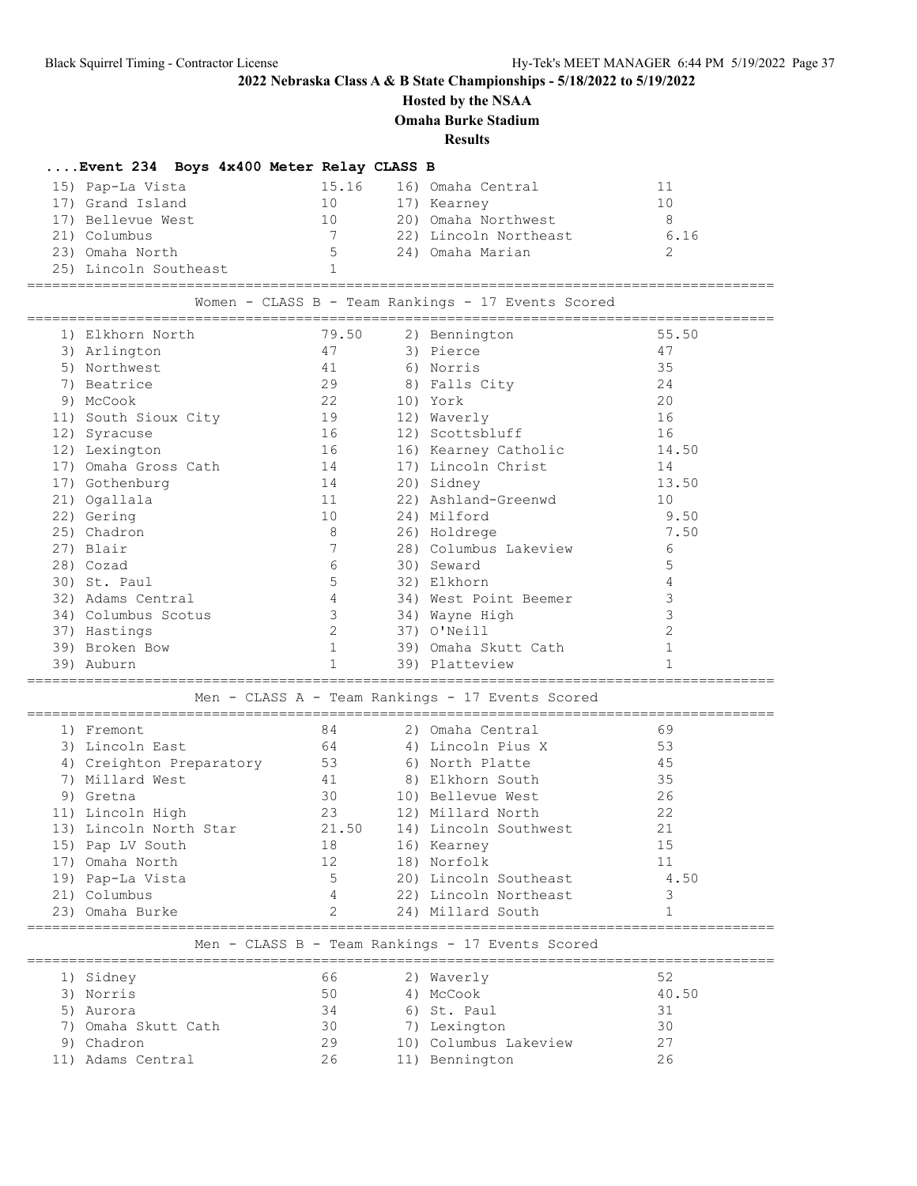### **Hosted by the NSAA**

**Omaha Burke Stadium**

**Results**

# **....Event 234 Boys 4x400 Meter Relay CLASS B**

| 15) Pap-La Vista      | 15.16       | 16) Omaha Central     |      |
|-----------------------|-------------|-----------------------|------|
| 17) Grand Island      | 10          | 17) Kearney           | 10   |
| 17) Bellevue West     | 10          | 20) Omaha Northwest   | 8    |
| 21) Columbus          |             | 22) Lincoln Northeast | 6.16 |
| 23) Omaha North       | $5^{\circ}$ | 24) Omaha Marian      |      |
| 25) Lincoln Southeast |             |                       |      |

=========================================================================================

| Women - CLASS B - Team Rankings - 17 Events Scored |                          |                |  |                                                  |              |  |  |
|----------------------------------------------------|--------------------------|----------------|--|--------------------------------------------------|--------------|--|--|
|                                                    | 1) Elkhorn North         | 79.50          |  | 2) Bennington                                    | 55.50        |  |  |
|                                                    | 3) Arlington             | 47             |  | 3) Pierce                                        | 47           |  |  |
|                                                    | 5) Northwest             | 41             |  | 6) Norris                                        | 35           |  |  |
|                                                    | 7) Beatrice              | 29             |  | 8) Falls City                                    | 24           |  |  |
|                                                    | 9) McCook                | 2.2            |  | 10) York                                         | 20           |  |  |
|                                                    | 11) South Sioux City     | 19             |  | 12) Waverly                                      | 16           |  |  |
|                                                    | 12) Syracuse             | 16             |  | 12) Scottsbluff                                  | 16           |  |  |
|                                                    | 12) Lexington            | 16             |  | 16) Kearney Catholic                             | 14.50        |  |  |
|                                                    | 17) Omaha Gross Cath     | 14             |  | 17) Lincoln Christ                               | 14           |  |  |
|                                                    | 17) Gothenburg           | 14             |  | 20) Sidney                                       | 13.50        |  |  |
|                                                    | 21) Ogallala             | 11             |  | 22) Ashland-Greenwd                              | 10           |  |  |
|                                                    | 22) Gering               | 10             |  | 24) Milford                                      | 9.50         |  |  |
|                                                    | 25) Chadron              | 8              |  | 26) Holdrege                                     | 7.50         |  |  |
|                                                    | 27) Blair                | 7              |  | 28) Columbus Lakeview                            | 6            |  |  |
|                                                    | 28) Cozad                | 6              |  | 30) Seward                                       | 5            |  |  |
|                                                    | 30) St. Paul             | 5              |  | 32) Elkhorn                                      | 4            |  |  |
|                                                    | 32) Adams Central        | $\overline{4}$ |  | 34) West Point Beemer                            | 3            |  |  |
|                                                    | 34) Columbus Scotus      | $\mathbf{3}$   |  | 34) Wayne High                                   | 3            |  |  |
|                                                    | 37) Hastings             | 2              |  | 37) O'Neill                                      | 2            |  |  |
|                                                    | 39) Broken Bow           | $\mathbf{1}$   |  | 39) Omaha Skutt Cath                             | $\mathbf{1}$ |  |  |
|                                                    | 39) Auburn               | $\mathbf{1}$   |  | 39) Platteview                                   | $\mathbf{1}$ |  |  |
|                                                    |                          |                |  |                                                  |              |  |  |
|                                                    |                          |                |  | Men - CLASS A - Team Rankings - 17 Events Scored |              |  |  |
|                                                    |                          |                |  |                                                  |              |  |  |
|                                                    | 1) Fremont               | 84             |  | 2) Omaha Central                                 | 69           |  |  |
|                                                    | 3) Lincoln East          | 64             |  | 4) Lincoln Pius X                                | 53           |  |  |
|                                                    | 4) Creighton Preparatory | 53             |  | 6) North Platte                                  | 45           |  |  |
|                                                    | 7) Millard West          | 41             |  | 8) Elkhorn South                                 | 35           |  |  |
|                                                    | 9) Gretna                | 30             |  | 10) Bellevue West                                | 26           |  |  |
|                                                    | 11) Lincoln High         | 23             |  | 12) Millard North                                | 22           |  |  |
|                                                    | 13) Lincoln North Star   | 21.50          |  | 14) Lincoln Southwest                            | 21           |  |  |
|                                                    | 15) Pap LV South         | 18             |  | 16) Kearney                                      | 15           |  |  |
|                                                    | 17) Omaha North          | 12             |  | 18) Norfolk                                      | 11           |  |  |
|                                                    | 19) Pap-La Vista         | $5^{\circ}$    |  | 20) Lincoln Southeast                            | 4.50         |  |  |
|                                                    | 21) Columbus             | $\overline{4}$ |  | 22) Lincoln Northeast                            | 3            |  |  |
|                                                    | 23) Omaha Burke          | 2              |  | 24) Millard South                                | $\mathbf{1}$ |  |  |
|                                                    |                          |                |  | Men - CLASS B - Team Rankings - 17 Events Scored |              |  |  |
|                                                    | 1) Sidney                | 66             |  | 2) Waverly                                       | 52           |  |  |
|                                                    | 3) Norris                | 50             |  | 4) McCook                                        | 40.50        |  |  |
|                                                    | 5) Aurora                | 34             |  | 6) St. Paul                                      | 31           |  |  |
|                                                    | 7) Omaha Skutt Cath      | 30             |  | 7) Lexington                                     | 30           |  |  |
|                                                    | 9) Chadron               | 29             |  | 10) Columbus Lakeview                            | 27           |  |  |